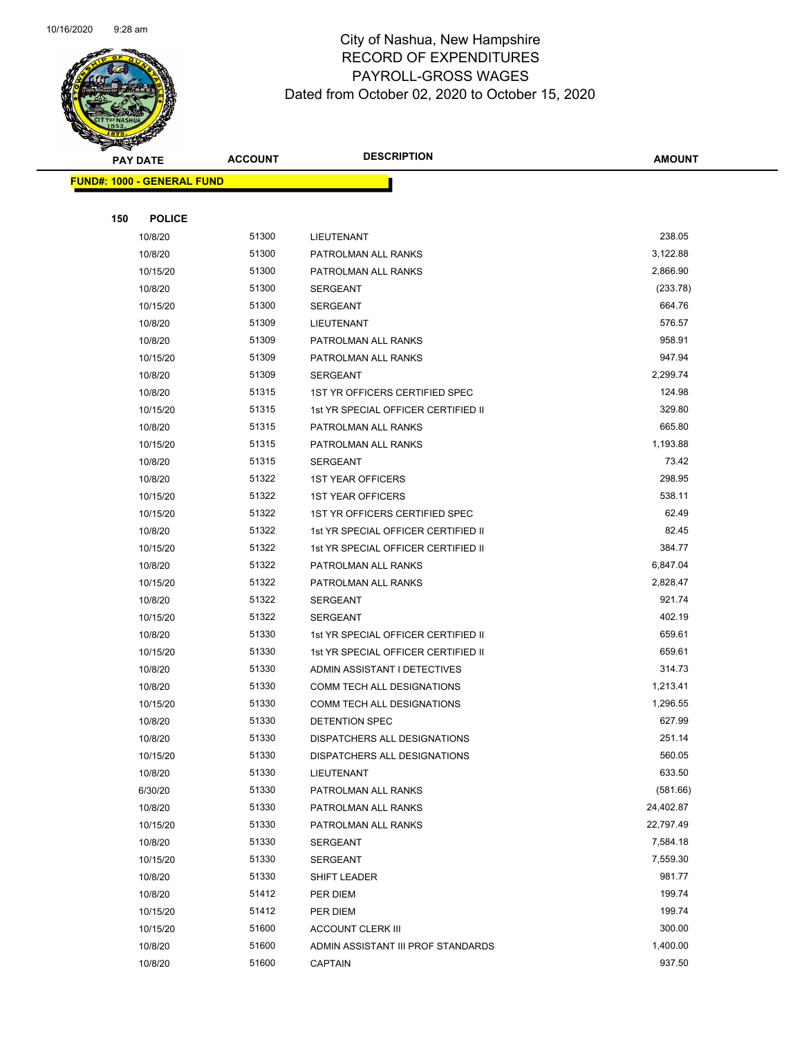

Page 56 of 104

|     | <b>PAY DATE</b>                    | <b>ACCOUNT</b> | <b>DESCRIPTION</b>                         | <b>AMOUNT</b>    |
|-----|------------------------------------|----------------|--------------------------------------------|------------------|
|     | <u> FUND#: 1000 - GENERAL FUND</u> |                |                                            |                  |
|     |                                    |                |                                            |                  |
| 150 | <b>POLICE</b>                      |                |                                            |                  |
|     | 10/8/20                            | 51300          | LIEUTENANT                                 | 238.05           |
|     | 10/8/20                            | 51300          | PATROLMAN ALL RANKS                        | 3,122.88         |
|     | 10/15/20                           | 51300          | PATROLMAN ALL RANKS                        | 2,866.90         |
|     | 10/8/20                            | 51300          | <b>SERGEANT</b>                            | (233.78)         |
|     | 10/15/20                           | 51300          | <b>SERGEANT</b>                            | 664.76           |
|     | 10/8/20                            | 51309          | LIEUTENANT                                 | 576.57           |
|     | 10/8/20                            | 51309          | PATROLMAN ALL RANKS                        | 958.91           |
|     | 10/15/20                           | 51309          | PATROLMAN ALL RANKS                        | 947.94           |
|     | 10/8/20                            | 51309          | SERGEANT                                   | 2,299.74         |
|     | 10/8/20                            | 51315          | 1ST YR OFFICERS CERTIFIED SPEC             | 124.98           |
|     | 10/15/20                           | 51315          | 1st YR SPECIAL OFFICER CERTIFIED II        | 329.80<br>665.80 |
|     | 10/8/20                            | 51315          | PATROLMAN ALL RANKS<br>PATROLMAN ALL RANKS | 1,193.88         |
|     | 10/15/20<br>10/8/20                | 51315<br>51315 | SERGEANT                                   | 73.42            |
|     | 10/8/20                            | 51322          | <b>1ST YEAR OFFICERS</b>                   | 298.95           |
|     | 10/15/20                           | 51322          | <b>1ST YEAR OFFICERS</b>                   | 538.11           |
|     | 10/15/20                           | 51322          | 1ST YR OFFICERS CERTIFIED SPEC             | 62.49            |
|     | 10/8/20                            | 51322          | 1st YR SPECIAL OFFICER CERTIFIED II        | 82.45            |
|     | 10/15/20                           | 51322          | 1st YR SPECIAL OFFICER CERTIFIED II        | 384.77           |
|     | 10/8/20                            | 51322          | PATROLMAN ALL RANKS                        | 6,847.04         |
|     | 10/15/20                           | 51322          | PATROLMAN ALL RANKS                        | 2,828.47         |
|     | 10/8/20                            | 51322          | <b>SERGEANT</b>                            | 921.74           |
|     | 10/15/20                           | 51322          | <b>SERGEANT</b>                            | 402.19           |
|     | 10/8/20                            | 51330          | 1st YR SPECIAL OFFICER CERTIFIED II        | 659.61           |
|     | 10/15/20                           | 51330          | 1st YR SPECIAL OFFICER CERTIFIED II        | 659.61           |
|     | 10/8/20                            | 51330          | ADMIN ASSISTANT I DETECTIVES               | 314.73           |
|     | 10/8/20                            | 51330          | COMM TECH ALL DESIGNATIONS                 | 1,213.41         |
|     | 10/15/20                           | 51330          | COMM TECH ALL DESIGNATIONS                 | 1,296.55         |
|     | 10/8/20                            | 51330          | DETENTION SPEC                             | 627.99           |
|     | 10/8/20                            | 51330          | DISPATCHERS ALL DESIGNATIONS               | 251.14           |
|     | 10/15/20                           | 51330          | DISPATCHERS ALL DESIGNATIONS               | 560.05           |
|     | 10/8/20                            | 51330          | LIEUTENANT                                 | 633.50           |
|     | 6/30/20                            | 51330          | PATROLMAN ALL RANKS                        | (581.66)         |
|     | 10/8/20                            | 51330          | PATROLMAN ALL RANKS                        | 24,402.87        |
|     | 10/15/20                           | 51330          | PATROLMAN ALL RANKS                        | 22,797.49        |
|     | 10/8/20                            | 51330          | <b>SERGEANT</b>                            | 7,584.18         |
|     | 10/15/20                           | 51330          | <b>SERGEANT</b>                            | 7,559.30         |
|     | 10/8/20                            | 51330          | <b>SHIFT LEADER</b>                        | 981.77           |
|     | 10/8/20                            | 51412          | PER DIEM                                   | 199.74           |
|     | 10/15/20                           | 51412          | PER DIEM                                   | 199.74           |
|     | 10/15/20                           | 51600          | <b>ACCOUNT CLERK III</b>                   | 300.00           |
|     | 10/8/20                            | 51600          | ADMIN ASSISTANT III PROF STANDARDS         | 1,400.00         |
|     | 10/8/20                            | 51600          | <b>CAPTAIN</b>                             | 937.50           |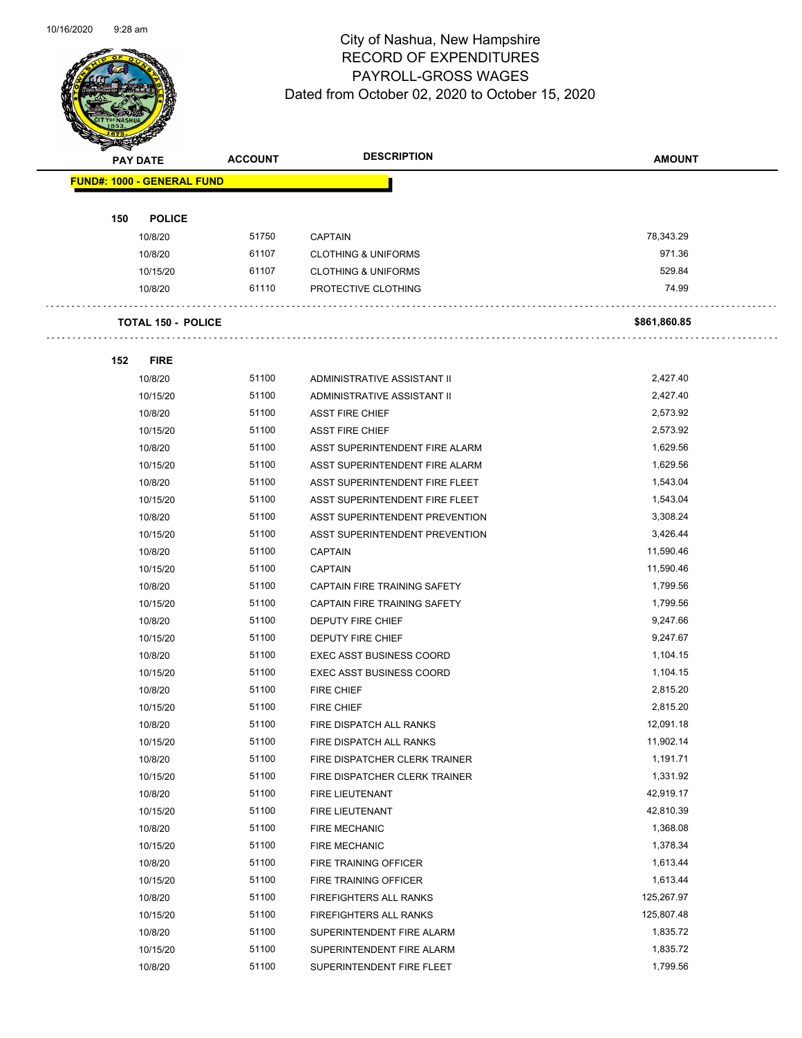

Page 57 of 104

|     | <b>PAY DATE</b>                   | <b>ACCOUNT</b> | <b>DESCRIPTION</b>              | <b>AMOUNT</b>         |
|-----|-----------------------------------|----------------|---------------------------------|-----------------------|
|     | <b>FUND#: 1000 - GENERAL FUND</b> |                |                                 |                       |
|     |                                   |                |                                 |                       |
| 150 | <b>POLICE</b>                     |                |                                 |                       |
|     | 10/8/20                           | 51750          | <b>CAPTAIN</b>                  | 78,343.29             |
|     | 10/8/20                           | 61107          | <b>CLOTHING &amp; UNIFORMS</b>  | 971.36                |
|     | 10/15/20                          | 61107          | <b>CLOTHING &amp; UNIFORMS</b>  | 529.84                |
|     | 10/8/20                           | 61110          | PROTECTIVE CLOTHING             | 74.99                 |
|     |                                   |                |                                 |                       |
|     | <b>TOTAL 150 - POLICE</b>         |                |                                 | \$861,860.85          |
|     |                                   |                |                                 |                       |
| 152 | <b>FIRE</b>                       |                |                                 |                       |
|     | 10/8/20                           | 51100          | ADMINISTRATIVE ASSISTANT II     | 2,427.40              |
|     | 10/15/20                          | 51100          | ADMINISTRATIVE ASSISTANT II     | 2,427.40              |
|     | 10/8/20                           | 51100          | <b>ASST FIRE CHIEF</b>          | 2,573.92              |
|     | 10/15/20                          | 51100          | <b>ASST FIRE CHIEF</b>          | 2,573.92              |
|     | 10/8/20                           | 51100          | ASST SUPERINTENDENT FIRE ALARM  | 1,629.56              |
|     | 10/15/20                          | 51100          | ASST SUPERINTENDENT FIRE ALARM  | 1,629.56              |
|     | 10/8/20                           | 51100          | ASST SUPERINTENDENT FIRE FLEET  | 1,543.04              |
|     | 10/15/20                          | 51100          | ASST SUPERINTENDENT FIRE FLEET  | 1,543.04              |
|     | 10/8/20                           | 51100          | ASST SUPERINTENDENT PREVENTION  | 3,308.24              |
|     | 10/15/20                          | 51100          | ASST SUPERINTENDENT PREVENTION  | 3,426.44              |
|     | 10/8/20                           | 51100          | <b>CAPTAIN</b>                  | 11,590.46             |
|     | 10/15/20                          | 51100          | <b>CAPTAIN</b>                  | 11,590.46             |
|     | 10/8/20                           | 51100          | CAPTAIN FIRE TRAINING SAFETY    | 1,799.56              |
|     | 10/15/20                          | 51100          | CAPTAIN FIRE TRAINING SAFETY    | 1,799.56              |
|     | 10/8/20                           | 51100          | DEPUTY FIRE CHIEF               | 9,247.66              |
|     | 10/15/20                          | 51100          | <b>DEPUTY FIRE CHIEF</b>        | 9,247.67              |
|     | 10/8/20                           | 51100          | <b>EXEC ASST BUSINESS COORD</b> | 1,104.15              |
|     | 10/15/20                          | 51100          | <b>EXEC ASST BUSINESS COORD</b> | 1,104.15              |
|     | 10/8/20                           | 51100          | <b>FIRE CHIEF</b>               | 2,815.20              |
|     | 10/15/20                          | 51100          | <b>FIRE CHIEF</b>               | 2,815.20              |
|     | 10/8/20                           | 51100          | FIRE DISPATCH ALL RANKS         | 12,091.18             |
|     |                                   | 51100          |                                 |                       |
|     | 10/15/20                          |                | FIRE DISPATCH ALL RANKS         | 11,902.14<br>1,191.71 |
|     | 10/8/20                           | 51100<br>51100 | FIRE DISPATCHER CLERK TRAINER   | 1,331.92              |
|     | 10/15/20                          |                | FIRE DISPATCHER CLERK TRAINER   |                       |
|     | 10/8/20                           | 51100          | FIRE LIEUTENANT                 | 42,919.17             |
|     | 10/15/20                          | 51100          | FIRE LIEUTENANT                 | 42,810.39             |
|     | 10/8/20                           | 51100          | <b>FIRE MECHANIC</b>            | 1,368.08              |
|     | 10/15/20                          | 51100          | <b>FIRE MECHANIC</b>            | 1,378.34              |
|     | 10/8/20                           | 51100          | FIRE TRAINING OFFICER           | 1,613.44              |
|     | 10/15/20                          | 51100          | FIRE TRAINING OFFICER           | 1,613.44              |
|     | 10/8/20                           | 51100          | FIREFIGHTERS ALL RANKS          | 125,267.97            |
|     | 10/15/20                          | 51100          | FIREFIGHTERS ALL RANKS          | 125,807.48            |
|     | 10/8/20                           | 51100          | SUPERINTENDENT FIRE ALARM       | 1,835.72              |
|     | 10/15/20                          | 51100          | SUPERINTENDENT FIRE ALARM       | 1,835.72              |
|     | 10/8/20                           | 51100          | SUPERINTENDENT FIRE FLEET       | 1,799.56              |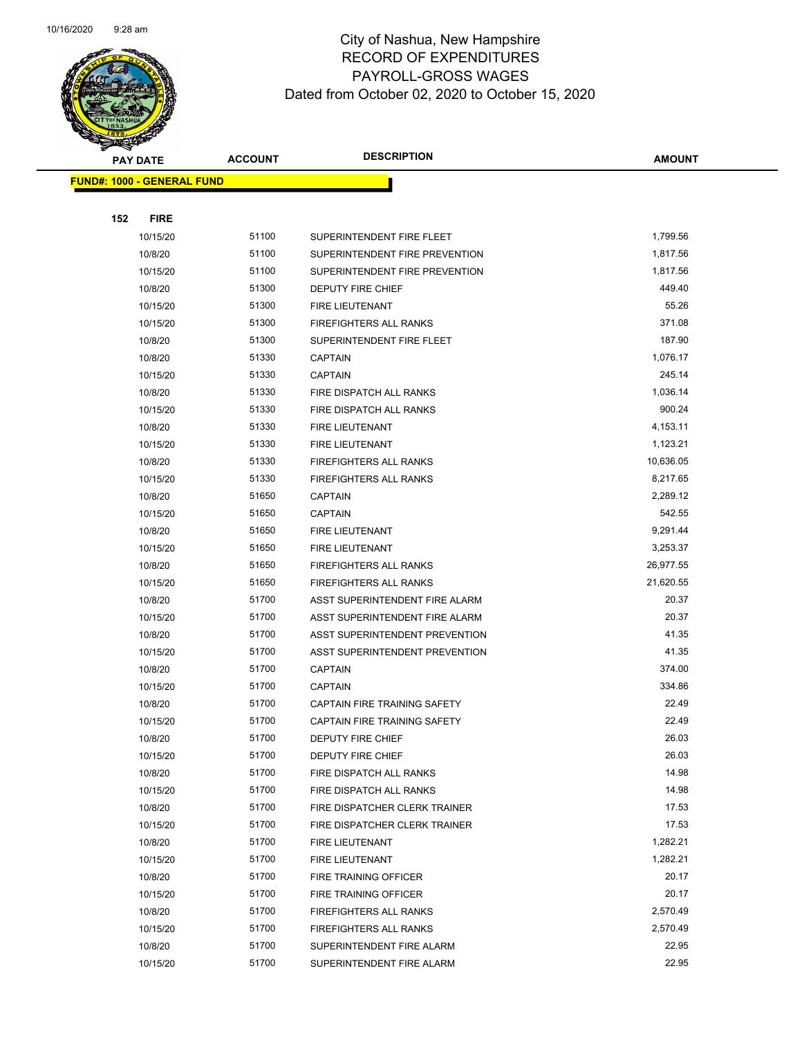

Page 58 of 104

|                                   | <b>PAY DATE</b> | <b>ACCOUNT</b> | <b>DESCRIPTION</b>             | <b>AMOUNT</b> |
|-----------------------------------|-----------------|----------------|--------------------------------|---------------|
| <b>FUND#: 1000 - GENERAL FUND</b> |                 |                |                                |               |
|                                   |                 |                |                                |               |
| 152                               | <b>FIRE</b>     |                |                                |               |
|                                   | 10/15/20        | 51100          | SUPERINTENDENT FIRE FLEET      | 1,799.56      |
|                                   | 10/8/20         | 51100          | SUPERINTENDENT FIRE PREVENTION | 1,817.56      |
|                                   | 10/15/20        | 51100          | SUPERINTENDENT FIRE PREVENTION | 1,817.56      |
|                                   | 10/8/20         | 51300          | <b>DEPUTY FIRE CHIEF</b>       | 449.40        |
|                                   | 10/15/20        | 51300          | FIRE LIEUTENANT                | 55.26         |
|                                   | 10/15/20        | 51300          | <b>FIREFIGHTERS ALL RANKS</b>  | 371.08        |
|                                   | 10/8/20         | 51300          | SUPERINTENDENT FIRE FLEET      | 187.90        |
|                                   | 10/8/20         | 51330          | <b>CAPTAIN</b>                 | 1,076.17      |
|                                   | 10/15/20        | 51330          | <b>CAPTAIN</b>                 | 245.14        |
|                                   | 10/8/20         | 51330          | FIRE DISPATCH ALL RANKS        | 1,036.14      |
|                                   | 10/15/20        | 51330          | FIRE DISPATCH ALL RANKS        | 900.24        |
|                                   | 10/8/20         | 51330          | <b>FIRE LIEUTENANT</b>         | 4,153.11      |
|                                   | 10/15/20        | 51330          | FIRE LIEUTENANT                | 1,123.21      |
|                                   | 10/8/20         | 51330          | <b>FIREFIGHTERS ALL RANKS</b>  | 10,636.05     |
|                                   | 10/15/20        | 51330          | <b>FIREFIGHTERS ALL RANKS</b>  | 8,217.65      |
|                                   | 10/8/20         | 51650          | CAPTAIN                        | 2,289.12      |
|                                   | 10/15/20        | 51650          | <b>CAPTAIN</b>                 | 542.55        |
|                                   | 10/8/20         | 51650          | FIRE LIEUTENANT                | 9,291.44      |
|                                   | 10/15/20        | 51650          | FIRE LIEUTENANT                | 3,253.37      |
|                                   | 10/8/20         | 51650          | <b>FIREFIGHTERS ALL RANKS</b>  | 26,977.55     |
|                                   | 10/15/20        | 51650          | <b>FIREFIGHTERS ALL RANKS</b>  | 21,620.55     |
|                                   | 10/8/20         | 51700          | ASST SUPERINTENDENT FIRE ALARM | 20.37         |
|                                   | 10/15/20        | 51700          | ASST SUPERINTENDENT FIRE ALARM | 20.37         |
|                                   | 10/8/20         | 51700          | ASST SUPERINTENDENT PREVENTION | 41.35         |
|                                   | 10/15/20        | 51700          | ASST SUPERINTENDENT PREVENTION | 41.35         |
|                                   | 10/8/20         | 51700          | <b>CAPTAIN</b>                 | 374.00        |
|                                   | 10/15/20        | 51700          | <b>CAPTAIN</b>                 | 334.86        |
|                                   | 10/8/20         | 51700          | CAPTAIN FIRE TRAINING SAFETY   | 22.49         |
|                                   | 10/15/20        | 51700          | CAPTAIN FIRE TRAINING SAFETY   | 22.49         |
|                                   | 10/8/20         | 51700          | DEPUTY FIRE CHIEF              | 26.03         |
|                                   | 10/15/20        | 51700          | DEPUTY FIRE CHIEF              | 26.03         |
|                                   | 10/8/20         | 51700          | <b>FIRE DISPATCH ALL RANKS</b> | 14.98         |
|                                   | 10/15/20        | 51700          | FIRE DISPATCH ALL RANKS        | 14.98         |
|                                   | 10/8/20         | 51700          | FIRE DISPATCHER CLERK TRAINER  | 17.53         |
|                                   | 10/15/20        | 51700          | FIRE DISPATCHER CLERK TRAINER  | 17.53         |
|                                   | 10/8/20         | 51700          | FIRE LIEUTENANT                | 1,282.21      |
|                                   | 10/15/20        | 51700          | FIRE LIEUTENANT                | 1,282.21      |
|                                   | 10/8/20         | 51700          | FIRE TRAINING OFFICER          | 20.17         |
|                                   | 10/15/20        | 51700          | FIRE TRAINING OFFICER          | 20.17         |
|                                   | 10/8/20         | 51700          | <b>FIREFIGHTERS ALL RANKS</b>  | 2,570.49      |
|                                   | 10/15/20        | 51700          | <b>FIREFIGHTERS ALL RANKS</b>  | 2,570.49      |
|                                   | 10/8/20         | 51700          | SUPERINTENDENT FIRE ALARM      | 22.95         |
|                                   | 10/15/20        | 51700          | SUPERINTENDENT FIRE ALARM      | 22.95         |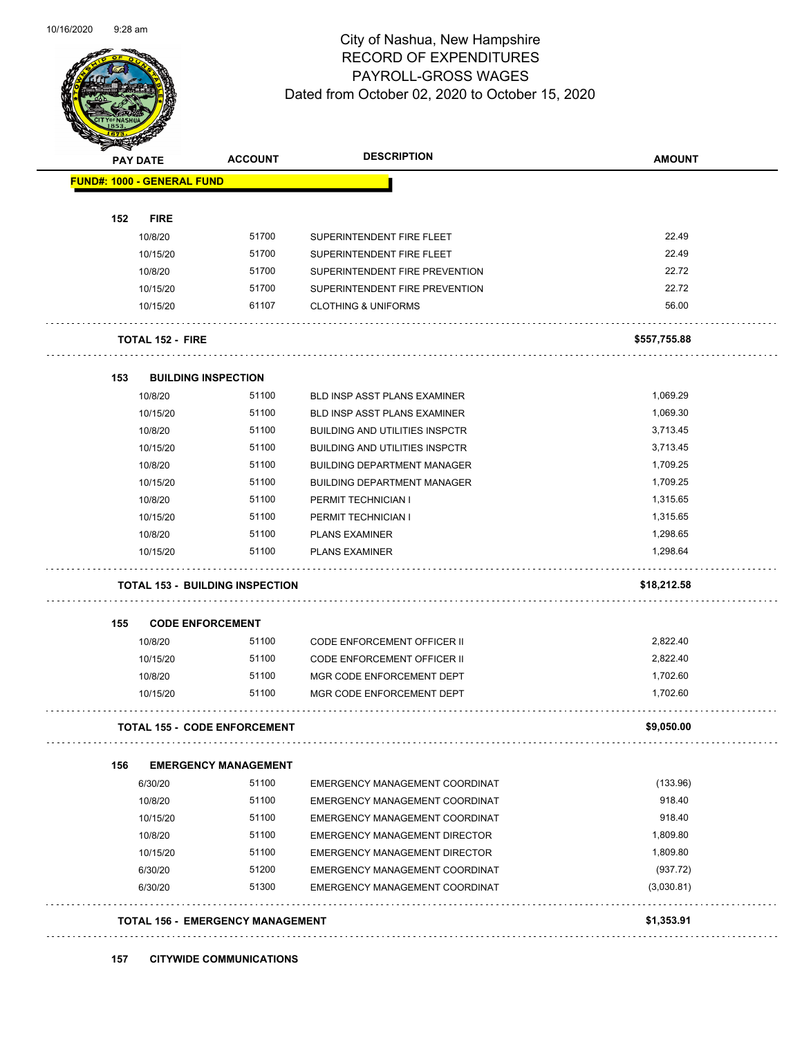

Page 59 of 104

| <b>PAY DATE</b>                        | <b>ACCOUNT</b>              | <b>DESCRIPTION</b>                    | <b>AMOUNT</b> |
|----------------------------------------|-----------------------------|---------------------------------------|---------------|
| <b>FUND#: 1000 - GENERAL FUND</b>      |                             |                                       |               |
|                                        |                             |                                       |               |
| 152<br><b>FIRE</b>                     |                             |                                       |               |
| 10/8/20                                | 51700                       | SUPERINTENDENT FIRE FLEET             | 22.49         |
| 10/15/20                               | 51700                       | SUPERINTENDENT FIRE FLEET             | 22.49         |
| 10/8/20                                | 51700                       | SUPERINTENDENT FIRE PREVENTION        | 22.72         |
| 10/15/20                               | 51700                       | SUPERINTENDENT FIRE PREVENTION        | 22.72         |
| 10/15/20                               | 61107                       | <b>CLOTHING &amp; UNIFORMS</b>        | 56.00         |
| <b>TOTAL 152 - FIRE</b>                |                             |                                       | \$557,755.88  |
| <b>BUILDING INSPECTION</b><br>153      |                             |                                       |               |
| 10/8/20                                | 51100                       | <b>BLD INSP ASST PLANS EXAMINER</b>   | 1,069.29      |
| 10/15/20                               | 51100                       | <b>BLD INSP ASST PLANS EXAMINER</b>   | 1,069.30      |
| 10/8/20                                | 51100                       | <b>BUILDING AND UTILITIES INSPCTR</b> | 3,713.45      |
| 10/15/20                               | 51100                       | <b>BUILDING AND UTILITIES INSPCTR</b> | 3,713.45      |
| 10/8/20                                | 51100                       | <b>BUILDING DEPARTMENT MANAGER</b>    | 1,709.25      |
| 10/15/20                               | 51100                       | <b>BUILDING DEPARTMENT MANAGER</b>    | 1,709.25      |
| 10/8/20                                | 51100                       | PERMIT TECHNICIAN I                   | 1,315.65      |
| 10/15/20                               | 51100                       | PERMIT TECHNICIAN I                   | 1,315.65      |
| 10/8/20                                | 51100                       | <b>PLANS EXAMINER</b>                 | 1,298.65      |
| 10/15/20                               | 51100                       | <b>PLANS EXAMINER</b>                 | 1,298.64      |
| <b>TOTAL 153 - BUILDING INSPECTION</b> |                             |                                       | \$18,212.58   |
| <b>CODE ENFORCEMENT</b><br>155         |                             |                                       |               |
| 10/8/20                                | 51100                       | <b>CODE ENFORCEMENT OFFICER II</b>    | 2,822.40      |
| 10/15/20                               | 51100                       | <b>CODE ENFORCEMENT OFFICER II</b>    | 2,822.40      |
| 10/8/20                                | 51100                       | MGR CODE ENFORCEMENT DEPT             | 1,702.60      |
| 10/15/20                               | 51100                       | MGR CODE ENFORCEMENT DEPT             | 1,702.60      |
| <b>TOTAL 155 - CODE ENFORCEMENT</b>    |                             |                                       | \$9,050.00    |
| 156                                    | <b>EMERGENCY MANAGEMENT</b> |                                       |               |
| 6/30/20                                | 51100                       | EMERGENCY MANAGEMENT COORDINAT        | (133.96)      |
| 10/8/20                                | 51100                       | EMERGENCY MANAGEMENT COORDINAT        | 918.40        |
| 10/15/20                               | 51100                       | EMERGENCY MANAGEMENT COORDINAT        | 918.40        |
| 10/8/20                                | 51100                       | <b>EMERGENCY MANAGEMENT DIRECTOR</b>  | 1,809.80      |
| 10/15/20                               | 51100                       | <b>EMERGENCY MANAGEMENT DIRECTOR</b>  | 1,809.80      |
| 6/30/20                                | 51200                       | EMERGENCY MANAGEMENT COORDINAT        | (937.72)      |
| 6/30/20                                | 51300                       | EMERGENCY MANAGEMENT COORDINAT        | (3,030.81)    |
|                                        |                             |                                       |               |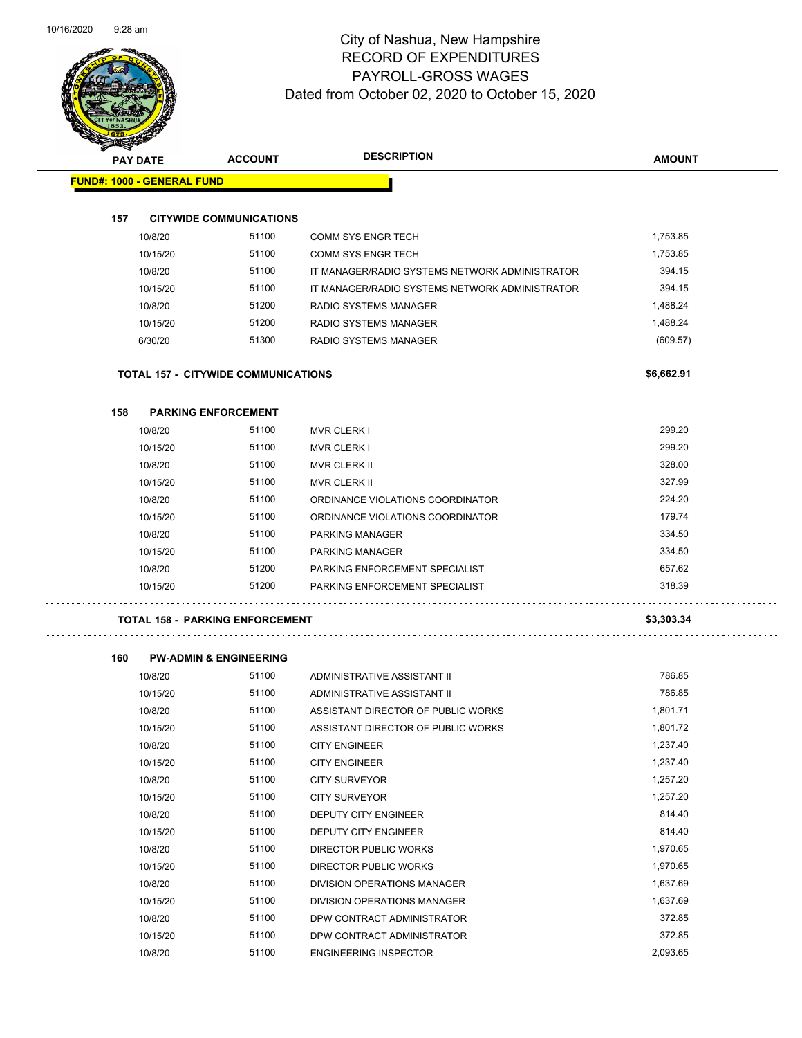

| <b>STATERS</b>                    |          |                                            |                                                |               |
|-----------------------------------|----------|--------------------------------------------|------------------------------------------------|---------------|
| <b>PAY DATE</b>                   |          | <b>ACCOUNT</b>                             | <b>DESCRIPTION</b>                             | <b>AMOUNT</b> |
| <b>FUND#: 1000 - GENERAL FUND</b> |          |                                            |                                                |               |
|                                   |          |                                            |                                                |               |
| 157                               |          | <b>CITYWIDE COMMUNICATIONS</b>             |                                                |               |
|                                   | 10/8/20  | 51100                                      | <b>COMM SYS ENGR TECH</b>                      | 1,753.85      |
|                                   | 10/15/20 | 51100                                      | <b>COMM SYS ENGR TECH</b>                      | 1,753.85      |
|                                   | 10/8/20  | 51100                                      | IT MANAGER/RADIO SYSTEMS NETWORK ADMINISTRATOR | 394.15        |
|                                   | 10/15/20 | 51100                                      | IT MANAGER/RADIO SYSTEMS NETWORK ADMINISTRATOR | 394.15        |
|                                   | 10/8/20  | 51200                                      | RADIO SYSTEMS MANAGER                          | 1,488.24      |
|                                   | 10/15/20 | 51200                                      | <b>RADIO SYSTEMS MANAGER</b>                   | 1,488.24      |
|                                   | 6/30/20  | 51300                                      | <b>RADIO SYSTEMS MANAGER</b>                   | (609.57)      |
|                                   |          | <b>TOTAL 157 - CITYWIDE COMMUNICATIONS</b> |                                                | \$6,662.91    |
| 158                               |          | <b>PARKING ENFORCEMENT</b>                 |                                                |               |
|                                   | 10/8/20  | 51100                                      | <b>MVR CLERK I</b>                             | 299.20        |
|                                   | 10/15/20 | 51100                                      | <b>MVR CLERK I</b>                             | 299.20        |
|                                   | 10/8/20  | 51100                                      | <b>MVR CLERK II</b>                            | 328.00        |
|                                   | 10/15/20 | 51100                                      | <b>MVR CLERK II</b>                            | 327.99        |
|                                   | 10/8/20  | 51100                                      | ORDINANCE VIOLATIONS COORDINATOR               | 224.20        |
|                                   | 10/15/20 | 51100                                      | ORDINANCE VIOLATIONS COORDINATOR               | 179.74        |
|                                   | 10/8/20  | 51100                                      | PARKING MANAGER                                | 334.50        |
|                                   | 10/15/20 | 51100                                      | PARKING MANAGER                                | 334.50        |
|                                   | 10/8/20  | 51200                                      | PARKING ENFORCEMENT SPECIALIST                 | 657.62        |
|                                   | 10/15/20 | 51200                                      | PARKING ENFORCEMENT SPECIALIST                 | 318.39        |
|                                   |          | <b>TOTAL 158 - PARKING ENFORCEMENT</b>     |                                                | \$3,303.34    |
| 160                               |          | <b>PW-ADMIN &amp; ENGINEERING</b>          |                                                |               |
|                                   | 10/8/20  | 51100                                      | ADMINISTRATIVE ASSISTANT II                    | 786.85        |
|                                   | 10/15/20 | 51100                                      | ADMINISTRATIVE ASSISTANT II                    | 786.85        |
|                                   | 10/8/20  | 51100                                      | ASSISTANT DIRECTOR OF PUBLIC WORKS             | 1,801.71      |
|                                   | 10/15/20 | 51100                                      | ASSISTANT DIRECTOR OF PUBLIC WORKS             | 1,801.72      |
|                                   | 10/8/20  | 51100                                      | <b>CITY ENGINEER</b>                           | 1,237.40      |
|                                   | 10/15/20 | 51100                                      | <b>CITY ENGINEER</b>                           | 1,237.40      |
|                                   | 10/8/20  | 51100                                      | <b>CITY SURVEYOR</b>                           | 1,257.20      |
|                                   | 10/15/20 | 51100                                      | <b>CITY SURVEYOR</b>                           | 1,257.20      |
|                                   | 10/8/20  | 51100                                      | <b>DEPUTY CITY ENGINEER</b>                    | 814.40        |
|                                   | 10/15/20 | 51100                                      | DEPUTY CITY ENGINEER                           | 814.40        |
|                                   | 10/8/20  | 51100                                      | DIRECTOR PUBLIC WORKS                          | 1,970.65      |
|                                   | 10/15/20 | 51100                                      | DIRECTOR PUBLIC WORKS                          | 1,970.65      |
|                                   | 10/8/20  | 51100                                      | DIVISION OPERATIONS MANAGER                    | 1,637.69      |
|                                   | 10/15/20 | 51100                                      | DIVISION OPERATIONS MANAGER                    | 1,637.69      |

10/8/20 51100 DPW CONTRACT ADMINISTRATOR 372.85 10/15/20 51100 DPW CONTRACT ADMINISTRATOR 372.85 10/8/20 51100 ENGINEERING INSPECTOR 2,093.65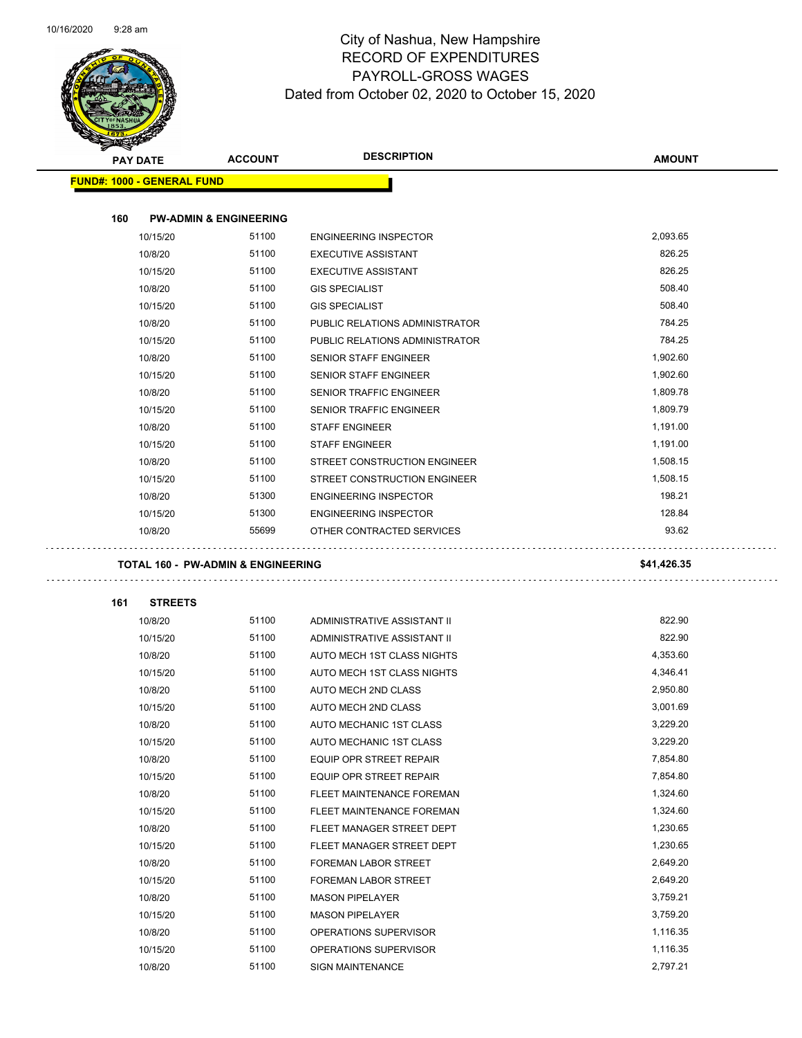

|     | <b>PAY DATE</b>                   | <b>ACCOUNT</b>                                | <b>DESCRIPTION</b>                              | <b>AMOUNT</b>        |
|-----|-----------------------------------|-----------------------------------------------|-------------------------------------------------|----------------------|
|     | <b>FUND#: 1000 - GENERAL FUND</b> |                                               |                                                 |                      |
| 160 |                                   | <b>PW-ADMIN &amp; ENGINEERING</b>             |                                                 |                      |
|     | 10/15/20                          | 51100                                         | <b>ENGINEERING INSPECTOR</b>                    | 2,093.65             |
|     | 10/8/20                           | 51100                                         | <b>EXECUTIVE ASSISTANT</b>                      | 826.25               |
|     | 10/15/20                          | 51100                                         | <b>EXECUTIVE ASSISTANT</b>                      | 826.25               |
|     | 10/8/20                           | 51100                                         | <b>GIS SPECIALIST</b>                           | 508.40               |
|     | 10/15/20                          | 51100                                         | <b>GIS SPECIALIST</b>                           | 508.40               |
|     | 10/8/20                           | 51100                                         | PUBLIC RELATIONS ADMINISTRATOR                  | 784.25               |
|     | 10/15/20                          | 51100                                         | PUBLIC RELATIONS ADMINISTRATOR                  | 784.25               |
|     | 10/8/20                           | 51100                                         | SENIOR STAFF ENGINEER                           | 1,902.60             |
|     |                                   | 51100                                         |                                                 | 1,902.60             |
|     | 10/15/20                          |                                               | <b>SENIOR STAFF ENGINEER</b>                    |                      |
|     | 10/8/20                           | 51100                                         | <b>SENIOR TRAFFIC ENGINEER</b>                  | 1,809.78             |
|     | 10/15/20                          | 51100                                         | <b>SENIOR TRAFFIC ENGINEER</b>                  | 1,809.79             |
|     | 10/8/20                           | 51100                                         | <b>STAFF ENGINEER</b>                           | 1,191.00             |
|     | 10/15/20                          | 51100                                         | <b>STAFF ENGINEER</b>                           | 1,191.00             |
|     | 10/8/20                           | 51100                                         | STREET CONSTRUCTION ENGINEER                    | 1,508.15             |
|     | 10/15/20                          | 51100                                         | STREET CONSTRUCTION ENGINEER                    | 1,508.15             |
|     | 10/8/20                           | 51300                                         | <b>ENGINEERING INSPECTOR</b>                    | 198.21               |
|     |                                   |                                               |                                                 | 128.84               |
|     | 10/15/20                          | 51300                                         | <b>ENGINEERING INSPECTOR</b>                    |                      |
|     | 10/8/20                           | 55699                                         | OTHER CONTRACTED SERVICES                       | 93.62                |
|     |                                   | <b>TOTAL 160 - PW-ADMIN &amp; ENGINEERING</b> |                                                 | \$41,426.35          |
|     |                                   |                                               |                                                 |                      |
| 161 | <b>STREETS</b>                    |                                               |                                                 |                      |
|     | 10/8/20                           | 51100                                         | ADMINISTRATIVE ASSISTANT II                     | 822.90               |
|     | 10/15/20                          | 51100                                         | ADMINISTRATIVE ASSISTANT II                     | 822.90               |
|     | 10/8/20                           | 51100                                         | AUTO MECH 1ST CLASS NIGHTS                      | 4,353.60             |
|     | 10/15/20                          | 51100                                         | AUTO MECH 1ST CLASS NIGHTS                      | 4,346.41             |
|     | 10/8/20                           | 51100                                         | AUTO MECH 2ND CLASS                             | 2,950.80             |
|     | 10/15/20                          | 51100                                         | <b>AUTO MECH 2ND CLASS</b>                      | 3,001.69             |
|     | 10/8/20                           | 51100                                         | AUTO MECHANIC 1ST CLASS                         | 3,229.20             |
|     | 10/15/20                          | 51100                                         | AUTO MECHANIC 1ST CLASS                         | 3,229.20             |
|     | 10/8/20                           | 51100                                         | EQUIP OPR STREET REPAIR                         | 7,854.80             |
|     | 10/15/20                          | 51100                                         | EQUIP OPR STREET REPAIR                         | 7,854.80             |
|     | 10/8/20                           | 51100                                         | FLEET MAINTENANCE FOREMAN                       | 1,324.60             |
|     | 10/15/20                          | 51100                                         | FLEET MAINTENANCE FOREMAN                       | 1,324.60             |
|     | 10/8/20                           | 51100                                         | FLEET MANAGER STREET DEPT                       | 1,230.65             |
|     | 10/15/20                          | 51100                                         | FLEET MANAGER STREET DEPT                       | 1,230.65             |
|     | 10/8/20                           | 51100                                         | <b>FOREMAN LABOR STREET</b>                     | 2,649.20             |
|     |                                   | 51100                                         |                                                 |                      |
|     | 10/15/20                          |                                               | <b>FOREMAN LABOR STREET</b>                     | 2,649.20             |
|     | 10/8/20                           | 51100                                         | <b>MASON PIPELAYER</b>                          | 3,759.21             |
|     | 10/15/20<br>10/8/20               | 51100<br>51100                                | <b>MASON PIPELAYER</b><br>OPERATIONS SUPERVISOR | 3,759.20<br>1,116.35 |

10/8/20 51100 SIGN MAINTENANCE 2,797.21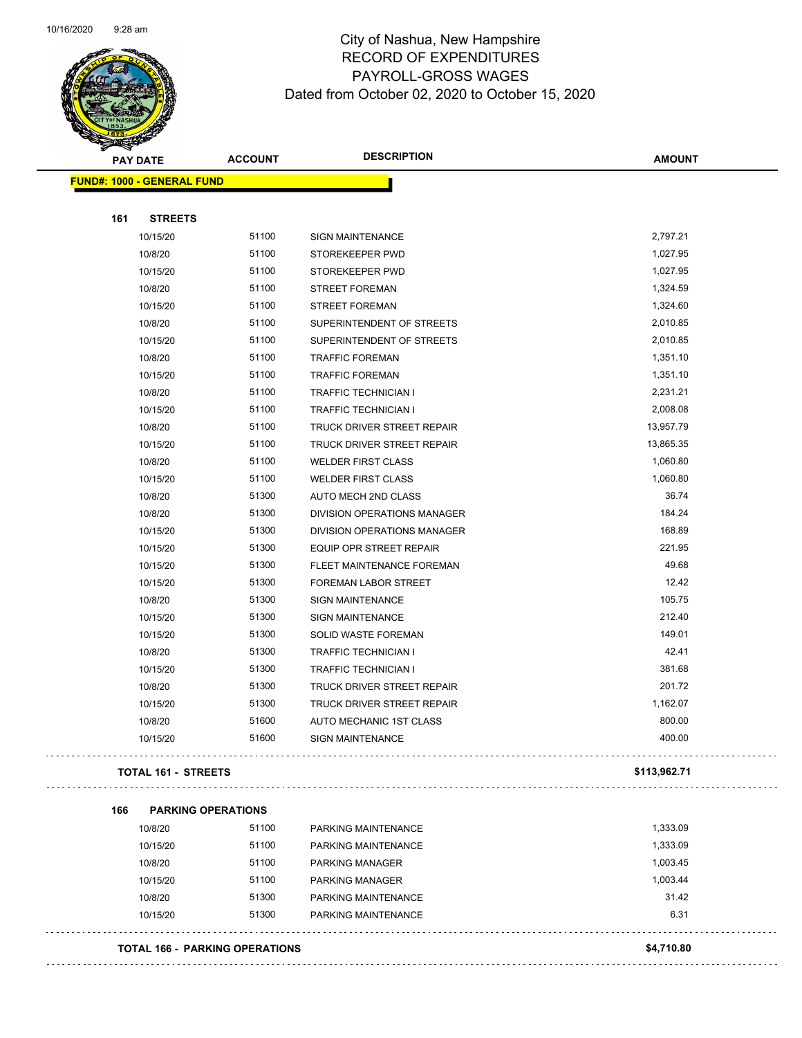

#### City of Nashua, New Hampshire RECORD OF EXPENDITURES PAYROLL-GROSS WAGES Dated from October 02, 2020 to October 15, 2020

| ទ<br>$\blacktriangleleft$ . |                                   |                |                                   |               |
|-----------------------------|-----------------------------------|----------------|-----------------------------------|---------------|
|                             | <b>PAY DATE</b>                   | <b>ACCOUNT</b> | <b>DESCRIPTION</b>                | <b>AMOUNT</b> |
|                             | <b>FUND#: 1000 - GENERAL FUND</b> |                |                                   |               |
|                             |                                   |                |                                   |               |
| 161                         | <b>STREETS</b>                    |                |                                   |               |
|                             | 10/15/20                          | 51100          | <b>SIGN MAINTENANCE</b>           | 2,797.21      |
|                             | 10/8/20                           | 51100          | STOREKEEPER PWD                   | 1,027.95      |
|                             | 10/15/20                          | 51100          | STOREKEEPER PWD                   | 1,027.95      |
|                             | 10/8/20                           | 51100          | <b>STREET FOREMAN</b>             | 1,324.59      |
|                             | 10/15/20                          | 51100          | <b>STREET FOREMAN</b>             | 1,324.60      |
|                             | 10/8/20                           | 51100          | SUPERINTENDENT OF STREETS         | 2,010.85      |
|                             | 10/15/20                          | 51100          | SUPERINTENDENT OF STREETS         | 2,010.85      |
|                             | 10/8/20                           | 51100          | <b>TRAFFIC FOREMAN</b>            | 1,351.10      |
|                             | 10/15/20                          | 51100          | <b>TRAFFIC FOREMAN</b>            | 1,351.10      |
|                             | 10/8/20                           | 51100          | <b>TRAFFIC TECHNICIAN I</b>       | 2,231.21      |
|                             | 10/15/20                          | 51100          | TRAFFIC TECHNICIAN I              | 2,008.08      |
|                             | 10/8/20                           | 51100          | <b>TRUCK DRIVER STREET REPAIR</b> | 13,957.79     |
|                             | 10/15/20                          | 51100          | TRUCK DRIVER STREET REPAIR        | 13,865.35     |
|                             | 10/8/20                           | 51100          | <b>WELDER FIRST CLASS</b>         | 1,060.80      |
|                             | 10/15/20                          | 51100          | <b>WELDER FIRST CLASS</b>         | 1,060.80      |
|                             | 10/8/20                           | 51300          | AUTO MECH 2ND CLASS               | 36.74         |
|                             | 10/8/20                           | 51300          | DIVISION OPERATIONS MANAGER       | 184.24        |
|                             | 10/15/20                          | 51300          | DIVISION OPERATIONS MANAGER       | 168.89        |
|                             | 10/15/20                          | 51300          | EQUIP OPR STREET REPAIR           | 221.95        |
|                             | 10/15/20                          | 51300          | FLEET MAINTENANCE FOREMAN         | 49.68         |
|                             | 10/15/20                          | 51300          | FOREMAN LABOR STREET              | 12.42         |
|                             | 10/8/20                           | 51300          | <b>SIGN MAINTENANCE</b>           | 105.75        |
|                             | 10/15/20                          | 51300          | <b>SIGN MAINTENANCE</b>           | 212.40        |
|                             | 10/15/20                          | 51300          | SOLID WASTE FOREMAN               | 149.01        |
|                             | 10/8/20                           | 51300          | TRAFFIC TECHNICIAN I              | 42.41         |
|                             | 10/15/20                          | 51300          | TRAFFIC TECHNICIAN I              | 381.68        |
|                             | 10/8/20                           | 51300          | TRUCK DRIVER STREET REPAIR        | 201.72        |
|                             | 10/15/20                          | 51300          | TRUCK DRIVER STREET REPAIR        | 1,162.07      |
|                             | 10/8/20                           | 51600          | AUTO MECHANIC 1ST CLASS           | 800.00        |
|                             | 10/15/20                          | 51600          | SIGN MAINTENANCE                  | 400.00        |
|                             | <b>TOTAL 161 - STREETS</b>        |                |                                   | \$113,962.71  |
| 166                         | <b>PARKING OPERATIONS</b>         |                |                                   |               |
|                             | 10/8/20                           | 51100          | PARKING MAINTENANCE               | 1,333.09      |
|                             | 10/15/20                          | 51100          | DADIZING MAINITENANCE             | 1 333 00      |

| 10/8/20  | 51100 | PARKING MAINTENANCE    | ,333.09  |
|----------|-------|------------------------|----------|
| 10/15/20 | 51100 | PARKING MAINTENANCE    | 1,333.09 |
| 10/8/20  | 51100 | <b>PARKING MANAGER</b> | 1,003.45 |
| 10/15/20 | 51100 | PARKING MANAGER        | 1.003.44 |
| 10/8/20  | 51300 | PARKING MAINTENANCE    | 31.42    |
| 10/15/20 | 51300 | PARKING MAINTENANCE    | 6.31     |
|          |       |                        |          |

**TOTAL 166 - PARKING OPERATIONS \$4,710.80**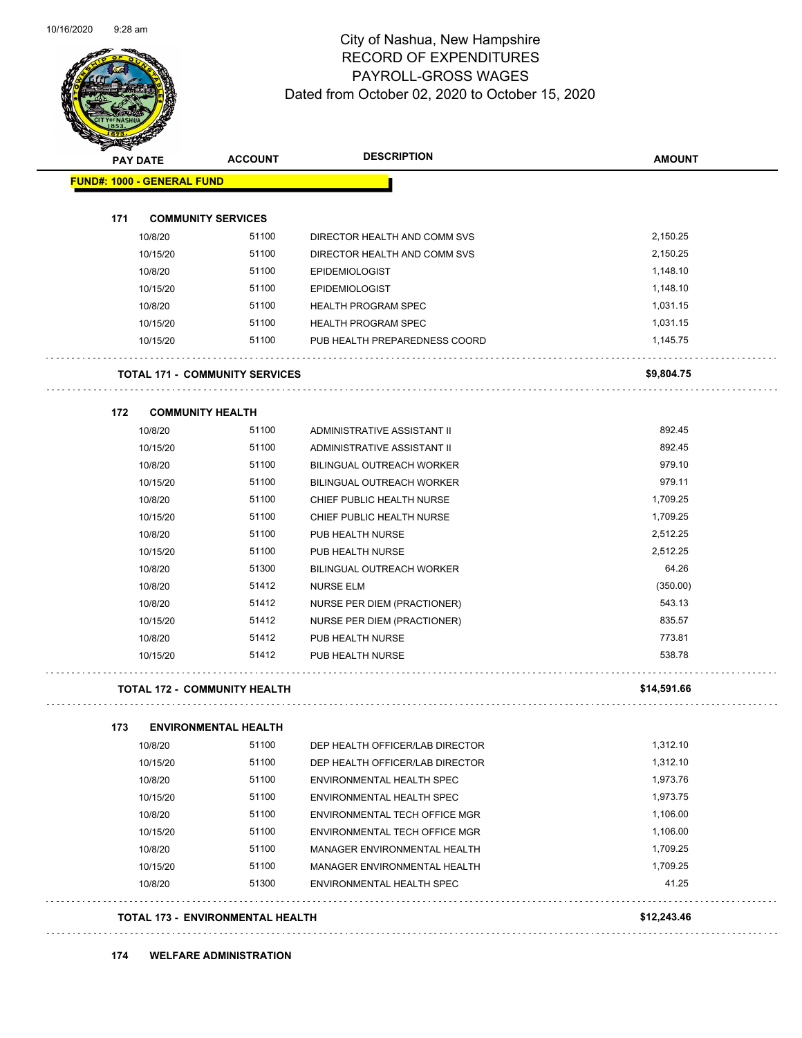

Page 63 of 104

| <b>PAY DATE</b>                   | <b>ACCOUNT</b>                        | <b>DESCRIPTION</b>               | <b>AMOUNT</b> |
|-----------------------------------|---------------------------------------|----------------------------------|---------------|
| <b>FUND#: 1000 - GENERAL FUND</b> |                                       |                                  |               |
| 171                               | <b>COMMUNITY SERVICES</b>             |                                  |               |
| 10/8/20                           | 51100                                 | DIRECTOR HEALTH AND COMM SVS     | 2,150.25      |
| 10/15/20                          | 51100                                 | DIRECTOR HEALTH AND COMM SVS     | 2,150.25      |
| 10/8/20                           | 51100                                 | <b>EPIDEMIOLOGIST</b>            | 1,148.10      |
| 10/15/20                          | 51100                                 | <b>EPIDEMIOLOGIST</b>            | 1,148.10      |
| 10/8/20                           | 51100                                 | <b>HEALTH PROGRAM SPEC</b>       | 1,031.15      |
| 10/15/20                          | 51100                                 | <b>HEALTH PROGRAM SPEC</b>       | 1,031.15      |
| 10/15/20                          | 51100                                 | PUB HEALTH PREPAREDNESS COORD    | 1,145.75      |
|                                   | <b>TOTAL 171 - COMMUNITY SERVICES</b> |                                  | \$9,804.75    |
| 172                               | <b>COMMUNITY HEALTH</b>               |                                  |               |
| 10/8/20                           | 51100                                 | ADMINISTRATIVE ASSISTANT II      | 892.45        |
| 10/15/20                          | 51100                                 | ADMINISTRATIVE ASSISTANT II      | 892.45        |
| 10/8/20                           | 51100                                 | <b>BILINGUAL OUTREACH WORKER</b> | 979.10        |
| 10/15/20                          | 51100                                 | <b>BILINGUAL OUTREACH WORKER</b> | 979.11        |
| 10/8/20                           | 51100                                 | CHIEF PUBLIC HEALTH NURSE        | 1,709.25      |
| 10/15/20                          | 51100                                 | CHIEF PUBLIC HEALTH NURSE        | 1,709.25      |
| 10/8/20                           | 51100                                 | PUB HEALTH NURSE                 | 2,512.25      |
| 10/15/20                          | 51100                                 | PUB HEALTH NURSE                 | 2,512.25      |
| 10/8/20                           | 51300                                 | <b>BILINGUAL OUTREACH WORKER</b> | 64.26         |
| 10/8/20                           | 51412                                 | <b>NURSE ELM</b>                 | (350.00)      |
| 10/8/20                           | 51412                                 | NURSE PER DIEM (PRACTIONER)      | 543.13        |
| 10/15/20                          | 51412                                 | NURSE PER DIEM (PRACTIONER)      | 835.57        |
| 10/8/20                           | 51412                                 | PUB HEALTH NURSE                 | 773.81        |
| 10/15/20                          | 51412                                 | PUB HEALTH NURSE                 | 538.78        |
|                                   | <b>TOTAL 172 - COMMUNITY HEALTH</b>   |                                  | \$14,591.66   |
| 173                               | <b>ENVIRONMENTAL HEALTH</b>           |                                  |               |
| 10/8/20                           | 51100                                 | DEP HEALTH OFFICER/LAB DIRECTOR  | 1,312.10      |
| 10/15/20                          | 51100                                 | DEP HEALTH OFFICER/LAB DIRECTOR  | 1,312.10      |
| 10/8/20                           | 51100                                 | ENVIRONMENTAL HEALTH SPEC        | 1,973.76      |
| 10/15/20                          | 51100                                 | ENVIRONMENTAL HEALTH SPEC        | 1,973.75      |
| 10/8/20                           | 51100                                 | ENVIRONMENTAL TECH OFFICE MGR    | 1,106.00      |
| 10/15/20                          | 51100                                 | ENVIRONMENTAL TECH OFFICE MGR    | 1,106.00      |
| 10/8/20                           | 51100                                 | MANAGER ENVIRONMENTAL HEALTH     | 1,709.25      |
| 10/15/20                          | 51100                                 | MANAGER ENVIRONMENTAL HEALTH     | 1,709.25      |
| 10/8/20                           | 51300                                 | ENVIRONMENTAL HEALTH SPEC        | 41.25         |

#### **TOTAL 173 - ENVIRONMENTAL HEALTH \$12,243.46**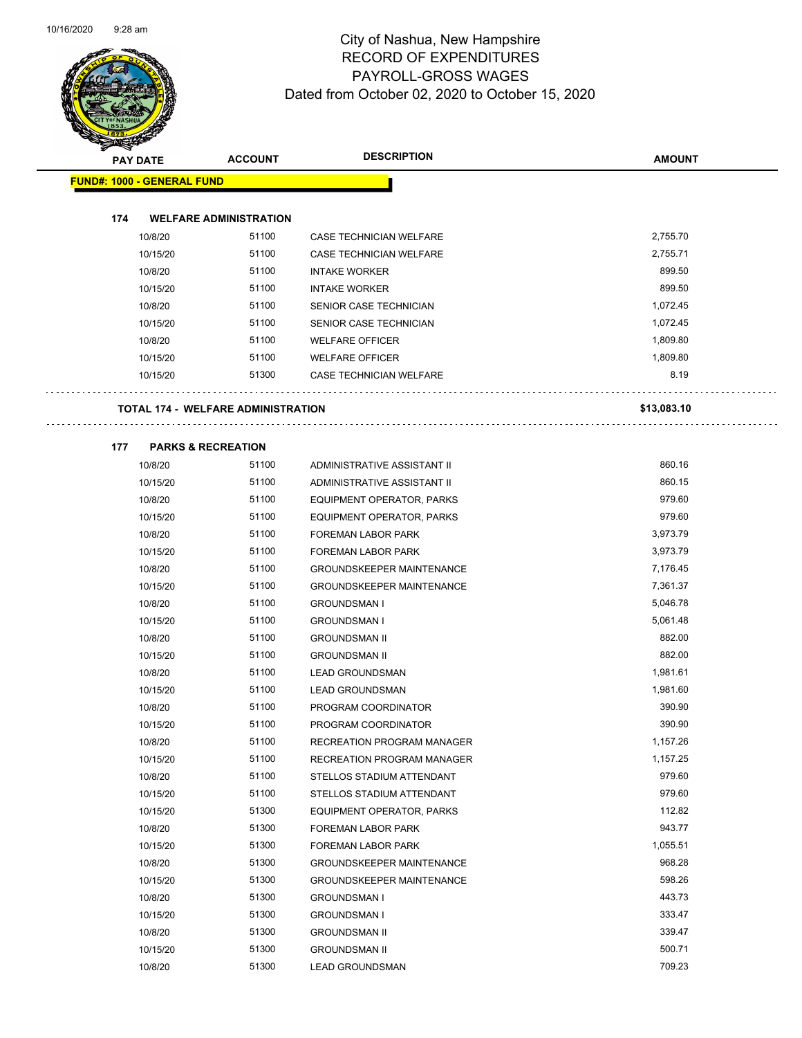

| <b>Andrew</b> | <b>PAY DATE</b>                   | <b>DESCRIPTION</b><br><b>ACCOUNT</b>      |                                  | <b>AMOUNT</b> |
|---------------|-----------------------------------|-------------------------------------------|----------------------------------|---------------|
|               | <b>FUND#: 1000 - GENERAL FUND</b> |                                           |                                  |               |
|               |                                   |                                           |                                  |               |
| 174           |                                   | <b>WELFARE ADMINISTRATION</b>             |                                  |               |
|               | 10/8/20                           | 51100                                     | CASE TECHNICIAN WELFARE          | 2,755.70      |
|               | 10/15/20                          | 51100                                     | CASE TECHNICIAN WELFARE          | 2,755.71      |
|               | 10/8/20                           | 51100                                     | <b>INTAKE WORKER</b>             | 899.50        |
|               | 10/15/20                          | 51100                                     | <b>INTAKE WORKER</b>             | 899.50        |
|               | 10/8/20                           | 51100                                     | SENIOR CASE TECHNICIAN           | 1,072.45      |
|               | 10/15/20                          | 51100                                     | SENIOR CASE TECHNICIAN           | 1,072.45      |
|               | 10/8/20                           | 51100                                     | <b>WELFARE OFFICER</b>           | 1,809.80      |
|               | 10/15/20                          | 51100                                     | <b>WELFARE OFFICER</b>           | 1,809.80      |
|               | 10/15/20                          | 51300                                     | <b>CASE TECHNICIAN WELFARE</b>   | 8.19          |
|               |                                   |                                           |                                  |               |
|               |                                   | <b>TOTAL 174 - WELFARE ADMINISTRATION</b> |                                  | \$13,083.10   |
|               |                                   |                                           |                                  |               |
| 177           |                                   | <b>PARKS &amp; RECREATION</b>             |                                  |               |
|               | 10/8/20                           | 51100                                     | ADMINISTRATIVE ASSISTANT II      | 860.16        |
|               | 10/15/20                          | 51100                                     | ADMINISTRATIVE ASSISTANT II      | 860.15        |
|               | 10/8/20                           | 51100                                     | EQUIPMENT OPERATOR, PARKS        | 979.60        |
|               | 10/15/20                          | 51100                                     | EQUIPMENT OPERATOR, PARKS        | 979.60        |
|               | 10/8/20                           | 51100                                     | FOREMAN LABOR PARK               | 3,973.79      |
|               | 10/15/20                          | 51100                                     | <b>FOREMAN LABOR PARK</b>        | 3,973.79      |
|               | 10/8/20                           | 51100                                     | <b>GROUNDSKEEPER MAINTENANCE</b> | 7,176.45      |
|               | 10/15/20                          | 51100                                     | <b>GROUNDSKEEPER MAINTENANCE</b> | 7,361.37      |
|               | 10/8/20                           | 51100                                     | <b>GROUNDSMAN I</b>              | 5,046.78      |
|               | 10/15/20                          | 51100                                     | <b>GROUNDSMAN I</b>              | 5,061.48      |
|               | 10/8/20                           | 51100                                     | <b>GROUNDSMAN II</b>             | 882.00        |
|               | 10/15/20                          | 51100                                     | <b>GROUNDSMAN II</b>             | 882.00        |
|               | 10/8/20                           | 51100                                     | <b>LEAD GROUNDSMAN</b>           | 1,981.61      |
|               | 10/15/20                          | 51100                                     | <b>LEAD GROUNDSMAN</b>           | 1,981.60      |
|               | 10/8/20                           | 51100                                     | PROGRAM COORDINATOR              | 390.90        |
|               | 10/15/20                          | 51100                                     | PROGRAM COORDINATOR              | 390.90        |
|               | 10/8/20                           | 51100                                     | RECREATION PROGRAM MANAGER       | 1,157.26      |
|               | 10/15/20                          | 51100                                     | RECREATION PROGRAM MANAGER       | 1,157.25      |
|               | 10/8/20                           | 51100                                     | STELLOS STADIUM ATTENDANT        | 979.60        |
|               | 10/15/20                          | 51100                                     | STELLOS STADIUM ATTENDANT        | 979.60        |
|               | 10/15/20                          | 51300                                     | <b>EQUIPMENT OPERATOR, PARKS</b> | 112.82        |
|               | 10/8/20                           | 51300                                     | FOREMAN LABOR PARK               | 943.77        |
|               | 10/15/20                          | 51300                                     | FOREMAN LABOR PARK               | 1,055.51      |
|               | 10/8/20                           | 51300                                     | <b>GROUNDSKEEPER MAINTENANCE</b> | 968.28        |
|               | 10/15/20                          | 51300                                     | <b>GROUNDSKEEPER MAINTENANCE</b> | 598.26        |
|               | 10/8/20                           | 51300                                     | <b>GROUNDSMAN I</b>              | 443.73        |
|               | 10/15/20                          | 51300                                     | <b>GROUNDSMAN I</b>              | 333.47        |
|               | 10/8/20                           | 51300                                     | <b>GROUNDSMAN II</b>             | 339.47        |

10/15/20 51300 GROUNDSMAN II 500.71 10/8/20 51300 LEAD GROUNDSMAN 709.23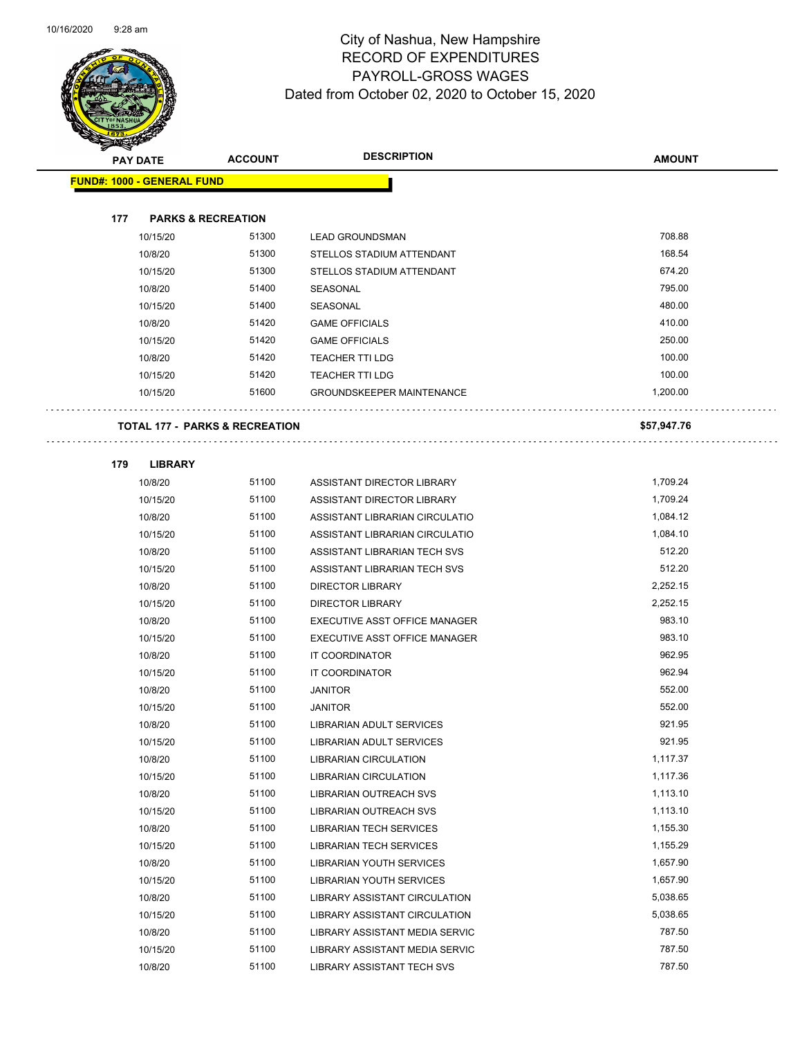

|     | <b>PAY DATE</b>                   | <b>ACCOUNT</b>                            | <b>DESCRIPTION</b>               | <b>AMOUNT</b> |
|-----|-----------------------------------|-------------------------------------------|----------------------------------|---------------|
|     | <b>FUND#: 1000 - GENERAL FUND</b> |                                           |                                  |               |
|     |                                   |                                           |                                  |               |
| 177 | <b>PARKS &amp; RECREATION</b>     |                                           |                                  |               |
|     | 10/15/20                          | 51300                                     | <b>LEAD GROUNDSMAN</b>           | 708.88        |
|     | 10/8/20                           | 51300                                     | STELLOS STADIUM ATTENDANT        | 168.54        |
|     | 10/15/20                          | 51300                                     | STELLOS STADIUM ATTENDANT        | 674.20        |
|     | 10/8/20                           | 51400                                     | SEASONAL                         | 795.00        |
|     | 10/15/20                          | 51400                                     | <b>SEASONAL</b>                  | 480.00        |
|     | 10/8/20                           | 51420                                     | <b>GAME OFFICIALS</b>            | 410.00        |
|     | 10/15/20                          | 51420                                     | <b>GAME OFFICIALS</b>            | 250.00        |
|     | 10/8/20                           | 51420                                     | <b>TEACHER TTI LDG</b>           | 100.00        |
|     | 10/15/20                          | 51420                                     | <b>TEACHER TTI LDG</b>           | 100.00        |
|     | 10/15/20                          | 51600                                     | <b>GROUNDSKEEPER MAINTENANCE</b> | 1,200.00      |
|     |                                   |                                           |                                  |               |
|     |                                   | <b>TOTAL 177 - PARKS &amp; RECREATION</b> |                                  | \$57,947.76   |
| 179 | <b>LIBRARY</b>                    |                                           |                                  |               |
|     | 10/8/20                           | 51100                                     | ASSISTANT DIRECTOR LIBRARY       | 1,709.24      |
|     | 10/15/20                          | 51100                                     | ASSISTANT DIRECTOR LIBRARY       | 1,709.24      |
|     | 10/8/20                           | 51100                                     | ASSISTANT LIBRARIAN CIRCULATIO   | 1,084.12      |
|     | 10/15/20                          | 51100                                     | ASSISTANT LIBRARIAN CIRCULATIO   | 1,084.10      |
|     | 10/8/20                           | 51100                                     | ASSISTANT LIBRARIAN TECH SVS     | 512.20        |
|     | 10/15/20                          | 51100                                     | ASSISTANT LIBRARIAN TECH SVS     | 512.20        |
|     | 10/8/20                           | 51100                                     | <b>DIRECTOR LIBRARY</b>          | 2,252.15      |
|     | 10/15/20                          | 51100                                     | DIRECTOR LIBRARY                 | 2,252.15      |
|     | 10/8/20                           | 51100                                     | EXECUTIVE ASST OFFICE MANAGER    | 983.10        |
|     | 10/15/20                          | 51100                                     | EXECUTIVE ASST OFFICE MANAGER    | 983.10        |
|     | 10/8/20                           | 51100                                     | IT COORDINATOR                   | 962.95        |
|     | 10/15/20                          | 51100                                     | IT COORDINATOR                   | 962.94        |
|     | 10/8/20                           | 51100                                     | <b>JANITOR</b>                   | 552.00        |
|     | 10/15/20                          | 51100                                     | <b>JANITOR</b>                   | 552.00        |
|     | 10/8/20                           | 51100                                     | <b>LIBRARIAN ADULT SERVICES</b>  | 921.95        |
|     | 10/15/20                          | 51100                                     | LIBRARIAN ADULT SERVICES         | 921.95        |
|     | 10/8/20                           | 51100                                     | <b>LIBRARIAN CIRCULATION</b>     | 1,117.37      |
|     | 10/15/20                          | 51100                                     | <b>LIBRARIAN CIRCULATION</b>     | 1,117.36      |
|     | 10/8/20                           | 51100                                     | LIBRARIAN OUTREACH SVS           | 1,113.10      |
|     | 10/15/20                          | 51100                                     | LIBRARIAN OUTREACH SVS           | 1,113.10      |
|     | 10/8/20                           | 51100                                     | <b>LIBRARIAN TECH SERVICES</b>   | 1,155.30      |
|     | 10/15/20                          | 51100                                     | LIBRARIAN TECH SERVICES          | 1,155.29      |
|     | 10/8/20                           | 51100                                     | <b>LIBRARIAN YOUTH SERVICES</b>  | 1,657.90      |
|     | 10/15/20                          | 51100                                     | <b>LIBRARIAN YOUTH SERVICES</b>  | 1,657.90      |
|     | 10/8/20                           | 51100                                     | LIBRARY ASSISTANT CIRCULATION    | 5,038.65      |
|     | 10/15/20                          | 51100                                     | LIBRARY ASSISTANT CIRCULATION    | 5,038.65      |
|     | 10/8/20                           | 51100                                     | LIBRARY ASSISTANT MEDIA SERVIC   | 787.50        |
|     | 10/15/20                          | 51100                                     | LIBRARY ASSISTANT MEDIA SERVIC   | 787.50        |
|     | 10/8/20                           | 51100                                     | LIBRARY ASSISTANT TECH SVS       | 787.50        |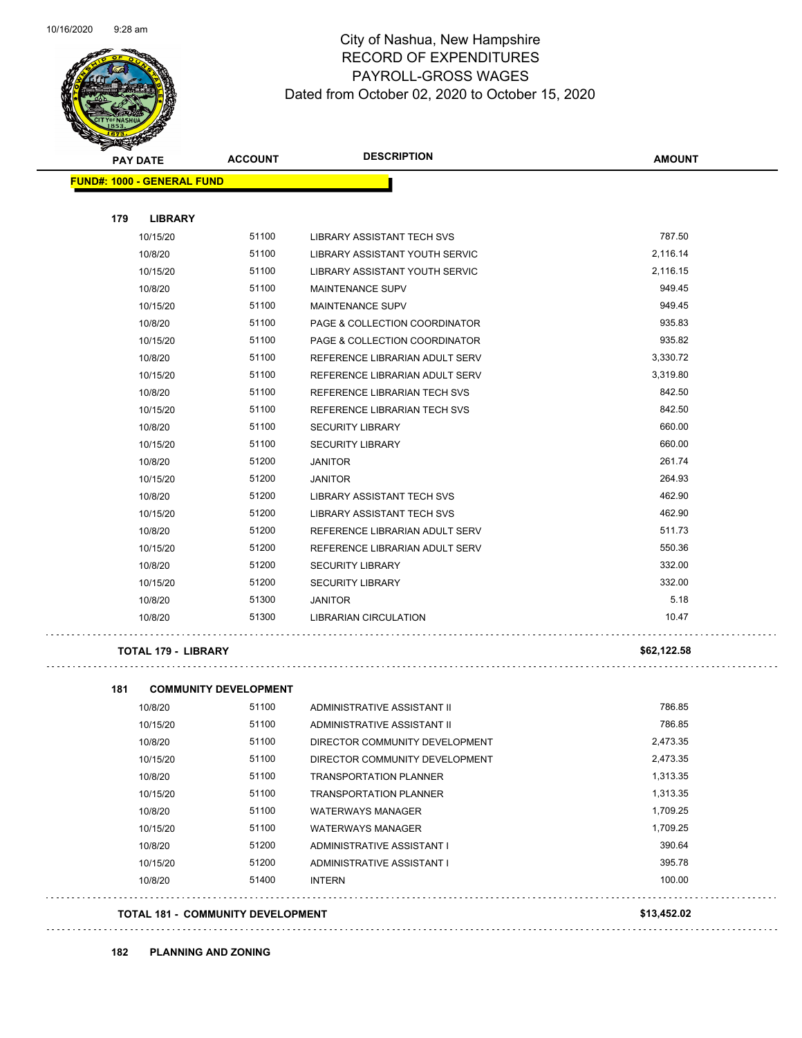

| <b>PAY DATE</b>                   | <b>ACCOUNT</b> | <b>DESCRIPTION</b>                | <b>AMOUNT</b> |
|-----------------------------------|----------------|-----------------------------------|---------------|
| <b>FUND#: 1000 - GENERAL FUND</b> |                |                                   |               |
|                                   |                |                                   |               |
| 179<br><b>LIBRARY</b>             |                |                                   |               |
| 10/15/20                          | 51100          | <b>LIBRARY ASSISTANT TECH SVS</b> | 787.50        |
| 10/8/20                           | 51100          | LIBRARY ASSISTANT YOUTH SERVIC    | 2,116.14      |
| 10/15/20                          | 51100          | LIBRARY ASSISTANT YOUTH SERVIC    | 2,116.15      |
| 10/8/20                           | 51100          | <b>MAINTENANCE SUPV</b>           | 949.45        |
| 10/15/20                          | 51100          | <b>MAINTENANCE SUPV</b>           | 949.45        |
| 10/8/20                           | 51100          | PAGE & COLLECTION COORDINATOR     | 935.83        |
| 10/15/20                          | 51100          | PAGE & COLLECTION COORDINATOR     | 935.82        |
| 10/8/20                           | 51100          | REFERENCE LIBRARIAN ADULT SERV    | 3,330.72      |
| 10/15/20                          | 51100          | REFERENCE LIBRARIAN ADULT SERV    | 3,319.80      |
| 10/8/20                           | 51100          | REFERENCE LIBRARIAN TECH SVS      | 842.50        |
| 10/15/20                          | 51100          | REFERENCE LIBRARIAN TECH SVS      | 842.50        |
| 10/8/20                           | 51100          | <b>SECURITY LIBRARY</b>           | 660.00        |
| 10/15/20                          | 51100          | <b>SECURITY LIBRARY</b>           | 660.00        |
| 10/8/20                           | 51200          | <b>JANITOR</b>                    | 261.74        |
| 10/15/20                          | 51200          | <b>JANITOR</b>                    | 264.93        |
| 10/8/20                           | 51200          | <b>LIBRARY ASSISTANT TECH SVS</b> | 462.90        |
| 10/15/20                          | 51200          | <b>LIBRARY ASSISTANT TECH SVS</b> | 462.90        |
| 10/8/20                           | 51200          | REFERENCE LIBRARIAN ADULT SERV    | 511.73        |
| 10/15/20                          | 51200          | REFERENCE LIBRARIAN ADULT SERV    | 550.36        |
| 10/8/20                           | 51200          | <b>SECURITY LIBRARY</b>           | 332.00        |
| 10/15/20                          | 51200          | <b>SECURITY LIBRARY</b>           | 332.00        |
| 10/8/20                           | 51300          | <b>JANITOR</b>                    | 5.18          |
| 10/8/20                           | 51300          | <b>LIBRARIAN CIRCULATION</b>      | 10.47         |
|                                   |                |                                   |               |

#### **TOTAL 179 - LIBRARY \$62,122.58**

| 181 | <b>COMMUNITY DEVELOPMENT</b>             |       |                                |             |
|-----|------------------------------------------|-------|--------------------------------|-------------|
|     | 10/8/20                                  | 51100 | ADMINISTRATIVE ASSISTANT II    | 786.85      |
|     | 10/15/20                                 | 51100 | ADMINISTRATIVE ASSISTANT II    | 786.85      |
|     | 10/8/20                                  | 51100 | DIRECTOR COMMUNITY DEVELOPMENT | 2,473.35    |
|     | 10/15/20                                 | 51100 | DIRECTOR COMMUNITY DEVELOPMENT | 2,473.35    |
|     | 10/8/20                                  | 51100 | <b>TRANSPORTATION PLANNER</b>  | 1,313.35    |
|     | 10/15/20                                 | 51100 | <b>TRANSPORTATION PLANNER</b>  | 1,313.35    |
|     | 10/8/20                                  | 51100 | <b>WATERWAYS MANAGER</b>       | 1,709.25    |
|     | 10/15/20                                 | 51100 | <b>WATERWAYS MANAGER</b>       | 1,709.25    |
|     | 10/8/20                                  | 51200 | ADMINISTRATIVE ASSISTANT I     | 390.64      |
|     | 10/15/20                                 | 51200 | ADMINISTRATIVE ASSISTANT I     | 395.78      |
|     | 10/8/20                                  | 51400 | <b>INTERN</b>                  | 100.00      |
|     | <b>TOTAL 181 - COMMUNITY DEVELOPMENT</b> |       |                                | \$13,452.02 |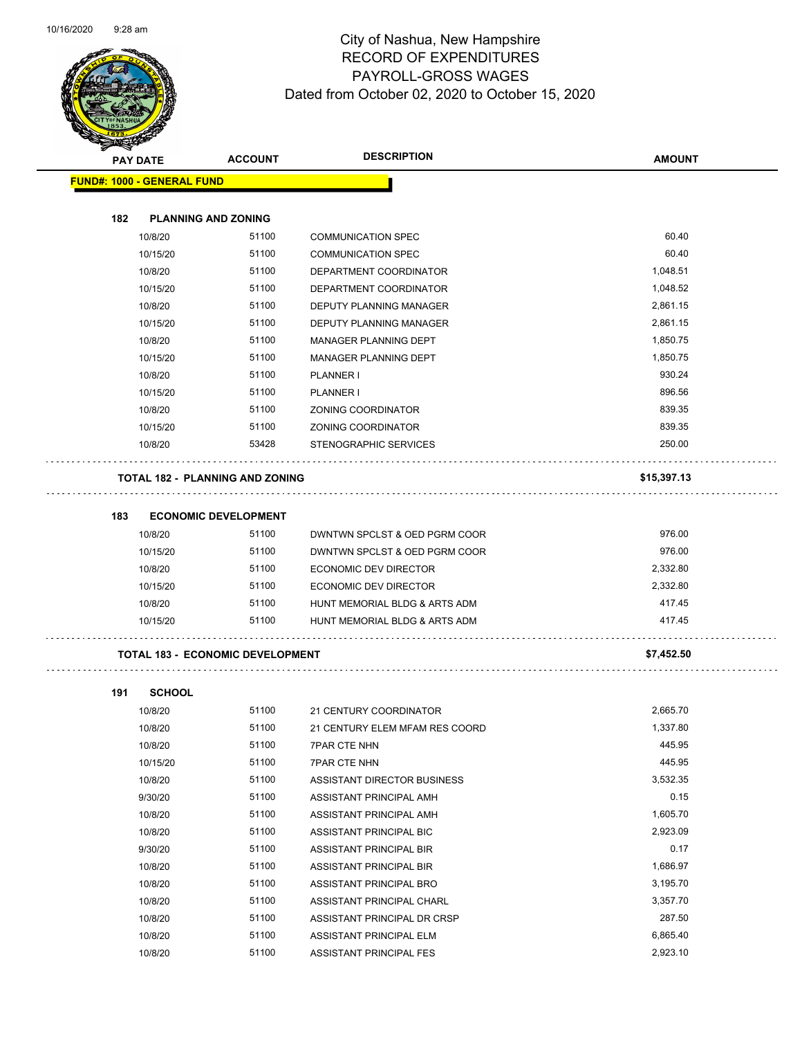

Page 67 of 104

| <b>Andri</b> | <b>PAY DATE</b>                         | <b>ACCOUNT</b> | <b>DESCRIPTION</b>             | <b>AMOUNT</b>        |
|--------------|-----------------------------------------|----------------|--------------------------------|----------------------|
|              | <b>FUND#: 1000 - GENERAL FUND</b>       |                |                                |                      |
|              |                                         |                |                                |                      |
| 182          | <b>PLANNING AND ZONING</b>              |                |                                |                      |
|              | 10/8/20                                 | 51100          | <b>COMMUNICATION SPEC</b>      | 60.40                |
|              | 10/15/20                                | 51100          | <b>COMMUNICATION SPEC</b>      | 60.40                |
|              | 10/8/20                                 | 51100          | DEPARTMENT COORDINATOR         | 1,048.51             |
|              | 10/15/20                                | 51100          | DEPARTMENT COORDINATOR         | 1,048.52             |
|              | 10/8/20                                 | 51100          | DEPUTY PLANNING MANAGER        | 2,861.15             |
|              | 10/15/20                                | 51100          | DEPUTY PLANNING MANAGER        | 2,861.15             |
|              | 10/8/20                                 | 51100          | MANAGER PLANNING DEPT          | 1,850.75             |
|              | 10/15/20                                | 51100          | MANAGER PLANNING DEPT          | 1,850.75             |
|              | 10/8/20                                 | 51100          | PLANNER I                      | 930.24               |
|              | 10/15/20                                | 51100          | PLANNER I                      | 896.56               |
|              | 10/8/20                                 | 51100          | ZONING COORDINATOR             | 839.35               |
|              | 10/15/20                                | 51100          | ZONING COORDINATOR             | 839.35               |
|              | 10/8/20                                 | 53428          | STENOGRAPHIC SERVICES          | 250.00               |
|              | <b>TOTAL 182 - PLANNING AND ZONING</b>  |                |                                | \$15,397.13          |
|              |                                         |                |                                |                      |
| 183          | <b>ECONOMIC DEVELOPMENT</b>             |                |                                |                      |
|              | 10/8/20                                 | 51100          | DWNTWN SPCLST & OED PGRM COOR  | 976.00               |
|              | 10/15/20                                | 51100          | DWNTWN SPCLST & OED PGRM COOR  | 976.00               |
|              | 10/8/20                                 | 51100          | ECONOMIC DEV DIRECTOR          | 2,332.80             |
|              | 10/15/20                                | 51100          | ECONOMIC DEV DIRECTOR          | 2,332.80             |
|              | 10/8/20                                 | 51100          | HUNT MEMORIAL BLDG & ARTS ADM  | 417.45               |
|              | 10/15/20                                | 51100          | HUNT MEMORIAL BLDG & ARTS ADM  | 417.45               |
|              | <b>TOTAL 183 - ECONOMIC DEVELOPMENT</b> |                |                                | \$7,452.50           |
| 191          | <b>SCHOOL</b>                           |                |                                |                      |
|              | 10/8/20                                 | 51100          | 21 CENTURY COORDINATOR         | 2,665.70             |
|              | 10/8/20                                 | 51100          | 21 CENTURY ELEM MFAM RES COORD | 1,337.80             |
|              | 10/8/20                                 | 51100          | <b>7PAR CTE NHN</b>            | 445.95               |
|              | 10/15/20                                | 51100          | <b>7PAR CTE NHN</b>            | 445.95               |
|              | 10/8/20                                 | 51100          | ASSISTANT DIRECTOR BUSINESS    | 3,532.35             |
|              | 9/30/20                                 | 51100          | ASSISTANT PRINCIPAL AMH        | 0.15                 |
|              |                                         |                |                                |                      |
|              | 10/8/20                                 | 51100          | ASSISTANT PRINCIPAL AMH        | 1,605.70<br>2,923.09 |
|              | 10/8/20                                 | 51100          | ASSISTANT PRINCIPAL BIC        |                      |
|              | 9/30/20                                 | 51100          | ASSISTANT PRINCIPAL BIR        | 0.17                 |
|              | 10/8/20                                 | 51100          | ASSISTANT PRINCIPAL BIR        | 1,686.97             |
|              | 10/8/20                                 | 51100          | ASSISTANT PRINCIPAL BRO        | 3,195.70             |
|              | 10/8/20                                 | 51100          | ASSISTANT PRINCIPAL CHARL      | 3,357.70             |
|              | 10/8/20                                 | 51100          | ASSISTANT PRINCIPAL DR CRSP    | 287.50               |
|              | 10/8/20                                 | 51100          | ASSISTANT PRINCIPAL ELM        | 6,865.40             |

10/8/20 51100 ASSISTANT PRINCIPAL FES 2,923.10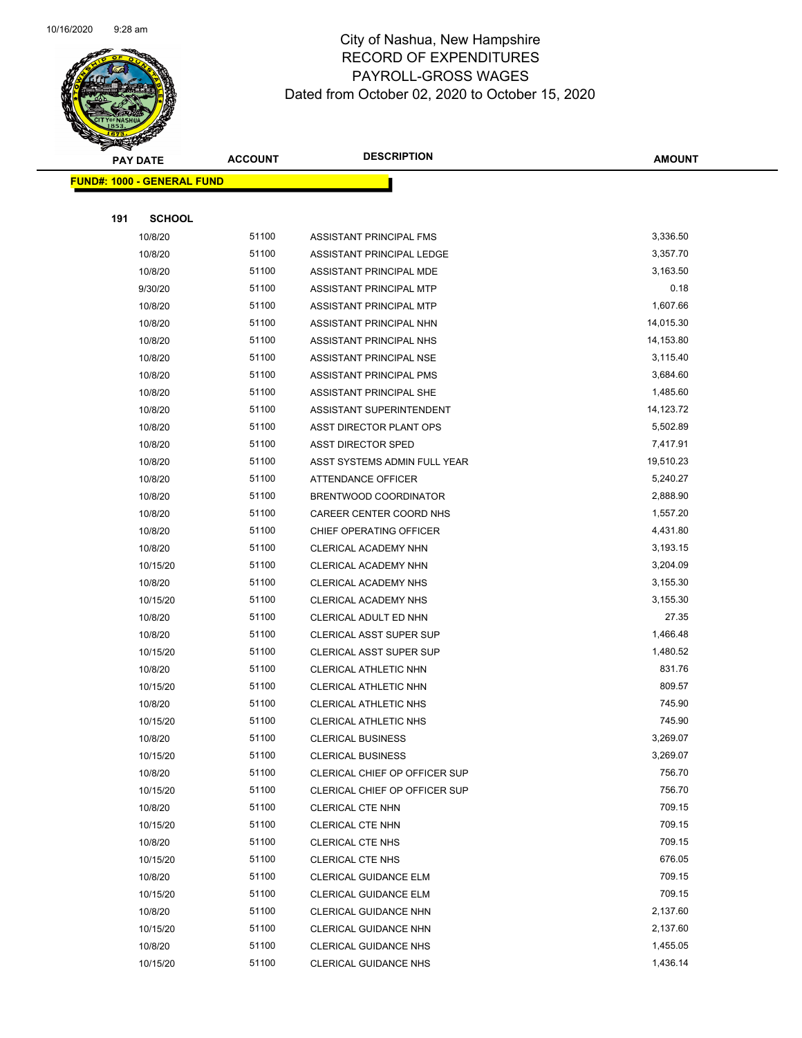

Page 68 of 104

|     | <b>PAY DATE</b>                    | <b>ACCOUNT</b> | <b>DESCRIPTION</b>             | <b>AMOUNT</b> |  |
|-----|------------------------------------|----------------|--------------------------------|---------------|--|
|     | <u> FUND#: 1000 - GENERAL FUND</u> |                |                                |               |  |
|     |                                    |                |                                |               |  |
| 191 | <b>SCHOOL</b>                      |                |                                |               |  |
|     | 10/8/20                            | 51100          | ASSISTANT PRINCIPAL FMS        | 3,336.50      |  |
|     | 10/8/20                            | 51100          | ASSISTANT PRINCIPAL LEDGE      | 3,357.70      |  |
|     | 10/8/20                            | 51100          | ASSISTANT PRINCIPAL MDE        | 3,163.50      |  |
|     | 9/30/20                            | 51100          | ASSISTANT PRINCIPAL MTP        | 0.18          |  |
|     | 10/8/20                            | 51100          | ASSISTANT PRINCIPAL MTP        | 1,607.66      |  |
|     | 10/8/20                            | 51100          | ASSISTANT PRINCIPAL NHN        | 14,015.30     |  |
|     | 10/8/20                            | 51100          | <b>ASSISTANT PRINCIPAL NHS</b> | 14,153.80     |  |
|     | 10/8/20                            | 51100          | ASSISTANT PRINCIPAL NSE        | 3,115.40      |  |
|     | 10/8/20                            | 51100          | ASSISTANT PRINCIPAL PMS        | 3,684.60      |  |
|     | 10/8/20                            | 51100          | ASSISTANT PRINCIPAL SHE        | 1,485.60      |  |
|     | 10/8/20                            | 51100          | ASSISTANT SUPERINTENDENT       | 14,123.72     |  |
|     | 10/8/20                            | 51100          | ASST DIRECTOR PLANT OPS        | 5,502.89      |  |
|     | 10/8/20                            | 51100          | <b>ASST DIRECTOR SPED</b>      | 7,417.91      |  |
|     | 10/8/20                            | 51100          | ASST SYSTEMS ADMIN FULL YEAR   | 19,510.23     |  |
|     | 10/8/20                            | 51100          | ATTENDANCE OFFICER             | 5,240.27      |  |
|     | 10/8/20                            | 51100          | BRENTWOOD COORDINATOR          | 2,888.90      |  |
|     | 10/8/20                            | 51100          | CAREER CENTER COORD NHS        | 1,557.20      |  |
|     | 10/8/20                            | 51100          | CHIEF OPERATING OFFICER        | 4,431.80      |  |
|     | 10/8/20                            | 51100          | CLERICAL ACADEMY NHN           | 3,193.15      |  |
|     | 10/15/20                           | 51100          | CLERICAL ACADEMY NHN           | 3,204.09      |  |
|     | 10/8/20                            | 51100          | CLERICAL ACADEMY NHS           | 3,155.30      |  |
|     | 10/15/20                           | 51100          | <b>CLERICAL ACADEMY NHS</b>    | 3,155.30      |  |
|     | 10/8/20                            | 51100          | CLERICAL ADULT ED NHN          | 27.35         |  |
|     | 10/8/20                            | 51100          | CLERICAL ASST SUPER SUP        | 1,466.48      |  |
|     | 10/15/20                           | 51100          | <b>CLERICAL ASST SUPER SUP</b> | 1,480.52      |  |
|     | 10/8/20                            | 51100          | CLERICAL ATHLETIC NHN          | 831.76        |  |
|     | 10/15/20                           | 51100          | CLERICAL ATHLETIC NHN          | 809.57        |  |
|     | 10/8/20                            | 51100          | <b>CLERICAL ATHLETIC NHS</b>   | 745.90        |  |
|     | 10/15/20                           | 51100          | <b>CLERICAL ATHLETIC NHS</b>   | 745.90        |  |
|     | 10/8/20                            | 51100          | <b>CLERICAL BUSINESS</b>       | 3,269.07      |  |
|     | 10/15/20                           | 51100          | <b>CLERICAL BUSINESS</b>       | 3,269.07      |  |
|     | 10/8/20                            | 51100          | CLERICAL CHIEF OP OFFICER SUP  | 756.70        |  |
|     | 10/15/20                           | 51100          | CLERICAL CHIEF OP OFFICER SUP  | 756.70        |  |
|     | 10/8/20                            | 51100          | CLERICAL CTE NHN               | 709.15        |  |
|     | 10/15/20                           | 51100          | CLERICAL CTE NHN               | 709.15        |  |
|     | 10/8/20                            | 51100          | <b>CLERICAL CTE NHS</b>        | 709.15        |  |
|     | 10/15/20                           | 51100          | CLERICAL CTE NHS               | 676.05        |  |
|     | 10/8/20                            | 51100          | CLERICAL GUIDANCE ELM          | 709.15        |  |
|     | 10/15/20                           | 51100          | CLERICAL GUIDANCE ELM          | 709.15        |  |
|     | 10/8/20                            | 51100          | CLERICAL GUIDANCE NHN          | 2,137.60      |  |
|     | 10/15/20                           | 51100          | CLERICAL GUIDANCE NHN          | 2,137.60      |  |
|     | 10/8/20                            | 51100          | <b>CLERICAL GUIDANCE NHS</b>   | 1,455.05      |  |
|     | 10/15/20                           | 51100          | <b>CLERICAL GUIDANCE NHS</b>   | 1,436.14      |  |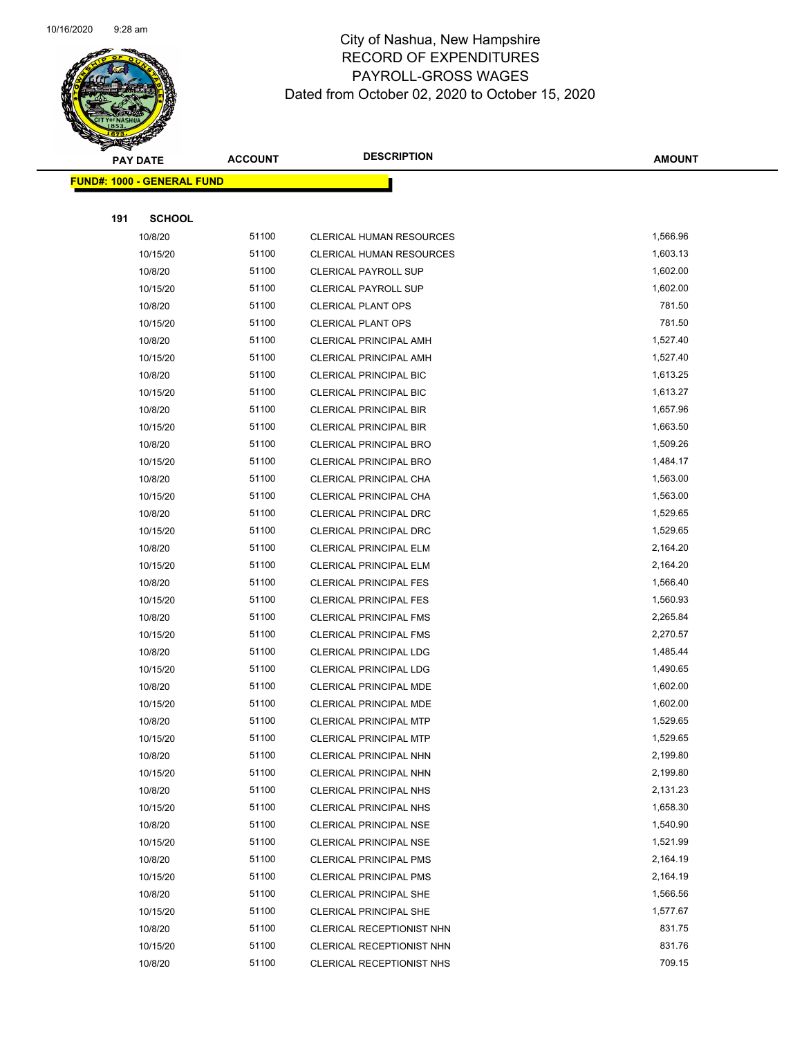

|     | <b>PAY DATE</b>                    | <b>ACCOUNT</b> | <b>DESCRIPTION</b>              | <b>AMOUNT</b> |
|-----|------------------------------------|----------------|---------------------------------|---------------|
|     | <u> FUND#: 1000 - GENERAL FUND</u> |                |                                 |               |
|     |                                    |                |                                 |               |
| 191 | <b>SCHOOL</b>                      |                |                                 |               |
|     | 10/8/20                            | 51100          | <b>CLERICAL HUMAN RESOURCES</b> | 1,566.96      |
|     | 10/15/20                           | 51100          | <b>CLERICAL HUMAN RESOURCES</b> | 1,603.13      |
|     | 10/8/20                            | 51100          | <b>CLERICAL PAYROLL SUP</b>     | 1,602.00      |
|     | 10/15/20                           | 51100          | <b>CLERICAL PAYROLL SUP</b>     | 1,602.00      |
|     | 10/8/20                            | 51100          | <b>CLERICAL PLANT OPS</b>       | 781.50        |
|     | 10/15/20                           | 51100          | <b>CLERICAL PLANT OPS</b>       | 781.50        |
|     | 10/8/20                            | 51100          | CLERICAL PRINCIPAL AMH          | 1,527.40      |
|     | 10/15/20                           | 51100          | CLERICAL PRINCIPAL AMH          | 1,527.40      |
|     | 10/8/20                            | 51100          | <b>CLERICAL PRINCIPAL BIC</b>   | 1,613.25      |
|     | 10/15/20                           | 51100          | <b>CLERICAL PRINCIPAL BIC</b>   | 1,613.27      |
|     | 10/8/20                            | 51100          | <b>CLERICAL PRINCIPAL BIR</b>   | 1,657.96      |
|     | 10/15/20                           | 51100          | <b>CLERICAL PRINCIPAL BIR</b>   | 1,663.50      |
|     | 10/8/20                            | 51100          | <b>CLERICAL PRINCIPAL BRO</b>   | 1,509.26      |
|     | 10/15/20                           | 51100          | <b>CLERICAL PRINCIPAL BRO</b>   | 1,484.17      |
|     | 10/8/20                            | 51100          | CLERICAL PRINCIPAL CHA          | 1,563.00      |
|     | 10/15/20                           | 51100          | CLERICAL PRINCIPAL CHA          | 1,563.00      |
|     | 10/8/20                            | 51100          | CLERICAL PRINCIPAL DRC          | 1,529.65      |
|     | 10/15/20                           | 51100          | CLERICAL PRINCIPAL DRC          | 1,529.65      |
|     | 10/8/20                            | 51100          | <b>CLERICAL PRINCIPAL ELM</b>   | 2,164.20      |
|     | 10/15/20                           | 51100          | <b>CLERICAL PRINCIPAL ELM</b>   | 2,164.20      |
|     | 10/8/20                            | 51100          | <b>CLERICAL PRINCIPAL FES</b>   | 1,566.40      |
|     | 10/15/20                           | 51100          | <b>CLERICAL PRINCIPAL FES</b>   | 1,560.93      |
|     | 10/8/20                            | 51100          | <b>CLERICAL PRINCIPAL FMS</b>   | 2,265.84      |
|     | 10/15/20                           | 51100          | <b>CLERICAL PRINCIPAL FMS</b>   | 2,270.57      |
|     | 10/8/20                            | 51100          | <b>CLERICAL PRINCIPAL LDG</b>   | 1,485.44      |
|     | 10/15/20                           | 51100          | <b>CLERICAL PRINCIPAL LDG</b>   | 1,490.65      |
|     | 10/8/20                            | 51100          | CLERICAL PRINCIPAL MDE          | 1,602.00      |
|     | 10/15/20                           | 51100          | CLERICAL PRINCIPAL MDE          | 1,602.00      |
|     | 10/8/20                            | 51100          | <b>CLERICAL PRINCIPAL MTP</b>   | 1,529.65      |
|     | 10/15/20                           | 51100          | CLERICAL PRINCIPAL MTP          | 1,529.65      |
|     | 10/8/20                            | 51100          | CLERICAL PRINCIPAL NHN          | 2,199.80      |
|     | 10/15/20                           | 51100          | CLERICAL PRINCIPAL NHN          | 2,199.80      |
|     | 10/8/20                            | 51100          | <b>CLERICAL PRINCIPAL NHS</b>   | 2,131.23      |
|     | 10/15/20                           | 51100          | <b>CLERICAL PRINCIPAL NHS</b>   | 1,658.30      |
|     | 10/8/20                            | 51100          | <b>CLERICAL PRINCIPAL NSE</b>   | 1,540.90      |
|     | 10/15/20                           | 51100          | <b>CLERICAL PRINCIPAL NSE</b>   | 1,521.99      |
|     | 10/8/20                            | 51100          | <b>CLERICAL PRINCIPAL PMS</b>   | 2,164.19      |
|     | 10/15/20                           | 51100          | <b>CLERICAL PRINCIPAL PMS</b>   | 2,164.19      |
|     | 10/8/20                            | 51100          | <b>CLERICAL PRINCIPAL SHE</b>   | 1,566.56      |
|     | 10/15/20                           | 51100          | <b>CLERICAL PRINCIPAL SHE</b>   | 1,577.67      |
|     | 10/8/20                            | 51100          | CLERICAL RECEPTIONIST NHN       | 831.75        |
|     | 10/15/20                           | 51100          | CLERICAL RECEPTIONIST NHN       | 831.76        |
|     | 10/8/20                            | 51100          | CLERICAL RECEPTIONIST NHS       | 709.15        |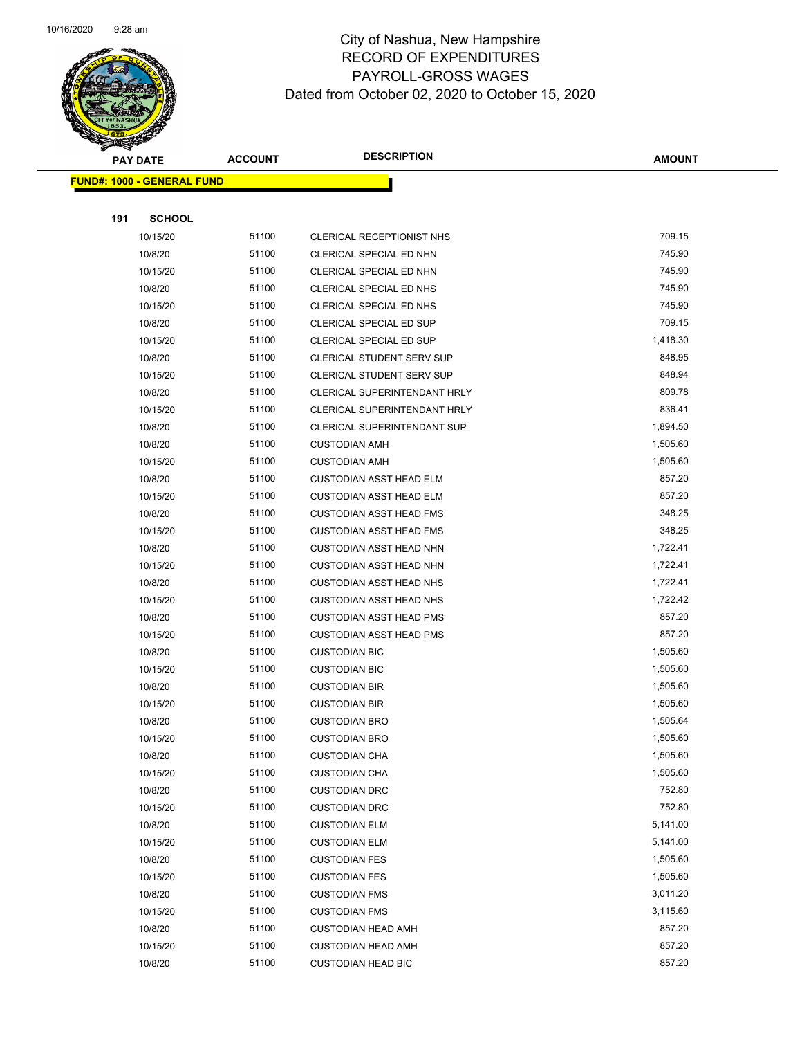

|     | <b>PAY DATE</b>                    | <b>ACCOUNT</b> | <b>DESCRIPTION</b>                 | <b>AMOUNT</b> |
|-----|------------------------------------|----------------|------------------------------------|---------------|
|     | <u> FUND#: 1000 - GENERAL FUND</u> |                |                                    |               |
|     |                                    |                |                                    |               |
| 191 | <b>SCHOOL</b>                      |                |                                    |               |
|     | 10/15/20                           | 51100          | CLERICAL RECEPTIONIST NHS          | 709.15        |
|     | 10/8/20                            | 51100          | CLERICAL SPECIAL ED NHN            | 745.90        |
|     | 10/15/20                           | 51100          | CLERICAL SPECIAL ED NHN            | 745.90        |
|     | 10/8/20                            | 51100          | CLERICAL SPECIAL ED NHS            | 745.90        |
|     | 10/15/20                           | 51100          | CLERICAL SPECIAL ED NHS            | 745.90        |
|     | 10/8/20                            | 51100          | CLERICAL SPECIAL ED SUP            | 709.15        |
|     | 10/15/20                           | 51100          | CLERICAL SPECIAL ED SUP            | 1,418.30      |
|     | 10/8/20                            | 51100          | CLERICAL STUDENT SERV SUP          | 848.95        |
|     | 10/15/20                           | 51100          | CLERICAL STUDENT SERV SUP          | 848.94        |
|     | 10/8/20                            | 51100          | CLERICAL SUPERINTENDANT HRLY       | 809.78        |
|     | 10/15/20                           | 51100          | CLERICAL SUPERINTENDANT HRLY       | 836.41        |
|     | 10/8/20                            | 51100          | <b>CLERICAL SUPERINTENDANT SUP</b> | 1,894.50      |
|     | 10/8/20                            | 51100          | <b>CUSTODIAN AMH</b>               | 1,505.60      |
|     | 10/15/20                           | 51100          | <b>CUSTODIAN AMH</b>               | 1,505.60      |
|     | 10/8/20                            | 51100          | <b>CUSTODIAN ASST HEAD ELM</b>     | 857.20        |
|     | 10/15/20                           | 51100          | <b>CUSTODIAN ASST HEAD ELM</b>     | 857.20        |
|     | 10/8/20                            | 51100          | <b>CUSTODIAN ASST HEAD FMS</b>     | 348.25        |
|     | 10/15/20                           | 51100          | <b>CUSTODIAN ASST HEAD FMS</b>     | 348.25        |
|     | 10/8/20                            | 51100          | <b>CUSTODIAN ASST HEAD NHN</b>     | 1,722.41      |
|     | 10/15/20                           | 51100          | <b>CUSTODIAN ASST HEAD NHN</b>     | 1,722.41      |
|     | 10/8/20                            | 51100          | <b>CUSTODIAN ASST HEAD NHS</b>     | 1,722.41      |
|     | 10/15/20                           | 51100          | <b>CUSTODIAN ASST HEAD NHS</b>     | 1,722.42      |
|     | 10/8/20                            | 51100          | <b>CUSTODIAN ASST HEAD PMS</b>     | 857.20        |
|     | 10/15/20                           | 51100          | <b>CUSTODIAN ASST HEAD PMS</b>     | 857.20        |
|     | 10/8/20                            | 51100          | <b>CUSTODIAN BIC</b>               | 1,505.60      |
|     | 10/15/20                           | 51100          | <b>CUSTODIAN BIC</b>               | 1,505.60      |
|     | 10/8/20                            | 51100          | <b>CUSTODIAN BIR</b>               | 1,505.60      |
|     | 10/15/20                           | 51100          | <b>CUSTODIAN BIR</b>               | 1,505.60      |
|     | 10/8/20                            | 51100          | <b>CUSTODIAN BRO</b>               | 1,505.64      |
|     | 10/15/20                           | 51100          | <b>CUSTODIAN BRO</b>               | 1,505.60      |
|     | 10/8/20                            | 51100          | <b>CUSTODIAN CHA</b>               | 1,505.60      |
|     | 10/15/20                           | 51100          | <b>CUSTODIAN CHA</b>               | 1,505.60      |
|     | 10/8/20                            | 51100          | <b>CUSTODIAN DRC</b>               | 752.80        |
|     | 10/15/20                           | 51100          | <b>CUSTODIAN DRC</b>               | 752.80        |
|     | 10/8/20                            | 51100          | <b>CUSTODIAN ELM</b>               | 5,141.00      |
|     | 10/15/20                           | 51100          | <b>CUSTODIAN ELM</b>               | 5,141.00      |
|     | 10/8/20                            | 51100          | <b>CUSTODIAN FES</b>               | 1,505.60      |
|     | 10/15/20                           | 51100          | <b>CUSTODIAN FES</b>               | 1,505.60      |
|     | 10/8/20                            | 51100          | <b>CUSTODIAN FMS</b>               | 3,011.20      |
|     | 10/15/20                           | 51100          | <b>CUSTODIAN FMS</b>               | 3,115.60      |
|     | 10/8/20                            | 51100          | <b>CUSTODIAN HEAD AMH</b>          | 857.20        |
|     | 10/15/20                           | 51100          | <b>CUSTODIAN HEAD AMH</b>          | 857.20        |
|     | 10/8/20                            | 51100          | <b>CUSTODIAN HEAD BIC</b>          | 857.20        |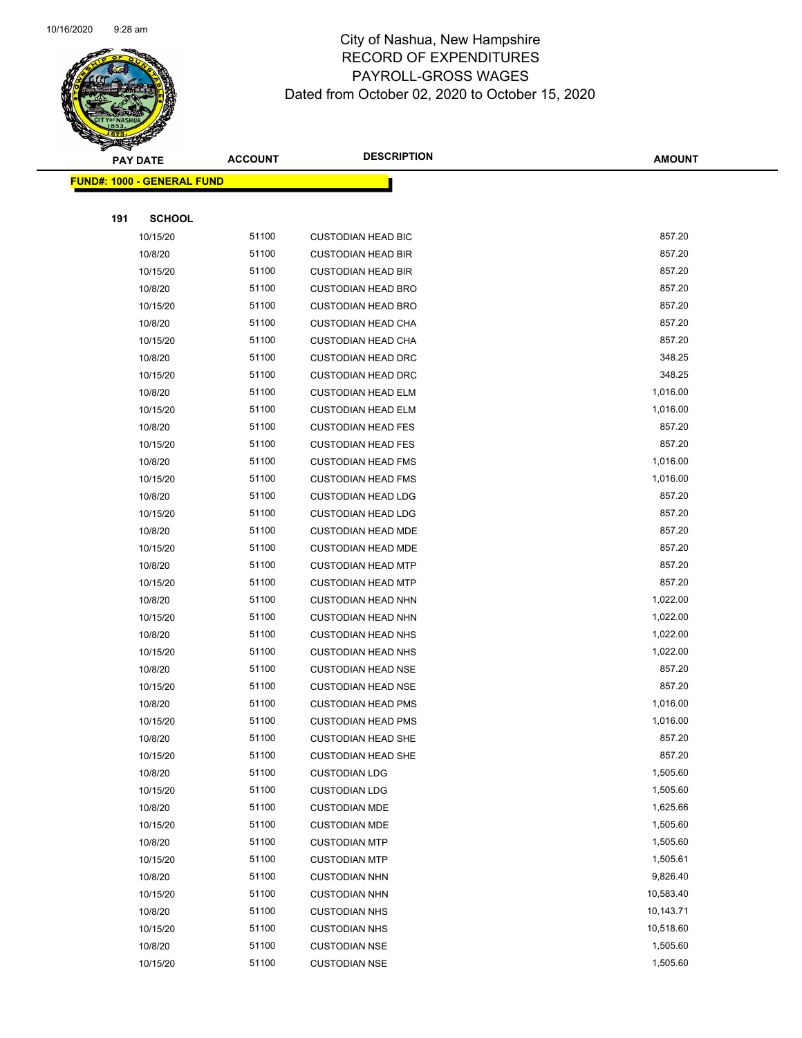

|     | <b>PAY DATE</b>                    | <b>ACCOUNT</b> | <b>DESCRIPTION</b>        | <b>AMOUNT</b> |
|-----|------------------------------------|----------------|---------------------------|---------------|
|     | <u> FUND#: 1000 - GENERAL FUND</u> |                |                           |               |
|     |                                    |                |                           |               |
| 191 | <b>SCHOOL</b>                      |                |                           |               |
|     | 10/15/20                           | 51100          | <b>CUSTODIAN HEAD BIC</b> | 857.20        |
|     | 10/8/20                            | 51100          | <b>CUSTODIAN HEAD BIR</b> | 857.20        |
|     | 10/15/20                           | 51100          | <b>CUSTODIAN HEAD BIR</b> | 857.20        |
|     | 10/8/20                            | 51100          | <b>CUSTODIAN HEAD BRO</b> | 857.20        |
|     | 10/15/20                           | 51100          | <b>CUSTODIAN HEAD BRO</b> | 857.20        |
|     | 10/8/20                            | 51100          | <b>CUSTODIAN HEAD CHA</b> | 857.20        |
|     | 10/15/20                           | 51100          | <b>CUSTODIAN HEAD CHA</b> | 857.20        |
|     | 10/8/20                            | 51100          | <b>CUSTODIAN HEAD DRC</b> | 348.25        |
|     | 10/15/20                           | 51100          | <b>CUSTODIAN HEAD DRC</b> | 348.25        |
|     | 10/8/20                            | 51100          | <b>CUSTODIAN HEAD ELM</b> | 1,016.00      |
|     | 10/15/20                           | 51100          | <b>CUSTODIAN HEAD ELM</b> | 1,016.00      |
|     | 10/8/20                            | 51100          | <b>CUSTODIAN HEAD FES</b> | 857.20        |
|     | 10/15/20                           | 51100          | <b>CUSTODIAN HEAD FES</b> | 857.20        |
|     | 10/8/20                            | 51100          | <b>CUSTODIAN HEAD FMS</b> | 1,016.00      |
|     | 10/15/20                           | 51100          | <b>CUSTODIAN HEAD FMS</b> | 1,016.00      |
|     | 10/8/20                            | 51100          | <b>CUSTODIAN HEAD LDG</b> | 857.20        |
|     | 10/15/20                           | 51100          | <b>CUSTODIAN HEAD LDG</b> | 857.20        |
|     | 10/8/20                            | 51100          | <b>CUSTODIAN HEAD MDE</b> | 857.20        |
|     | 10/15/20                           | 51100          | <b>CUSTODIAN HEAD MDE</b> | 857.20        |
|     | 10/8/20                            | 51100          | <b>CUSTODIAN HEAD MTP</b> | 857.20        |
|     | 10/15/20                           | 51100          | <b>CUSTODIAN HEAD MTP</b> | 857.20        |
|     | 10/8/20                            | 51100          | <b>CUSTODIAN HEAD NHN</b> | 1,022.00      |
|     | 10/15/20                           | 51100          | <b>CUSTODIAN HEAD NHN</b> | 1,022.00      |
|     | 10/8/20                            | 51100          | <b>CUSTODIAN HEAD NHS</b> | 1,022.00      |
|     | 10/15/20                           | 51100          | <b>CUSTODIAN HEAD NHS</b> | 1,022.00      |
|     | 10/8/20                            | 51100          | <b>CUSTODIAN HEAD NSE</b> | 857.20        |
|     | 10/15/20                           | 51100          | <b>CUSTODIAN HEAD NSE</b> | 857.20        |
|     | 10/8/20                            | 51100          | <b>CUSTODIAN HEAD PMS</b> | 1,016.00      |
|     | 10/15/20                           | 51100          | <b>CUSTODIAN HEAD PMS</b> | 1,016.00      |
|     | 10/8/20                            | 51100          | <b>CUSTODIAN HEAD SHE</b> | 857.20        |
|     | 10/15/20                           | 51100          | <b>CUSTODIAN HEAD SHE</b> | 857.20        |
|     | 10/8/20                            | 51100          | <b>CUSTODIAN LDG</b>      | 1,505.60      |
|     | 10/15/20                           | 51100          | <b>CUSTODIAN LDG</b>      | 1,505.60      |
|     | 10/8/20                            | 51100          | <b>CUSTODIAN MDE</b>      | 1,625.66      |
|     | 10/15/20                           | 51100          | <b>CUSTODIAN MDE</b>      | 1,505.60      |
|     | 10/8/20                            | 51100          | <b>CUSTODIAN MTP</b>      | 1,505.60      |
|     | 10/15/20                           | 51100          | <b>CUSTODIAN MTP</b>      | 1,505.61      |
|     | 10/8/20                            | 51100          | <b>CUSTODIAN NHN</b>      | 9,826.40      |
|     | 10/15/20                           | 51100          | <b>CUSTODIAN NHN</b>      | 10,583.40     |
|     | 10/8/20                            | 51100          | <b>CUSTODIAN NHS</b>      | 10,143.71     |
|     | 10/15/20                           | 51100          | <b>CUSTODIAN NHS</b>      | 10,518.60     |
|     | 10/8/20                            | 51100          | <b>CUSTODIAN NSE</b>      | 1,505.60      |
|     | 10/15/20                           | 51100          | <b>CUSTODIAN NSE</b>      | 1,505.60      |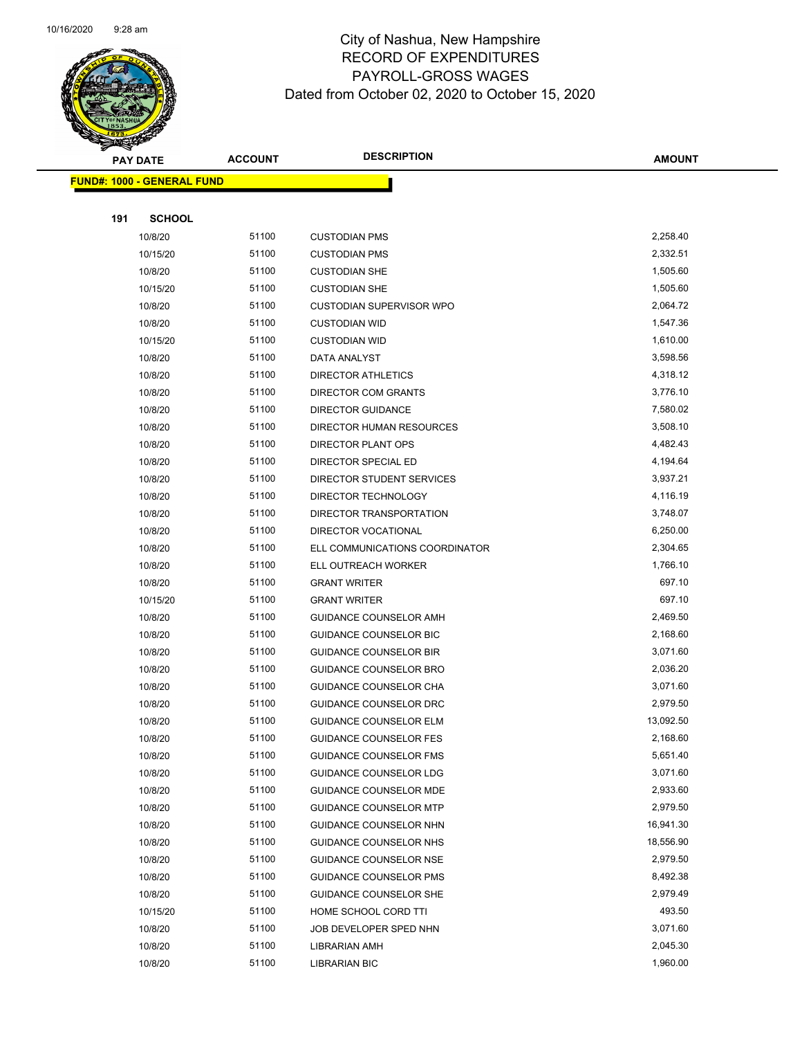

|     | <b>PAY DATE</b>                    | <b>ACCOUNT</b> | <b>DESCRIPTION</b>                         | <b>AMOUNT</b>        |
|-----|------------------------------------|----------------|--------------------------------------------|----------------------|
|     | <u> FUND#: 1000 - GENERAL FUND</u> |                |                                            |                      |
|     |                                    |                |                                            |                      |
| 191 | <b>SCHOOL</b>                      |                |                                            |                      |
|     | 10/8/20                            | 51100          | <b>CUSTODIAN PMS</b>                       | 2,258.40             |
|     | 10/15/20                           | 51100          | <b>CUSTODIAN PMS</b>                       | 2,332.51             |
|     | 10/8/20                            | 51100          | <b>CUSTODIAN SHE</b>                       | 1,505.60             |
|     | 10/15/20                           | 51100          | <b>CUSTODIAN SHE</b>                       | 1,505.60             |
|     | 10/8/20                            | 51100          | <b>CUSTODIAN SUPERVISOR WPO</b>            | 2,064.72             |
|     | 10/8/20                            | 51100          | <b>CUSTODIAN WID</b>                       | 1,547.36             |
|     | 10/15/20                           | 51100          | <b>CUSTODIAN WID</b>                       | 1,610.00             |
|     | 10/8/20                            | 51100          | DATA ANALYST                               | 3,598.56             |
|     | 10/8/20                            | 51100          | <b>DIRECTOR ATHLETICS</b>                  | 4,318.12             |
|     | 10/8/20                            | 51100          | DIRECTOR COM GRANTS                        | 3,776.10             |
|     | 10/8/20                            | 51100          | <b>DIRECTOR GUIDANCE</b>                   | 7,580.02             |
|     | 10/8/20                            | 51100          | DIRECTOR HUMAN RESOURCES                   | 3,508.10             |
|     | 10/8/20                            | 51100          | DIRECTOR PLANT OPS                         | 4,482.43             |
|     | 10/8/20                            | 51100          | DIRECTOR SPECIAL ED                        | 4,194.64             |
|     | 10/8/20                            | 51100          | DIRECTOR STUDENT SERVICES                  | 3,937.21             |
|     | 10/8/20                            | 51100          | DIRECTOR TECHNOLOGY                        | 4,116.19             |
|     | 10/8/20                            | 51100          | DIRECTOR TRANSPORTATION                    | 3,748.07             |
|     | 10/8/20                            | 51100          | DIRECTOR VOCATIONAL                        | 6,250.00             |
|     | 10/8/20                            | 51100<br>51100 | ELL COMMUNICATIONS COORDINATOR             | 2,304.65<br>1,766.10 |
|     | 10/8/20<br>10/8/20                 | 51100          | ELL OUTREACH WORKER<br><b>GRANT WRITER</b> | 697.10               |
|     | 10/15/20                           | 51100          | <b>GRANT WRITER</b>                        | 697.10               |
|     | 10/8/20                            | 51100          | GUIDANCE COUNSELOR AMH                     | 2,469.50             |
|     | 10/8/20                            | 51100          | GUIDANCE COUNSELOR BIC                     | 2,168.60             |
|     | 10/8/20                            | 51100          | <b>GUIDANCE COUNSELOR BIR</b>              | 3,071.60             |
|     | 10/8/20                            | 51100          | GUIDANCE COUNSELOR BRO                     | 2,036.20             |
|     | 10/8/20                            | 51100          | GUIDANCE COUNSELOR CHA                     | 3,071.60             |
|     | 10/8/20                            | 51100          | GUIDANCE COUNSELOR DRC                     | 2,979.50             |
|     | 10/8/20                            | 51100          | <b>GUIDANCE COUNSELOR ELM</b>              | 13,092.50            |
|     | 10/8/20                            | 51100          | <b>GUIDANCE COUNSELOR FES</b>              | 2,168.60             |
|     | 10/8/20                            | 51100          | <b>GUIDANCE COUNSELOR FMS</b>              | 5,651.40             |
|     | 10/8/20                            | 51100          | GUIDANCE COUNSELOR LDG                     | 3,071.60             |
|     | 10/8/20                            | 51100          | GUIDANCE COUNSELOR MDE                     | 2,933.60             |
|     | 10/8/20                            | 51100          | <b>GUIDANCE COUNSELOR MTP</b>              | 2,979.50             |
|     | 10/8/20                            | 51100          | GUIDANCE COUNSELOR NHN                     | 16,941.30            |
|     | 10/8/20                            | 51100          | <b>GUIDANCE COUNSELOR NHS</b>              | 18,556.90            |
|     | 10/8/20                            | 51100          | <b>GUIDANCE COUNSELOR NSE</b>              | 2,979.50             |
|     | 10/8/20                            | 51100          | <b>GUIDANCE COUNSELOR PMS</b>              | 8,492.38             |
|     | 10/8/20                            | 51100          | <b>GUIDANCE COUNSELOR SHE</b>              | 2,979.49             |
|     | 10/15/20                           | 51100          | HOME SCHOOL CORD TTI                       | 493.50               |
|     | 10/8/20                            | 51100          | JOB DEVELOPER SPED NHN                     | 3,071.60             |
|     | 10/8/20                            | 51100          | LIBRARIAN AMH                              | 2,045.30             |
|     | 10/8/20                            | 51100          | <b>LIBRARIAN BIC</b>                       | 1,960.00             |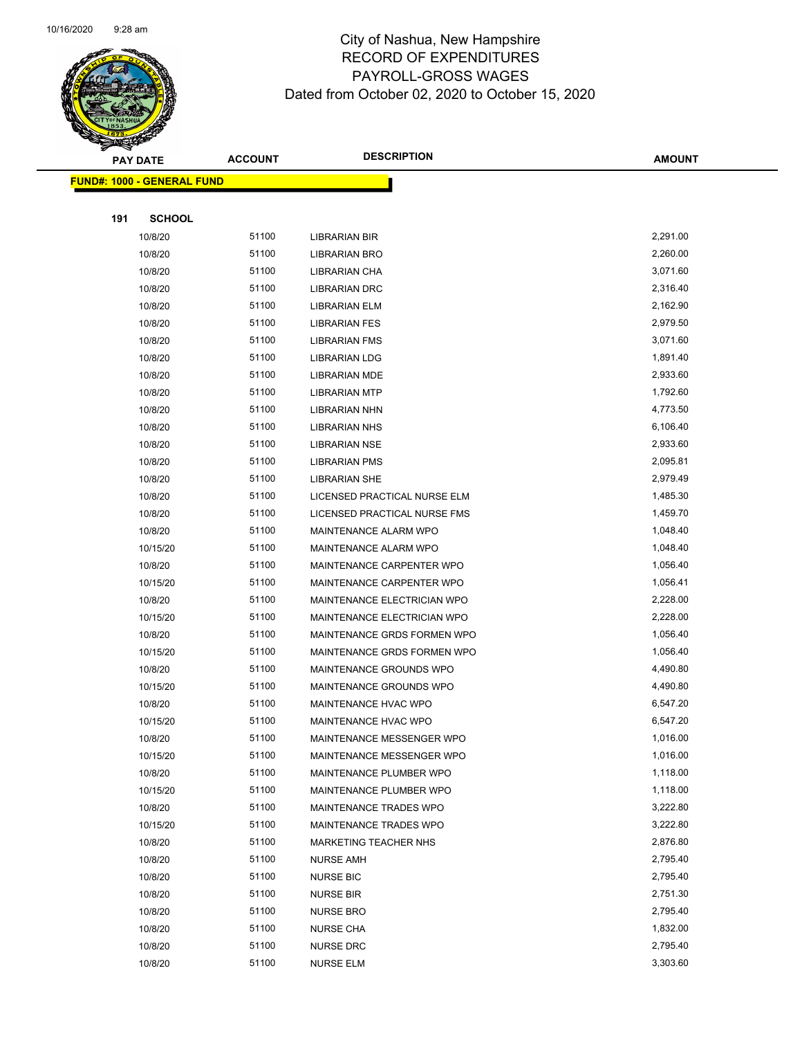

Page 73 of 104

|     | <b>PAY DATE</b>                    | <b>ACCOUNT</b> | <b>DESCRIPTION</b>                              | <b>AMOUNT</b>        |
|-----|------------------------------------|----------------|-------------------------------------------------|----------------------|
|     | <u> FUND#: 1000 - GENERAL FUND</u> |                |                                                 |                      |
|     |                                    |                |                                                 |                      |
| 191 | <b>SCHOOL</b>                      |                |                                                 |                      |
|     | 10/8/20                            | 51100          | <b>LIBRARIAN BIR</b>                            | 2,291.00             |
|     | 10/8/20                            | 51100          | <b>LIBRARIAN BRO</b>                            | 2,260.00             |
|     | 10/8/20                            | 51100          | LIBRARIAN CHA                                   | 3,071.60             |
|     | 10/8/20                            | 51100          | LIBRARIAN DRC                                   | 2,316.40             |
|     | 10/8/20                            | 51100          | LIBRARIAN ELM                                   | 2,162.90             |
|     | 10/8/20                            | 51100          | <b>LIBRARIAN FES</b>                            | 2,979.50             |
|     | 10/8/20                            | 51100          | <b>LIBRARIAN FMS</b>                            | 3,071.60             |
|     | 10/8/20                            | 51100          | LIBRARIAN LDG                                   | 1,891.40             |
|     | 10/8/20                            | 51100          | <b>LIBRARIAN MDE</b>                            | 2,933.60             |
|     | 10/8/20                            | 51100          | <b>LIBRARIAN MTP</b>                            | 1,792.60             |
|     | 10/8/20                            | 51100          | <b>LIBRARIAN NHN</b>                            | 4,773.50             |
|     | 10/8/20                            | 51100          | <b>LIBRARIAN NHS</b>                            | 6,106.40             |
|     | 10/8/20                            | 51100          | <b>LIBRARIAN NSE</b>                            | 2,933.60             |
|     | 10/8/20                            | 51100          | LIBRARIAN PMS                                   | 2,095.81             |
|     | 10/8/20                            | 51100          | <b>LIBRARIAN SHE</b>                            | 2,979.49             |
|     | 10/8/20                            | 51100          | LICENSED PRACTICAL NURSE ELM                    | 1,485.30             |
|     | 10/8/20                            | 51100          | LICENSED PRACTICAL NURSE FMS                    | 1,459.70             |
|     | 10/8/20                            | 51100          | <b>MAINTENANCE ALARM WPO</b>                    | 1,048.40             |
|     | 10/15/20                           | 51100          | MAINTENANCE ALARM WPO                           | 1,048.40             |
|     | 10/8/20                            | 51100          | MAINTENANCE CARPENTER WPO                       | 1,056.40             |
|     | 10/15/20                           | 51100          | MAINTENANCE CARPENTER WPO                       | 1,056.41             |
|     | 10/8/20                            | 51100          | MAINTENANCE ELECTRICIAN WPO                     | 2,228.00             |
|     | 10/15/20                           | 51100          | MAINTENANCE ELECTRICIAN WPO                     | 2,228.00             |
|     | 10/8/20                            | 51100          | MAINTENANCE GRDS FORMEN WPO                     | 1,056.40             |
|     | 10/15/20                           | 51100          | MAINTENANCE GRDS FORMEN WPO                     | 1,056.40             |
|     | 10/8/20                            | 51100<br>51100 | MAINTENANCE GROUNDS WPO                         | 4,490.80<br>4,490.80 |
|     | 10/15/20<br>10/8/20                | 51100          | MAINTENANCE GROUNDS WPO<br>MAINTENANCE HVAC WPO | 6,547.20             |
|     | 10/15/20                           | 51100          | MAINTENANCE HVAC WPO                            | 6,547.20             |
|     | 10/8/20                            | 51100          | MAINTENANCE MESSENGER WPO                       | 1,016.00             |
|     | 10/15/20                           | 51100          | MAINTENANCE MESSENGER WPO                       | 1,016.00             |
|     | 10/8/20                            | 51100          | MAINTENANCE PLUMBER WPO                         | 1,118.00             |
|     | 10/15/20                           | 51100          | MAINTENANCE PLUMBER WPO                         | 1,118.00             |
|     | 10/8/20                            | 51100          | MAINTENANCE TRADES WPO                          | 3,222.80             |
|     | 10/15/20                           | 51100          | MAINTENANCE TRADES WPO                          | 3,222.80             |
|     | 10/8/20                            | 51100          | <b>MARKETING TEACHER NHS</b>                    | 2,876.80             |
|     | 10/8/20                            | 51100          | <b>NURSE AMH</b>                                | 2,795.40             |
|     | 10/8/20                            | 51100          | <b>NURSE BIC</b>                                | 2,795.40             |
|     | 10/8/20                            | 51100          | <b>NURSE BIR</b>                                | 2,751.30             |
|     | 10/8/20                            | 51100          | <b>NURSE BRO</b>                                | 2,795.40             |
|     | 10/8/20                            | 51100          | <b>NURSE CHA</b>                                | 1,832.00             |
|     | 10/8/20                            | 51100          | <b>NURSE DRC</b>                                | 2,795.40             |
|     | 10/8/20                            | 51100          | NURSE ELM                                       | 3,303.60             |
|     |                                    |                |                                                 |                      |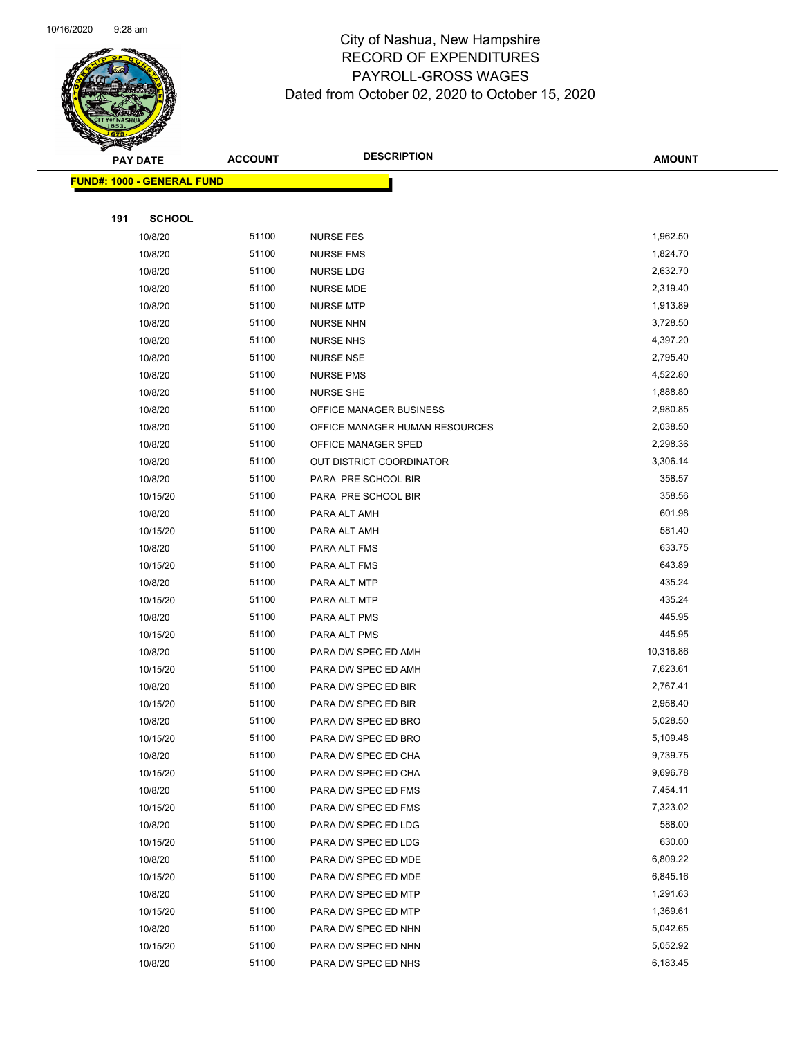

|     | <b>PAY DATE</b>                    | <b>ACCOUNT</b> | <b>DESCRIPTION</b>                         | <b>AMOUNT</b>        |
|-----|------------------------------------|----------------|--------------------------------------------|----------------------|
|     | <u> FUND#: 1000 - GENERAL FUND</u> |                |                                            |                      |
|     |                                    |                |                                            |                      |
| 191 | <b>SCHOOL</b>                      |                |                                            |                      |
|     | 10/8/20                            | 51100          | <b>NURSE FES</b>                           | 1,962.50             |
|     | 10/8/20                            | 51100          | <b>NURSE FMS</b>                           | 1,824.70             |
|     | 10/8/20                            | 51100          | NURSE LDG                                  | 2,632.70             |
|     | 10/8/20                            | 51100          | NURSE MDE                                  | 2,319.40             |
|     | 10/8/20                            | 51100          | <b>NURSE MTP</b>                           | 1,913.89             |
|     | 10/8/20                            | 51100          | <b>NURSE NHN</b>                           | 3,728.50             |
|     | 10/8/20                            | 51100          | <b>NURSE NHS</b>                           | 4,397.20             |
|     | 10/8/20                            | 51100          | <b>NURSE NSE</b>                           | 2,795.40             |
|     | 10/8/20                            | 51100          | <b>NURSE PMS</b>                           | 4,522.80             |
|     | 10/8/20                            | 51100          | <b>NURSE SHE</b>                           | 1,888.80             |
|     | 10/8/20                            | 51100          | OFFICE MANAGER BUSINESS                    | 2,980.85             |
|     | 10/8/20                            | 51100          | OFFICE MANAGER HUMAN RESOURCES             | 2,038.50             |
|     | 10/8/20                            | 51100          | OFFICE MANAGER SPED                        | 2,298.36             |
|     | 10/8/20                            | 51100          | OUT DISTRICT COORDINATOR                   | 3,306.14             |
|     | 10/8/20                            | 51100          | PARA PRE SCHOOL BIR                        | 358.57               |
|     | 10/15/20                           | 51100          | PARA PRE SCHOOL BIR                        | 358.56               |
|     | 10/8/20                            | 51100          | PARA ALT AMH                               | 601.98               |
|     | 10/15/20                           | 51100          | PARA ALT AMH                               | 581.40               |
|     | 10/8/20                            | 51100          | PARA ALT FMS                               | 633.75               |
|     | 10/15/20                           | 51100          | PARA ALT FMS                               | 643.89               |
|     | 10/8/20                            | 51100          | PARA ALT MTP                               | 435.24               |
|     | 10/15/20                           | 51100          | PARA ALT MTP                               | 435.24               |
|     | 10/8/20                            | 51100          | PARA ALT PMS                               | 445.95               |
|     | 10/15/20                           | 51100          | PARA ALT PMS                               | 445.95               |
|     | 10/8/20                            | 51100          | PARA DW SPEC ED AMH                        | 10,316.86            |
|     | 10/15/20                           | 51100          | PARA DW SPEC ED AMH                        | 7,623.61             |
|     | 10/8/20                            | 51100          | PARA DW SPEC ED BIR                        | 2,767.41             |
|     | 10/15/20                           | 51100          | PARA DW SPEC ED BIR                        | 2,958.40             |
|     | 10/8/20                            | 51100          | PARA DW SPEC ED BRO                        | 5,028.50             |
|     | 10/15/20                           | 51100          | PARA DW SPEC ED BRO                        | 5,109.48             |
|     | 10/8/20                            | 51100          | PARA DW SPEC ED CHA                        | 9,739.75             |
|     | 10/15/20                           | 51100          | PARA DW SPEC ED CHA                        | 9,696.78             |
|     | 10/8/20                            | 51100          | PARA DW SPEC ED FMS                        | 7,454.11             |
|     | 10/15/20                           | 51100          | PARA DW SPEC ED FMS                        | 7,323.02             |
|     | 10/8/20                            | 51100          | PARA DW SPEC ED LDG                        | 588.00               |
|     | 10/15/20                           | 51100          | PARA DW SPEC ED LDG                        | 630.00<br>6,809.22   |
|     | 10/8/20                            | 51100          | PARA DW SPEC ED MDE                        |                      |
|     | 10/15/20                           | 51100<br>51100 | PARA DW SPEC ED MDE                        | 6,845.16<br>1,291.63 |
|     | 10/8/20                            | 51100          | PARA DW SPEC ED MTP                        | 1,369.61             |
|     | 10/15/20<br>10/8/20                | 51100          | PARA DW SPEC ED MTP<br>PARA DW SPEC ED NHN | 5,042.65             |
|     | 10/15/20                           | 51100          | PARA DW SPEC ED NHN                        | 5,052.92             |
|     | 10/8/20                            | 51100          | PARA DW SPEC ED NHS                        | 6,183.45             |
|     |                                    |                |                                            |                      |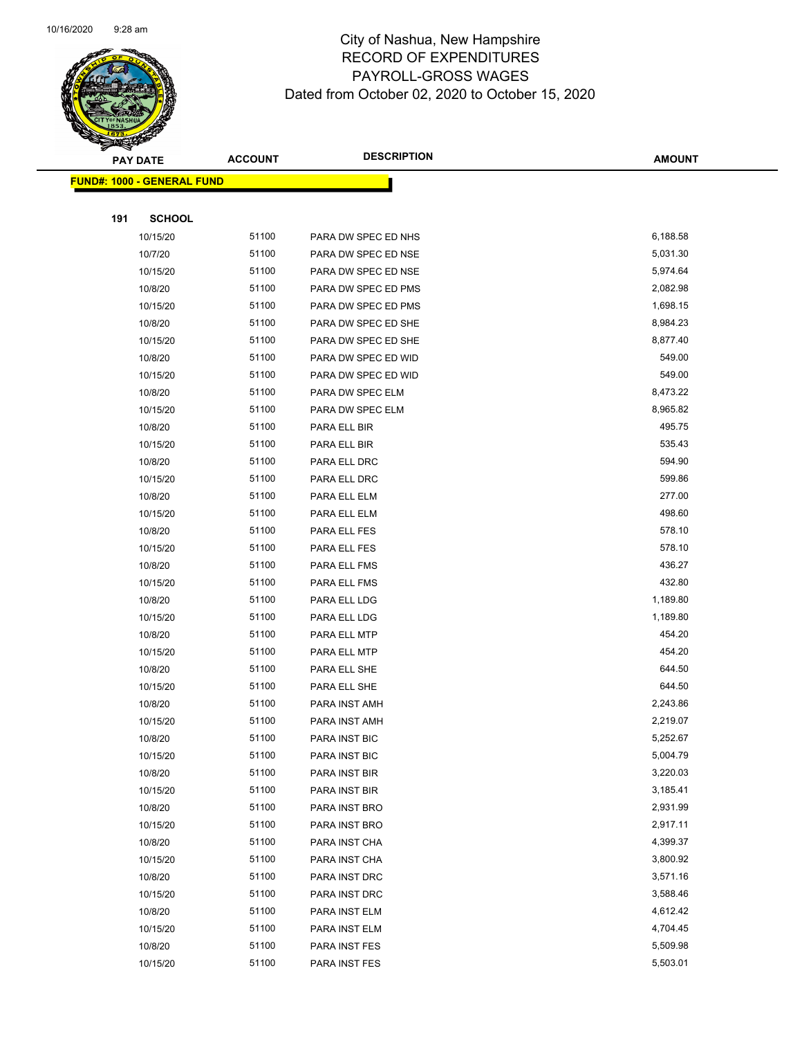

|     | <b>PAY DATE</b>                   | <b>ACCOUNT</b> | <b>DESCRIPTION</b>  | <b>AMOUNT</b> |
|-----|-----------------------------------|----------------|---------------------|---------------|
|     | <b>FUND#: 1000 - GENERAL FUND</b> |                |                     |               |
|     |                                   |                |                     |               |
| 191 | <b>SCHOOL</b>                     |                |                     |               |
|     | 10/15/20                          | 51100          | PARA DW SPEC ED NHS | 6,188.58      |
|     | 10/7/20                           | 51100          | PARA DW SPEC ED NSE | 5,031.30      |
|     | 10/15/20                          | 51100          | PARA DW SPEC ED NSE | 5,974.64      |
|     | 10/8/20                           | 51100          | PARA DW SPEC ED PMS | 2,082.98      |
|     | 10/15/20                          | 51100          | PARA DW SPEC ED PMS | 1,698.15      |
|     | 10/8/20                           | 51100          | PARA DW SPEC ED SHE | 8,984.23      |
|     | 10/15/20                          | 51100          | PARA DW SPEC ED SHE | 8,877.40      |
|     | 10/8/20                           | 51100          | PARA DW SPEC ED WID | 549.00        |
|     | 10/15/20                          | 51100          | PARA DW SPEC ED WID | 549.00        |
|     | 10/8/20                           | 51100          | PARA DW SPEC ELM    | 8,473.22      |
|     | 10/15/20                          | 51100          | PARA DW SPEC ELM    | 8,965.82      |
|     | 10/8/20                           | 51100          | PARA ELL BIR        | 495.75        |
|     | 10/15/20                          | 51100          | PARA ELL BIR        | 535.43        |
|     | 10/8/20                           | 51100          | PARA ELL DRC        | 594.90        |
|     | 10/15/20                          | 51100          | PARA ELL DRC        | 599.86        |
|     | 10/8/20                           | 51100          | PARA ELL ELM        | 277.00        |
|     | 10/15/20                          | 51100          | PARA ELL ELM        | 498.60        |
|     | 10/8/20                           | 51100          | PARA ELL FES        | 578.10        |
|     | 10/15/20                          | 51100          | PARA ELL FES        | 578.10        |
|     | 10/8/20                           | 51100          | PARA ELL FMS        | 436.27        |
|     | 10/15/20                          | 51100          | PARA ELL FMS        | 432.80        |
|     | 10/8/20                           | 51100          | PARA ELL LDG        | 1,189.80      |
|     | 10/15/20                          | 51100          | PARA ELL LDG        | 1,189.80      |
|     | 10/8/20                           | 51100          | PARA ELL MTP        | 454.20        |
|     | 10/15/20                          | 51100          | PARA ELL MTP        | 454.20        |
|     | 10/8/20                           | 51100          | PARA ELL SHE        | 644.50        |
|     | 10/15/20                          | 51100          | PARA ELL SHE        | 644.50        |
|     | 10/8/20                           | 51100          | PARA INST AMH       | 2,243.86      |
|     | 10/15/20                          | 51100          | PARA INST AMH       | 2,219.07      |
|     | 10/8/20                           | 51100          | PARA INST BIC       | 5,252.67      |
|     | 10/15/20                          | 51100          | PARA INST BIC       | 5,004.79      |
|     | 10/8/20                           | 51100          | PARA INST BIR       | 3,220.03      |
|     | 10/15/20                          | 51100          | PARA INST BIR       | 3,185.41      |
|     | 10/8/20                           | 51100          | PARA INST BRO       | 2,931.99      |
|     | 10/15/20                          | 51100          | PARA INST BRO       | 2,917.11      |
|     | 10/8/20                           | 51100          | PARA INST CHA       | 4,399.37      |
|     | 10/15/20                          | 51100          | PARA INST CHA       | 3,800.92      |
|     | 10/8/20                           | 51100          | PARA INST DRC       | 3,571.16      |
|     | 10/15/20                          | 51100          | PARA INST DRC       | 3,588.46      |
|     | 10/8/20                           | 51100          | PARA INST ELM       | 4,612.42      |
|     | 10/15/20                          | 51100          | PARA INST ELM       | 4,704.45      |
|     | 10/8/20                           | 51100          | PARA INST FES       | 5,509.98      |
|     | 10/15/20                          | 51100          | PARA INST FES       | 5,503.01      |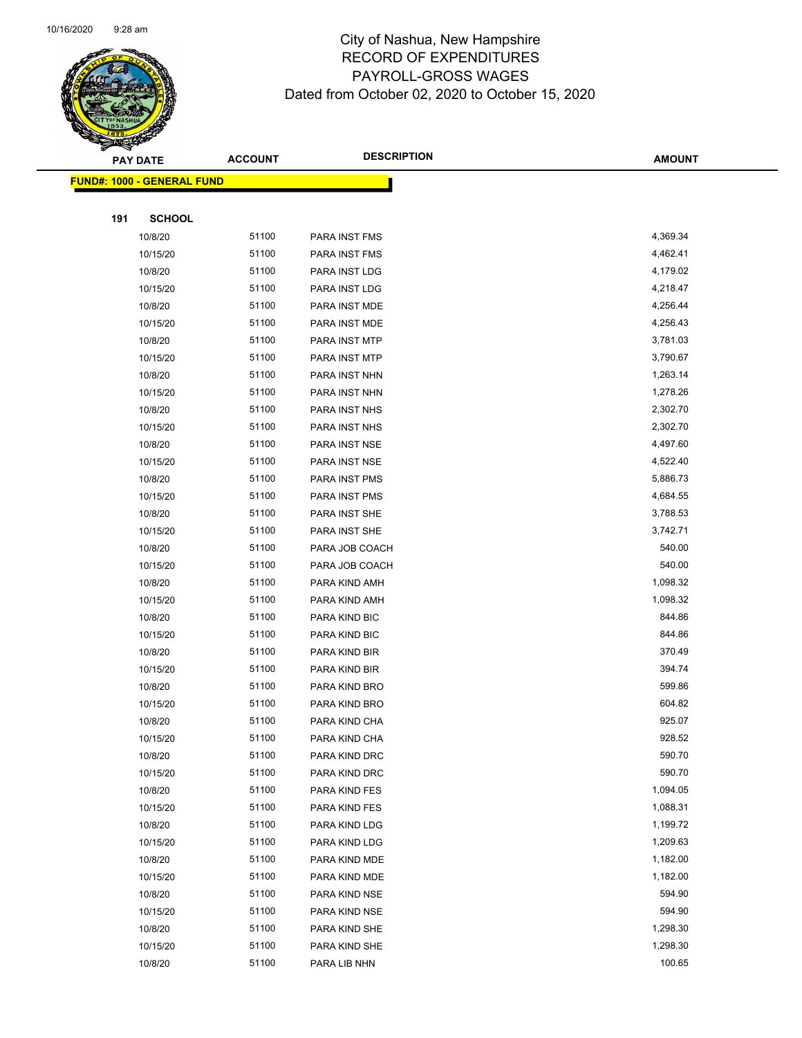

|     | <b>PAY DATE</b>                    | <b>ACCOUNT</b> | <b>DESCRIPTION</b> | <b>AMOUNT</b> |  |
|-----|------------------------------------|----------------|--------------------|---------------|--|
|     | <u> FUND#: 1000 - GENERAL FUND</u> |                |                    |               |  |
|     |                                    |                |                    |               |  |
| 191 | <b>SCHOOL</b>                      |                |                    |               |  |
|     | 10/8/20                            | 51100          | PARA INST FMS      | 4,369.34      |  |
|     | 10/15/20                           | 51100          | PARA INST FMS      | 4,462.41      |  |
|     | 10/8/20                            | 51100          | PARA INST LDG      | 4,179.02      |  |
|     | 10/15/20                           | 51100          | PARA INST LDG      | 4,218.47      |  |
|     | 10/8/20                            | 51100          | PARA INST MDE      | 4,256.44      |  |
|     | 10/15/20                           | 51100          | PARA INST MDE      | 4,256.43      |  |
|     | 10/8/20                            | 51100          | PARA INST MTP      | 3,781.03      |  |
|     | 10/15/20                           | 51100          | PARA INST MTP      | 3,790.67      |  |
|     | 10/8/20                            | 51100          | PARA INST NHN      | 1,263.14      |  |
|     | 10/15/20                           | 51100          | PARA INST NHN      | 1,278.26      |  |
|     | 10/8/20                            | 51100          | PARA INST NHS      | 2,302.70      |  |
|     | 10/15/20                           | 51100          | PARA INST NHS      | 2,302.70      |  |
|     | 10/8/20                            | 51100          | PARA INST NSE      | 4,497.60      |  |
|     | 10/15/20                           | 51100          | PARA INST NSE      | 4,522.40      |  |
|     | 10/8/20                            | 51100          | PARA INST PMS      | 5,886.73      |  |
|     | 10/15/20                           | 51100          | PARA INST PMS      | 4,684.55      |  |
|     | 10/8/20                            | 51100          | PARA INST SHE      | 3,788.53      |  |
|     | 10/15/20                           | 51100          | PARA INST SHE      | 3,742.71      |  |
|     | 10/8/20                            | 51100          | PARA JOB COACH     | 540.00        |  |
|     | 10/15/20                           | 51100          | PARA JOB COACH     | 540.00        |  |
|     | 10/8/20                            | 51100          | PARA KIND AMH      | 1,098.32      |  |
|     | 10/15/20                           | 51100          | PARA KIND AMH      | 1,098.32      |  |
|     | 10/8/20                            | 51100          | PARA KIND BIC      | 844.86        |  |
|     | 10/15/20                           | 51100          | PARA KIND BIC      | 844.86        |  |
|     | 10/8/20                            | 51100          | PARA KIND BIR      | 370.49        |  |
|     | 10/15/20                           | 51100          | PARA KIND BIR      | 394.74        |  |
|     | 10/8/20                            | 51100          | PARA KIND BRO      | 599.86        |  |
|     | 10/15/20                           | 51100          | PARA KIND BRO      | 604.82        |  |
|     | 10/8/20                            | 51100          | PARA KIND CHA      | 925.07        |  |
|     | 10/15/20                           | 51100          | PARA KIND CHA      | 928.52        |  |
|     | 10/8/20                            | 51100          | PARA KIND DRC      | 590.70        |  |
|     | 10/15/20                           | 51100          | PARA KIND DRC      | 590.70        |  |
|     | 10/8/20                            | 51100          | PARA KIND FES      | 1,094.05      |  |
|     | 10/15/20                           | 51100          | PARA KIND FES      | 1,088.31      |  |
|     | 10/8/20                            | 51100          | PARA KIND LDG      | 1,199.72      |  |
|     | 10/15/20                           | 51100          | PARA KIND LDG      | 1,209.63      |  |
|     | 10/8/20                            | 51100          | PARA KIND MDE      | 1,182.00      |  |
|     | 10/15/20                           | 51100          | PARA KIND MDE      | 1,182.00      |  |
|     | 10/8/20                            | 51100          | PARA KIND NSE      | 594.90        |  |
|     | 10/15/20                           | 51100          | PARA KIND NSE      | 594.90        |  |
|     | 10/8/20                            | 51100          | PARA KIND SHE      | 1,298.30      |  |
|     | 10/15/20                           | 51100          | PARA KIND SHE      | 1,298.30      |  |
|     | 10/8/20                            | 51100          | PARA LIB NHN       | 100.65        |  |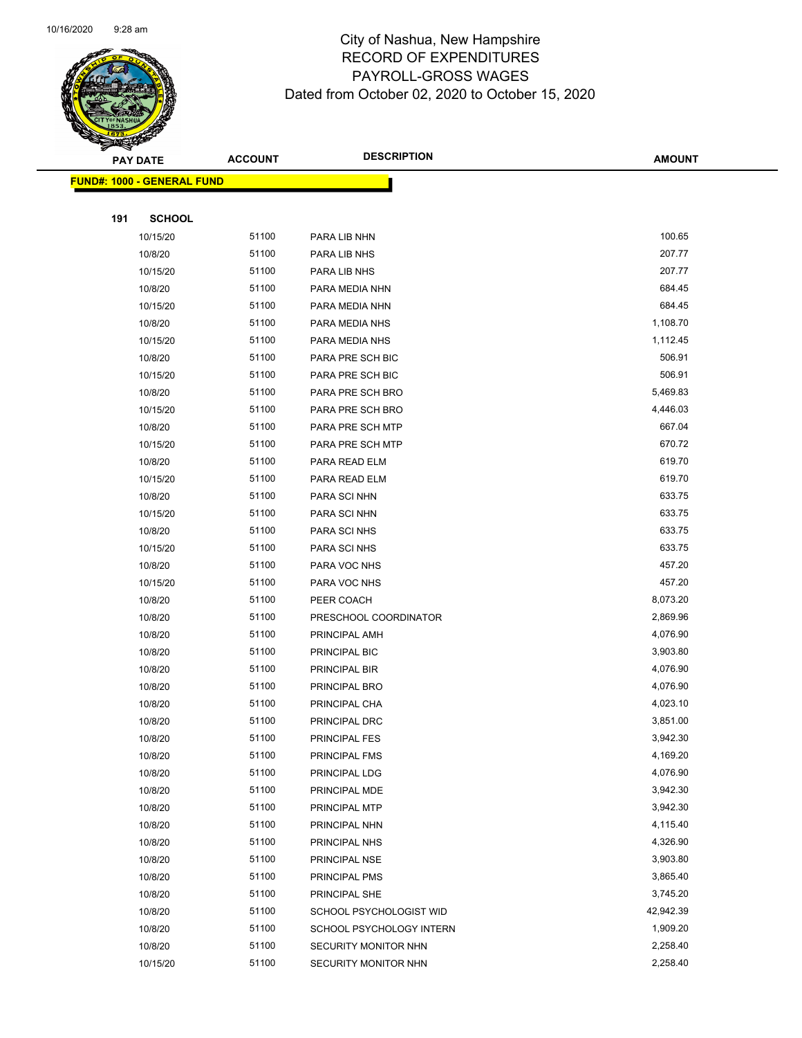

|     | <b>PAY DATE</b>                    | <b>ACCOUNT</b> | <b>DESCRIPTION</b>       | <b>AMOUNT</b>         |
|-----|------------------------------------|----------------|--------------------------|-----------------------|
|     | <u> FUND#: 1000 - GENERAL FUND</u> |                |                          |                       |
|     |                                    |                |                          |                       |
| 191 | <b>SCHOOL</b>                      |                |                          |                       |
|     | 10/15/20                           | 51100          | PARA LIB NHN             | 100.65                |
|     | 10/8/20                            | 51100          | PARA LIB NHS             | 207.77                |
|     | 10/15/20                           | 51100          | PARA LIB NHS             | 207.77                |
|     | 10/8/20                            | 51100          | PARA MEDIA NHN           | 684.45                |
|     | 10/15/20                           | 51100          | PARA MEDIA NHN           | 684.45                |
|     | 10/8/20                            | 51100          | PARA MEDIA NHS           | 1,108.70              |
|     | 10/15/20                           | 51100          | PARA MEDIA NHS           | 1,112.45              |
|     | 10/8/20                            | 51100          | PARA PRE SCH BIC         | 506.91                |
|     | 10/15/20                           | 51100          | PARA PRE SCH BIC         | 506.91                |
|     | 10/8/20                            | 51100          | PARA PRE SCH BRO         | 5,469.83              |
|     | 10/15/20                           | 51100          | PARA PRE SCH BRO         | 4,446.03              |
|     | 10/8/20                            | 51100          | PARA PRE SCH MTP         | 667.04                |
|     | 10/15/20                           | 51100          | PARA PRE SCH MTP         | 670.72                |
|     | 10/8/20                            | 51100          | PARA READ ELM            | 619.70                |
|     | 10/15/20                           | 51100          | PARA READ ELM            | 619.70                |
|     | 10/8/20                            | 51100          | PARA SCI NHN             | 633.75                |
|     | 10/15/20                           | 51100          | PARA SCI NHN             | 633.75                |
|     | 10/8/20                            | 51100          | PARA SCI NHS             | 633.75                |
|     | 10/15/20                           | 51100          | PARA SCI NHS             | 633.75                |
|     | 10/8/20                            | 51100          | PARA VOC NHS             | 457.20                |
|     | 10/15/20                           | 51100          | PARA VOC NHS             | 457.20                |
|     | 10/8/20                            | 51100          | PEER COACH               | 8,073.20              |
|     | 10/8/20                            | 51100          | PRESCHOOL COORDINATOR    | 2,869.96              |
|     | 10/8/20                            | 51100          | PRINCIPAL AMH            | 4,076.90              |
|     | 10/8/20                            | 51100          | PRINCIPAL BIC            | 3,903.80              |
|     | 10/8/20                            | 51100          | PRINCIPAL BIR            | 4,076.90              |
|     | 10/8/20                            | 51100          | PRINCIPAL BRO            | 4,076.90              |
|     | 10/8/20                            | 51100          | PRINCIPAL CHA            | 4,023.10              |
|     | 10/8/20                            | 51100          | PRINCIPAL DRC            | 3,851.00              |
|     | 10/8/20                            | 51100          | <b>PRINCIPAL FES</b>     | 3,942.30              |
|     | 10/8/20                            | 51100          | PRINCIPAL FMS            | 4,169.20              |
|     | 10/8/20                            | 51100          | PRINCIPAL LDG            | 4,076.90              |
|     | 10/8/20                            | 51100          | PRINCIPAL MDE            | 3,942.30              |
|     | 10/8/20                            | 51100          | PRINCIPAL MTP            | 3,942.30              |
|     | 10/8/20                            | 51100<br>51100 | PRINCIPAL NHN            | 4,115.40<br>4,326.90  |
|     | 10/8/20                            | 51100          | PRINCIPAL NHS            | 3,903.80              |
|     | 10/8/20                            |                | PRINCIPAL NSE            | 3,865.40              |
|     | 10/8/20<br>10/8/20                 | 51100<br>51100 | PRINCIPAL PMS            |                       |
|     |                                    | 51100          | PRINCIPAL SHE            | 3,745.20<br>42,942.39 |
|     | 10/8/20                            | 51100          | SCHOOL PSYCHOLOGIST WID  | 1,909.20              |
|     | 10/8/20<br>10/8/20                 | 51100          | SCHOOL PSYCHOLOGY INTERN | 2,258.40              |
|     | 10/15/20                           | 51100          | SECURITY MONITOR NHN     | 2,258.40              |
|     |                                    |                | SECURITY MONITOR NHN     |                       |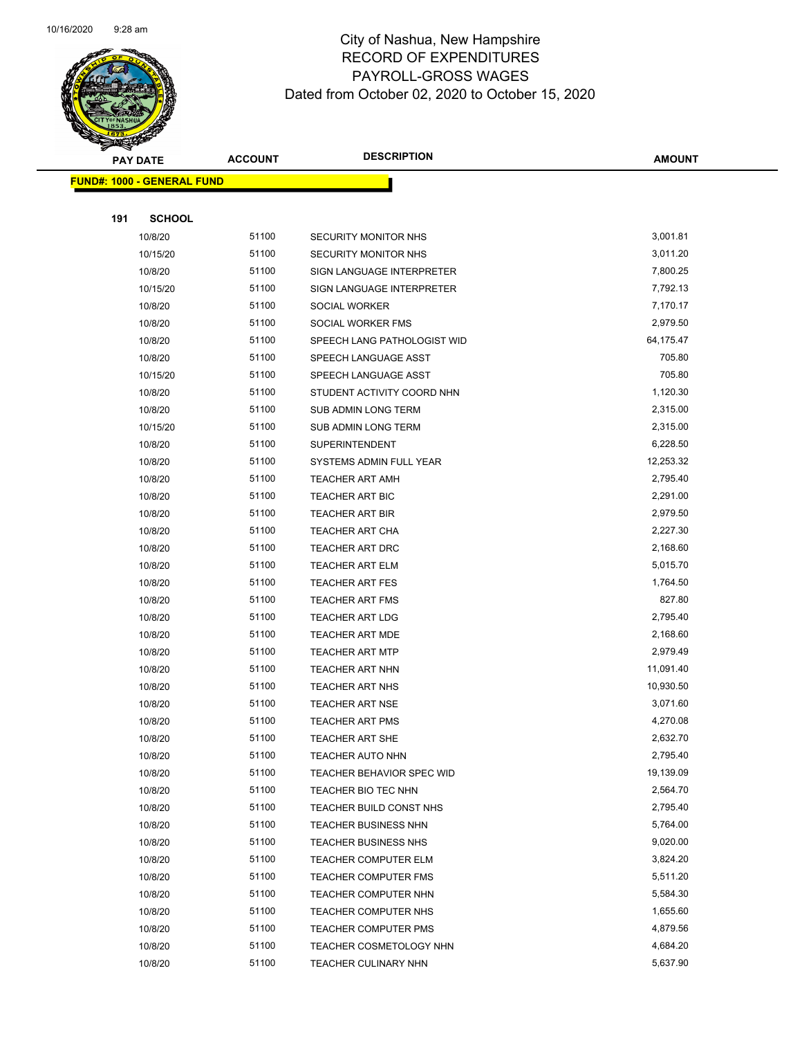

| <b>PAY DATE</b> |                                    | <b>DESCRIPTION</b><br><b>ACCOUNT</b> |                                  | <b>AMOUNT</b> |
|-----------------|------------------------------------|--------------------------------------|----------------------------------|---------------|
|                 | <u> FUND#: 1000 - GENERAL FUND</u> |                                      |                                  |               |
|                 |                                    |                                      |                                  |               |
| 191             | <b>SCHOOL</b>                      |                                      |                                  |               |
|                 | 10/8/20                            | 51100                                | SECURITY MONITOR NHS             | 3,001.81      |
|                 | 10/15/20                           | 51100                                | <b>SECURITY MONITOR NHS</b>      | 3,011.20      |
|                 | 10/8/20                            | 51100                                | SIGN LANGUAGE INTERPRETER        | 7,800.25      |
|                 | 10/15/20                           | 51100                                | SIGN LANGUAGE INTERPRETER        | 7,792.13      |
|                 | 10/8/20                            | 51100                                | SOCIAL WORKER                    | 7,170.17      |
|                 | 10/8/20                            | 51100                                | SOCIAL WORKER FMS                | 2,979.50      |
|                 | 10/8/20                            | 51100                                | SPEECH LANG PATHOLOGIST WID      | 64,175.47     |
|                 | 10/8/20                            | 51100                                | SPEECH LANGUAGE ASST             | 705.80        |
|                 | 10/15/20                           | 51100                                | SPEECH LANGUAGE ASST             | 705.80        |
|                 | 10/8/20                            | 51100                                | STUDENT ACTIVITY COORD NHN       | 1,120.30      |
|                 | 10/8/20                            | 51100                                | SUB ADMIN LONG TERM              | 2,315.00      |
|                 | 10/15/20                           | 51100                                | SUB ADMIN LONG TERM              | 2,315.00      |
|                 | 10/8/20                            | 51100                                | <b>SUPERINTENDENT</b>            | 6,228.50      |
|                 | 10/8/20                            | 51100                                | SYSTEMS ADMIN FULL YEAR          | 12,253.32     |
|                 | 10/8/20                            | 51100                                | <b>TEACHER ART AMH</b>           | 2,795.40      |
|                 | 10/8/20                            | 51100                                | TEACHER ART BIC                  | 2,291.00      |
|                 | 10/8/20                            | 51100                                | <b>TEACHER ART BIR</b>           | 2,979.50      |
|                 | 10/8/20                            | 51100                                | <b>TEACHER ART CHA</b>           | 2,227.30      |
|                 | 10/8/20                            | 51100                                | TEACHER ART DRC                  | 2,168.60      |
|                 | 10/8/20                            | 51100                                | TEACHER ART ELM                  | 5,015.70      |
|                 | 10/8/20                            | 51100                                | <b>TEACHER ART FES</b>           | 1,764.50      |
|                 | 10/8/20                            | 51100                                | <b>TEACHER ART FMS</b>           | 827.80        |
|                 | 10/8/20                            | 51100                                | <b>TEACHER ART LDG</b>           | 2,795.40      |
|                 | 10/8/20                            | 51100                                | <b>TEACHER ART MDE</b>           | 2,168.60      |
|                 | 10/8/20                            | 51100                                | <b>TEACHER ART MTP</b>           | 2,979.49      |
|                 | 10/8/20                            | 51100                                | <b>TEACHER ART NHN</b>           | 11,091.40     |
|                 | 10/8/20                            | 51100                                | <b>TEACHER ART NHS</b>           | 10,930.50     |
|                 | 10/8/20                            | 51100                                | <b>TEACHER ART NSE</b>           | 3,071.60      |
|                 | 10/8/20                            | 51100                                | <b>TEACHER ART PMS</b>           | 4,270.08      |
|                 | 10/8/20                            | 51100                                | <b>TEACHER ART SHE</b>           | 2,632.70      |
|                 | 10/8/20                            | 51100                                | TEACHER AUTO NHN                 | 2,795.40      |
|                 | 10/8/20                            | 51100                                | <b>TEACHER BEHAVIOR SPEC WID</b> | 19,139.09     |
|                 | 10/8/20                            | 51100                                | TEACHER BIO TEC NHN              | 2,564.70      |
|                 | 10/8/20                            | 51100                                | TEACHER BUILD CONST NHS          | 2,795.40      |
|                 | 10/8/20                            | 51100                                | <b>TEACHER BUSINESS NHN</b>      | 5,764.00      |
|                 | 10/8/20                            | 51100                                | <b>TEACHER BUSINESS NHS</b>      | 9,020.00      |
|                 | 10/8/20                            | 51100                                | <b>TEACHER COMPUTER ELM</b>      | 3,824.20      |
|                 | 10/8/20                            | 51100                                | <b>TEACHER COMPUTER FMS</b>      | 5,511.20      |
|                 | 10/8/20                            | 51100                                | TEACHER COMPUTER NHN             | 5,584.30      |
|                 | 10/8/20                            | 51100                                | TEACHER COMPUTER NHS             | 1,655.60      |
|                 | 10/8/20                            | 51100                                | <b>TEACHER COMPUTER PMS</b>      | 4,879.56      |
|                 | 10/8/20                            | 51100                                | TEACHER COSMETOLOGY NHN          | 4,684.20      |
|                 | 10/8/20                            | 51100                                | <b>TEACHER CULINARY NHN</b>      | 5,637.90      |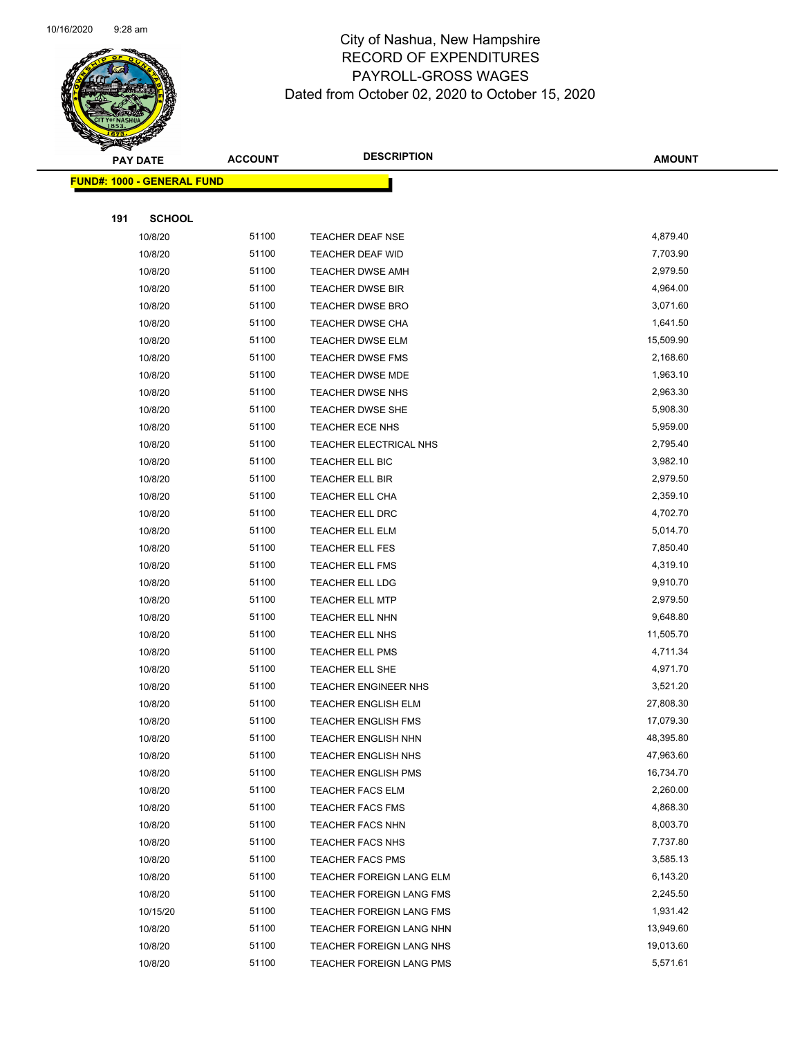

Page 79 of 104

|     | <b>PAY DATE</b>                    | <b>ACCOUNT</b> | <b>DESCRIPTION</b>         | <b>AMOUNT</b> |
|-----|------------------------------------|----------------|----------------------------|---------------|
|     | <u> FUND#: 1000 - GENERAL FUND</u> |                |                            |               |
|     |                                    |                |                            |               |
| 191 | <b>SCHOOL</b>                      |                |                            |               |
|     | 10/8/20                            | 51100          | TEACHER DEAF NSE           | 4,879.40      |
|     | 10/8/20                            | 51100          | <b>TEACHER DEAF WID</b>    | 7,703.90      |
|     | 10/8/20                            | 51100          | <b>TEACHER DWSE AMH</b>    | 2,979.50      |
|     | 10/8/20                            | 51100          | <b>TEACHER DWSE BIR</b>    | 4,964.00      |
|     | 10/8/20                            | 51100          | <b>TEACHER DWSE BRO</b>    | 3,071.60      |
|     | 10/8/20                            | 51100          | TEACHER DWSE CHA           | 1,641.50      |
|     | 10/8/20                            | 51100          | <b>TEACHER DWSE ELM</b>    | 15,509.90     |
|     | 10/8/20                            | 51100          | <b>TEACHER DWSE FMS</b>    | 2,168.60      |
|     | 10/8/20                            | 51100          | TEACHER DWSE MDE           | 1,963.10      |
|     | 10/8/20                            | 51100          | <b>TEACHER DWSE NHS</b>    | 2,963.30      |
|     | 10/8/20                            | 51100          | <b>TEACHER DWSE SHE</b>    | 5,908.30      |
|     | 10/8/20                            | 51100          | <b>TEACHER ECE NHS</b>     | 5,959.00      |
|     | 10/8/20                            | 51100          | TEACHER ELECTRICAL NHS     | 2,795.40      |
|     | 10/8/20                            | 51100          | TEACHER ELL BIC            | 3,982.10      |
|     | 10/8/20                            | 51100          | TEACHER ELL BIR            | 2,979.50      |
|     | 10/8/20                            | 51100          | TEACHER ELL CHA            | 2,359.10      |
|     | 10/8/20                            | 51100          | TEACHER ELL DRC            | 4,702.70      |
|     | 10/8/20                            | 51100          | TEACHER ELL ELM            | 5,014.70      |
|     | 10/8/20                            | 51100          | TEACHER ELL FES            | 7,850.40      |
|     | 10/8/20                            | 51100          | TEACHER ELL FMS            | 4,319.10      |
|     | 10/8/20                            | 51100          | TEACHER ELL LDG            | 9,910.70      |
|     | 10/8/20                            | 51100          | <b>TEACHER ELL MTP</b>     | 2,979.50      |
|     | 10/8/20                            | 51100          | TEACHER ELL NHN            | 9,648.80      |
|     | 10/8/20                            | 51100          | TEACHER ELL NHS            | 11,505.70     |
|     | 10/8/20                            | 51100          | <b>TEACHER ELL PMS</b>     | 4,711.34      |
|     | 10/8/20                            | 51100          | TEACHER ELL SHE            | 4,971.70      |
|     | 10/8/20                            | 51100          | TEACHER ENGINEER NHS       | 3,521.20      |
|     | 10/8/20                            | 51100          | <b>TEACHER ENGLISH ELM</b> | 27,808.30     |
|     | 10/8/20                            | 51100          | <b>TEACHER ENGLISH FMS</b> | 17,079.30     |
|     | 10/8/20                            | 51100          | <b>TEACHER ENGLISH NHN</b> | 48,395.80     |
|     | 10/8/20                            | 51100          | TEACHER ENGLISH NHS        | 47,963.60     |
|     | 10/8/20                            | 51100          | <b>TEACHER ENGLISH PMS</b> | 16,734.70     |
|     | 10/8/20                            | 51100          | <b>TEACHER FACS ELM</b>    | 2,260.00      |
|     | 10/8/20                            | 51100          | <b>TEACHER FACS FMS</b>    | 4,868.30      |
|     | 10/8/20                            | 51100          | <b>TEACHER FACS NHN</b>    | 8,003.70      |
|     | 10/8/20                            | 51100          | <b>TEACHER FACS NHS</b>    | 7,737.80      |
|     | 10/8/20                            | 51100          | <b>TEACHER FACS PMS</b>    | 3,585.13      |
|     | 10/8/20                            | 51100          | TEACHER FOREIGN LANG ELM   | 6,143.20      |
|     | 10/8/20                            | 51100          | TEACHER FOREIGN LANG FMS   | 2,245.50      |
|     | 10/15/20                           | 51100          | TEACHER FOREIGN LANG FMS   | 1,931.42      |
|     | 10/8/20                            | 51100          | TEACHER FOREIGN LANG NHN   | 13,949.60     |
|     | 10/8/20                            | 51100          | TEACHER FOREIGN LANG NHS   | 19,013.60     |
|     | 10/8/20                            | 51100          | TEACHER FOREIGN LANG PMS   | 5,571.61      |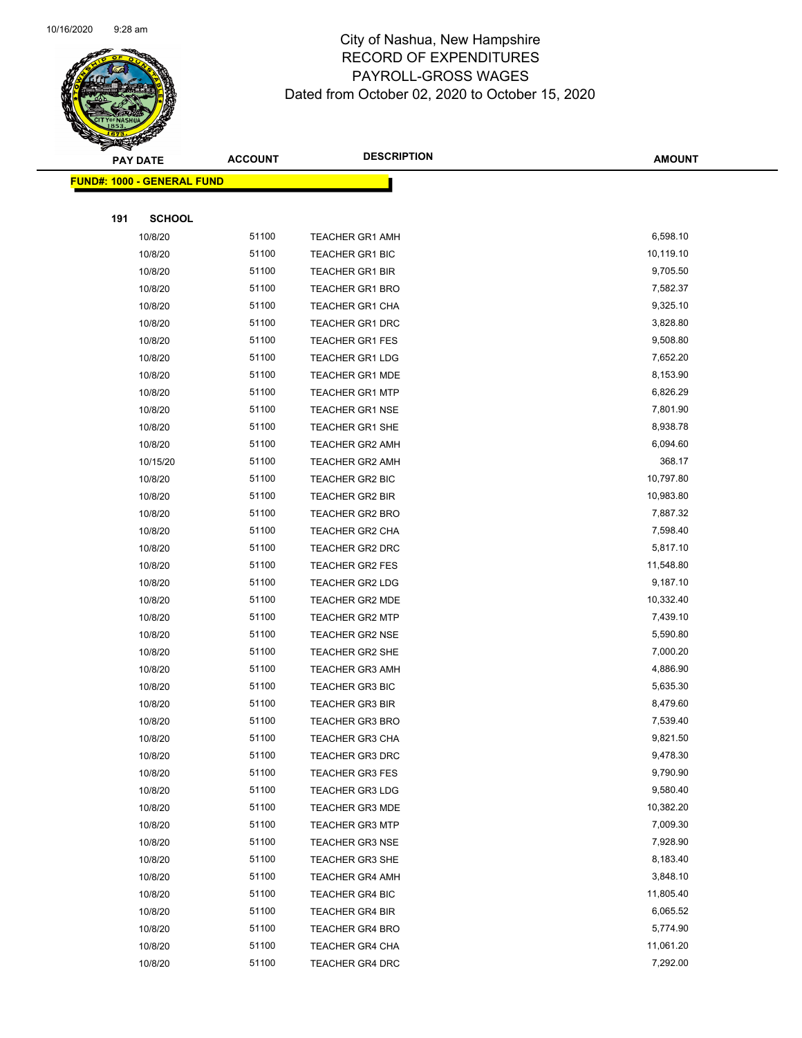

| <b>PAY DATE</b>                   |               | <b>DESCRIPTION</b><br><b>ACCOUNT</b> |                        | <b>AMOUNT</b> |
|-----------------------------------|---------------|--------------------------------------|------------------------|---------------|
| <b>FUND#: 1000 - GENERAL FUND</b> |               |                                      |                        |               |
|                                   |               |                                      |                        |               |
| 191                               | <b>SCHOOL</b> |                                      |                        |               |
|                                   | 10/8/20       | 51100                                | <b>TEACHER GR1 AMH</b> | 6,598.10      |
|                                   | 10/8/20       | 51100                                | <b>TEACHER GR1 BIC</b> | 10,119.10     |
|                                   | 10/8/20       | 51100                                | <b>TEACHER GR1 BIR</b> | 9,705.50      |
|                                   | 10/8/20       | 51100                                | TEACHER GR1 BRO        | 7,582.37      |
|                                   | 10/8/20       | 51100                                | <b>TEACHER GR1 CHA</b> | 9,325.10      |
|                                   | 10/8/20       | 51100                                | <b>TEACHER GR1 DRC</b> | 3,828.80      |
|                                   | 10/8/20       | 51100                                | <b>TEACHER GR1 FES</b> | 9,508.80      |
|                                   | 10/8/20       | 51100                                | <b>TEACHER GR1 LDG</b> | 7,652.20      |
|                                   | 10/8/20       | 51100                                | <b>TEACHER GR1 MDE</b> | 8,153.90      |
|                                   | 10/8/20       | 51100                                | <b>TEACHER GR1 MTP</b> | 6,826.29      |
|                                   | 10/8/20       | 51100                                | <b>TEACHER GR1 NSE</b> | 7,801.90      |
|                                   | 10/8/20       | 51100                                | <b>TEACHER GR1 SHE</b> | 8,938.78      |
|                                   | 10/8/20       | 51100                                | <b>TEACHER GR2 AMH</b> | 6,094.60      |
|                                   | 10/15/20      | 51100                                | <b>TEACHER GR2 AMH</b> | 368.17        |
|                                   | 10/8/20       | 51100                                | TEACHER GR2 BIC        | 10,797.80     |
|                                   | 10/8/20       | 51100                                | <b>TEACHER GR2 BIR</b> | 10,983.80     |
|                                   | 10/8/20       | 51100                                | <b>TEACHER GR2 BRO</b> | 7,887.32      |
|                                   | 10/8/20       | 51100                                | <b>TEACHER GR2 CHA</b> | 7,598.40      |
|                                   | 10/8/20       | 51100                                | TEACHER GR2 DRC        | 5,817.10      |
|                                   | 10/8/20       | 51100                                | <b>TEACHER GR2 FES</b> | 11,548.80     |
|                                   | 10/8/20       | 51100                                | TEACHER GR2 LDG        | 9,187.10      |
|                                   | 10/8/20       | 51100                                | <b>TEACHER GR2 MDE</b> | 10,332.40     |
|                                   | 10/8/20       | 51100                                | <b>TEACHER GR2 MTP</b> | 7,439.10      |
|                                   | 10/8/20       | 51100                                | <b>TEACHER GR2 NSE</b> | 5,590.80      |
|                                   | 10/8/20       | 51100                                | <b>TEACHER GR2 SHE</b> | 7,000.20      |
|                                   | 10/8/20       | 51100                                | <b>TEACHER GR3 AMH</b> | 4,886.90      |
|                                   | 10/8/20       | 51100                                | <b>TEACHER GR3 BIC</b> | 5,635.30      |
|                                   | 10/8/20       | 51100                                | <b>TEACHER GR3 BIR</b> | 8,479.60      |
|                                   | 10/8/20       | 51100                                | <b>TEACHER GR3 BRO</b> | 7,539.40      |
|                                   | 10/8/20       | 51100                                | <b>TEACHER GR3 CHA</b> | 9,821.50      |
|                                   | 10/8/20       | 51100                                | <b>TEACHER GR3 DRC</b> | 9,478.30      |
|                                   | 10/8/20       | 51100                                | <b>TEACHER GR3 FES</b> | 9,790.90      |
|                                   | 10/8/20       | 51100                                | <b>TEACHER GR3 LDG</b> | 9,580.40      |
|                                   | 10/8/20       | 51100                                | <b>TEACHER GR3 MDE</b> | 10,382.20     |
|                                   | 10/8/20       | 51100                                | <b>TEACHER GR3 MTP</b> | 7,009.30      |
|                                   | 10/8/20       | 51100                                | <b>TEACHER GR3 NSE</b> | 7,928.90      |
|                                   | 10/8/20       | 51100                                | <b>TEACHER GR3 SHE</b> | 8,183.40      |
|                                   | 10/8/20       | 51100                                | <b>TEACHER GR4 AMH</b> | 3,848.10      |
|                                   | 10/8/20       | 51100                                | TEACHER GR4 BIC        | 11,805.40     |
|                                   | 10/8/20       | 51100                                | <b>TEACHER GR4 BIR</b> | 6,065.52      |
|                                   | 10/8/20       | 51100                                | <b>TEACHER GR4 BRO</b> | 5,774.90      |
|                                   | 10/8/20       | 51100                                | <b>TEACHER GR4 CHA</b> | 11,061.20     |
|                                   | 10/8/20       | 51100                                | <b>TEACHER GR4 DRC</b> | 7,292.00      |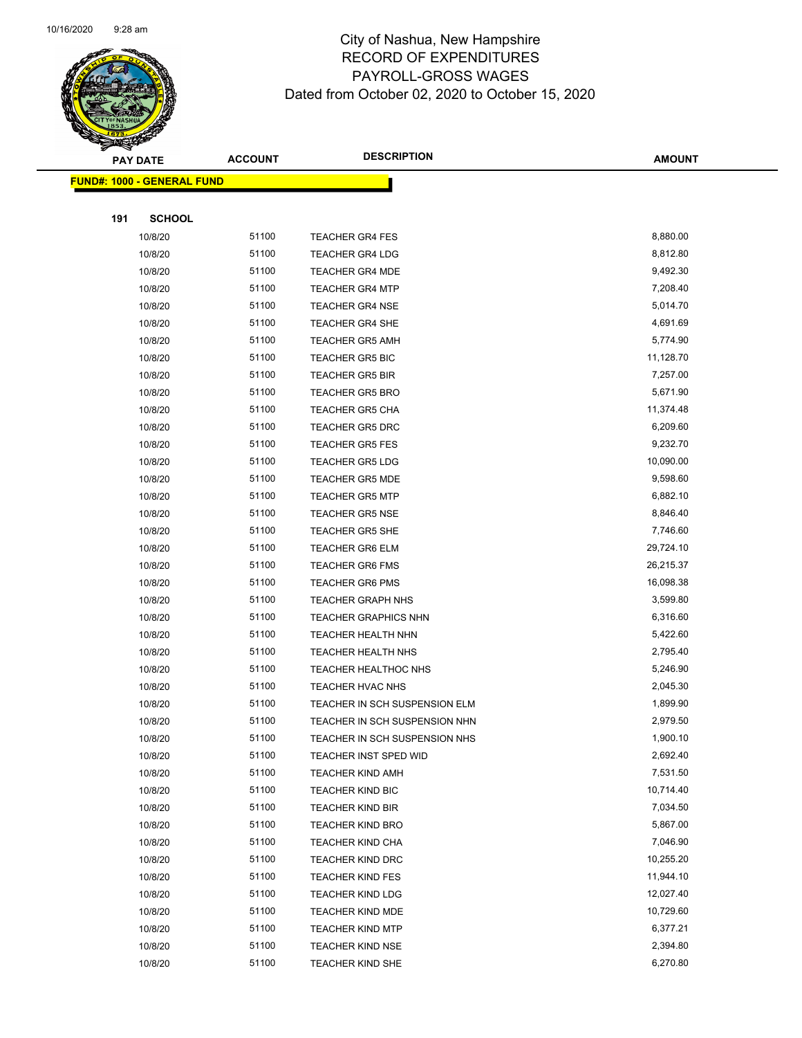

Page 81 of 104

|     | <b>PAY DATE</b>                    | <b>ACCOUNT</b> | <b>DESCRIPTION</b>                                | <b>AMOUNT</b>        |
|-----|------------------------------------|----------------|---------------------------------------------------|----------------------|
|     | <u> FUND#: 1000 - GENERAL FUND</u> |                |                                                   |                      |
|     |                                    |                |                                                   |                      |
| 191 | <b>SCHOOL</b>                      |                |                                                   |                      |
|     | 10/8/20                            | 51100          | <b>TEACHER GR4 FES</b>                            | 8,880.00             |
|     | 10/8/20                            | 51100          | <b>TEACHER GR4 LDG</b>                            | 8,812.80             |
|     | 10/8/20                            | 51100          | <b>TEACHER GR4 MDE</b>                            | 9,492.30             |
|     | 10/8/20                            | 51100          | <b>TEACHER GR4 MTP</b>                            | 7,208.40             |
|     | 10/8/20                            | 51100          | <b>TEACHER GR4 NSE</b>                            | 5,014.70             |
|     | 10/8/20                            | 51100          | TEACHER GR4 SHE                                   | 4,691.69             |
|     | 10/8/20                            | 51100          | <b>TEACHER GR5 AMH</b>                            | 5,774.90             |
|     | 10/8/20                            | 51100          | <b>TEACHER GR5 BIC</b>                            | 11,128.70            |
|     | 10/8/20                            | 51100          | <b>TEACHER GR5 BIR</b>                            | 7,257.00             |
|     | 10/8/20                            | 51100          | <b>TEACHER GR5 BRO</b>                            | 5,671.90             |
|     | 10/8/20                            | 51100          | <b>TEACHER GR5 CHA</b>                            | 11,374.48            |
|     | 10/8/20                            | 51100          | <b>TEACHER GR5 DRC</b>                            | 6,209.60             |
|     | 10/8/20                            | 51100          | <b>TEACHER GR5 FES</b>                            | 9,232.70             |
|     | 10/8/20                            | 51100          | <b>TEACHER GR5 LDG</b>                            | 10,090.00            |
|     | 10/8/20                            | 51100          | <b>TEACHER GR5 MDE</b>                            | 9,598.60             |
|     | 10/8/20                            | 51100          | <b>TEACHER GR5 MTP</b>                            | 6,882.10             |
|     | 10/8/20                            | 51100          | <b>TEACHER GR5 NSE</b>                            | 8,846.40             |
|     | 10/8/20                            | 51100          | <b>TEACHER GR5 SHE</b>                            | 7,746.60             |
|     | 10/8/20                            | 51100          | <b>TEACHER GR6 ELM</b>                            | 29,724.10            |
|     | 10/8/20                            | 51100          | <b>TEACHER GR6 FMS</b>                            | 26,215.37            |
|     | 10/8/20                            | 51100          | <b>TEACHER GR6 PMS</b>                            | 16,098.38            |
|     | 10/8/20                            | 51100          | <b>TEACHER GRAPH NHS</b>                          | 3,599.80             |
|     | 10/8/20                            | 51100          | <b>TEACHER GRAPHICS NHN</b>                       | 6,316.60             |
|     | 10/8/20                            | 51100          | <b>TEACHER HEALTH NHN</b>                         | 5,422.60             |
|     | 10/8/20                            | 51100          | TEACHER HEALTH NHS                                | 2,795.40             |
|     | 10/8/20                            | 51100<br>51100 | TEACHER HEALTHOC NHS                              | 5,246.90<br>2,045.30 |
|     | 10/8/20<br>10/8/20                 | 51100          | TEACHER HVAC NHS<br>TEACHER IN SCH SUSPENSION ELM | 1,899.90             |
|     | 10/8/20                            | 51100          | TEACHER IN SCH SUSPENSION NHN                     | 2,979.50             |
|     | 10/8/20                            | 51100          | TEACHER IN SCH SUSPENSION NHS                     | 1,900.10             |
|     | 10/8/20                            | 51100          | TEACHER INST SPED WID                             | 2,692.40             |
|     | 10/8/20                            | 51100          | <b>TEACHER KIND AMH</b>                           | 7,531.50             |
|     | 10/8/20                            | 51100          | <b>TEACHER KIND BIC</b>                           | 10,714.40            |
|     | 10/8/20                            | 51100          | TEACHER KIND BIR                                  | 7,034.50             |
|     | 10/8/20                            | 51100          | <b>TEACHER KIND BRO</b>                           | 5,867.00             |
|     | 10/8/20                            | 51100          | <b>TEACHER KIND CHA</b>                           | 7,046.90             |
|     | 10/8/20                            | 51100          | <b>TEACHER KIND DRC</b>                           | 10,255.20            |
|     | 10/8/20                            | 51100          | <b>TEACHER KIND FES</b>                           | 11,944.10            |
|     | 10/8/20                            | 51100          | <b>TEACHER KIND LDG</b>                           | 12,027.40            |
|     | 10/8/20                            | 51100          | <b>TEACHER KIND MDE</b>                           | 10,729.60            |
|     | 10/8/20                            | 51100          | <b>TEACHER KIND MTP</b>                           | 6,377.21             |
|     | 10/8/20                            | 51100          | <b>TEACHER KIND NSE</b>                           | 2,394.80             |
|     | 10/8/20                            | 51100          | <b>TEACHER KIND SHE</b>                           | 6,270.80             |
|     |                                    |                |                                                   |                      |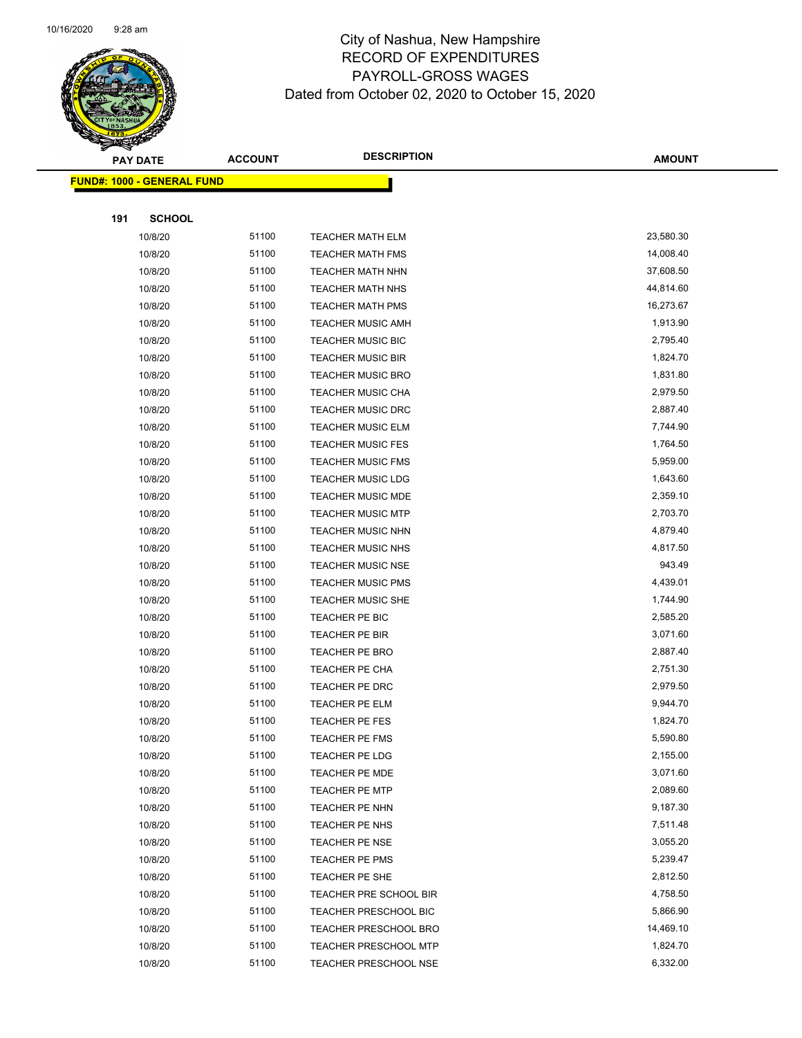

|     | <b>PAY DATE</b>                   | <b>ACCOUNT</b> | <b>DESCRIPTION</b>           | <b>AMOUNT</b> |
|-----|-----------------------------------|----------------|------------------------------|---------------|
|     | <b>FUND#: 1000 - GENERAL FUND</b> |                |                              |               |
|     |                                   |                |                              |               |
| 191 | <b>SCHOOL</b>                     |                |                              |               |
|     | 10/8/20                           | 51100          | <b>TEACHER MATH ELM</b>      | 23,580.30     |
|     | 10/8/20                           | 51100          | <b>TEACHER MATH FMS</b>      | 14,008.40     |
|     | 10/8/20                           | 51100          | <b>TEACHER MATH NHN</b>      | 37,608.50     |
|     | 10/8/20                           | 51100          | <b>TEACHER MATH NHS</b>      | 44,814.60     |
|     | 10/8/20                           | 51100          | <b>TEACHER MATH PMS</b>      | 16,273.67     |
|     | 10/8/20                           | 51100          | TEACHER MUSIC AMH            | 1,913.90      |
|     | 10/8/20                           | 51100          | <b>TEACHER MUSIC BIC</b>     | 2,795.40      |
|     | 10/8/20                           | 51100          | <b>TEACHER MUSIC BIR</b>     | 1,824.70      |
|     | 10/8/20                           | 51100          | <b>TEACHER MUSIC BRO</b>     | 1,831.80      |
|     | 10/8/20                           | 51100          | <b>TEACHER MUSIC CHA</b>     | 2,979.50      |
|     | 10/8/20                           | 51100          | TEACHER MUSIC DRC            | 2,887.40      |
|     | 10/8/20                           | 51100          | <b>TEACHER MUSIC ELM</b>     | 7,744.90      |
|     | 10/8/20                           | 51100          | <b>TEACHER MUSIC FES</b>     | 1,764.50      |
|     | 10/8/20                           | 51100          | <b>TEACHER MUSIC FMS</b>     | 5,959.00      |
|     | 10/8/20                           | 51100          | <b>TEACHER MUSIC LDG</b>     | 1,643.60      |
|     | 10/8/20                           | 51100          | TEACHER MUSIC MDE            | 2,359.10      |
|     | 10/8/20                           | 51100          | <b>TEACHER MUSIC MTP</b>     | 2,703.70      |
|     | 10/8/20                           | 51100          | <b>TEACHER MUSIC NHN</b>     | 4,879.40      |
|     | 10/8/20                           | 51100          | <b>TEACHER MUSIC NHS</b>     | 4,817.50      |
|     | 10/8/20                           | 51100          | <b>TEACHER MUSIC NSE</b>     | 943.49        |
|     | 10/8/20                           | 51100          | <b>TEACHER MUSIC PMS</b>     | 4,439.01      |
|     | 10/8/20                           | 51100          | <b>TEACHER MUSIC SHE</b>     | 1,744.90      |
|     | 10/8/20                           | 51100          | TEACHER PE BIC               | 2,585.20      |
|     | 10/8/20                           | 51100          | TEACHER PE BIR               | 3,071.60      |
|     | 10/8/20                           | 51100          | TEACHER PE BRO               | 2,887.40      |
|     | 10/8/20                           | 51100          | TEACHER PE CHA               | 2,751.30      |
|     | 10/8/20                           | 51100          | TEACHER PE DRC               | 2,979.50      |
|     | 10/8/20                           | 51100          | <b>TEACHER PE ELM</b>        | 9,944.70      |
|     | 10/8/20                           | 51100          | <b>TEACHER PE FES</b>        | 1,824.70      |
|     | 10/8/20                           | 51100          | <b>TEACHER PE FMS</b>        | 5,590.80      |
|     | 10/8/20                           | 51100          | TEACHER PE LDG               | 2,155.00      |
|     | 10/8/20                           | 51100          | <b>TEACHER PE MDE</b>        | 3,071.60      |
|     | 10/8/20                           | 51100          | <b>TEACHER PE MTP</b>        | 2,089.60      |
|     | 10/8/20                           | 51100          | TEACHER PE NHN               | 9,187.30      |
|     | 10/8/20                           | 51100          | TEACHER PE NHS               | 7,511.48      |
|     | 10/8/20                           | 51100          | TEACHER PE NSE               | 3,055.20      |
|     | 10/8/20                           | 51100          | TEACHER PE PMS               | 5,239.47      |
|     | 10/8/20                           | 51100          | TEACHER PE SHE               | 2,812.50      |
|     | 10/8/20                           | 51100          | TEACHER PRE SCHOOL BIR       | 4,758.50      |
|     | 10/8/20                           | 51100          | TEACHER PRESCHOOL BIC        | 5,866.90      |
|     | 10/8/20                           | 51100          | <b>TEACHER PRESCHOOL BRO</b> | 14,469.10     |
|     | 10/8/20                           | 51100          | <b>TEACHER PRESCHOOL MTP</b> | 1,824.70      |
|     | 10/8/20                           | 51100          | <b>TEACHER PRESCHOOL NSE</b> | 6,332.00      |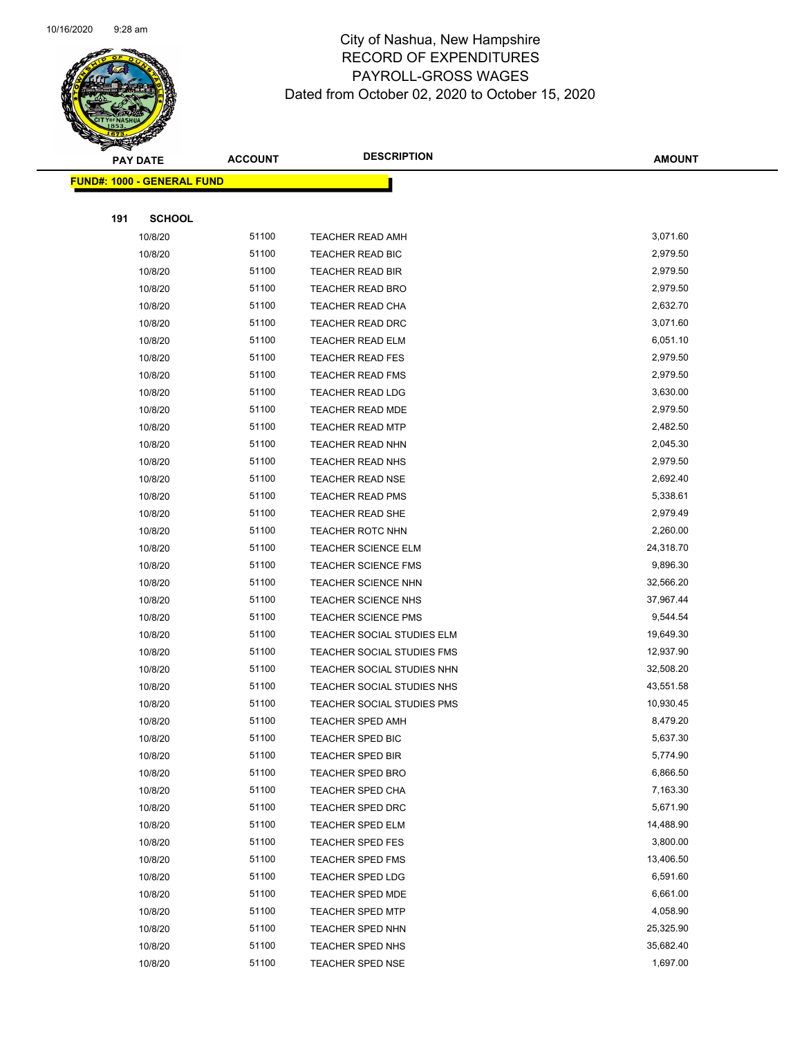

Page 83 of 104

|     | <b>PAY DATE</b>                   | <b>ACCOUNT</b> | <b>DESCRIPTION</b>                                 | <b>AMOUNT</b>        |
|-----|-----------------------------------|----------------|----------------------------------------------------|----------------------|
|     | <b>FUND#: 1000 - GENERAL FUND</b> |                |                                                    |                      |
|     |                                   |                |                                                    |                      |
| 191 | <b>SCHOOL</b>                     |                |                                                    |                      |
|     | 10/8/20                           | 51100          | TEACHER READ AMH                                   | 3,071.60             |
|     | 10/8/20                           | 51100          | TEACHER READ BIC                                   | 2,979.50             |
|     | 10/8/20                           | 51100          | TEACHER READ BIR                                   | 2,979.50             |
|     | 10/8/20                           | 51100          | <b>TEACHER READ BRO</b>                            | 2,979.50             |
|     | 10/8/20                           | 51100          | <b>TEACHER READ CHA</b>                            | 2,632.70             |
|     | 10/8/20                           | 51100          | <b>TEACHER READ DRC</b>                            | 3,071.60             |
|     | 10/8/20                           | 51100          | <b>TEACHER READ ELM</b>                            | 6,051.10             |
|     | 10/8/20                           | 51100          | <b>TEACHER READ FES</b>                            | 2,979.50             |
|     | 10/8/20                           | 51100          | <b>TEACHER READ FMS</b>                            | 2,979.50             |
|     | 10/8/20                           | 51100          | <b>TEACHER READ LDG</b>                            | 3,630.00             |
|     | 10/8/20                           | 51100          | TEACHER READ MDE                                   | 2,979.50             |
|     | 10/8/20                           | 51100          | <b>TEACHER READ MTP</b>                            | 2,482.50             |
|     | 10/8/20                           | 51100          | TEACHER READ NHN                                   | 2,045.30             |
|     | 10/8/20                           | 51100          | <b>TEACHER READ NHS</b>                            | 2,979.50             |
|     | 10/8/20                           | 51100<br>51100 | <b>TEACHER READ NSE</b>                            | 2,692.40             |
|     | 10/8/20                           | 51100          | <b>TEACHER READ PMS</b><br><b>TEACHER READ SHE</b> | 5,338.61<br>2,979.49 |
|     | 10/8/20<br>10/8/20                | 51100          | TEACHER ROTC NHN                                   | 2,260.00             |
|     | 10/8/20                           | 51100          | <b>TEACHER SCIENCE ELM</b>                         | 24,318.70            |
|     | 10/8/20                           | 51100          | <b>TEACHER SCIENCE FMS</b>                         | 9,896.30             |
|     | 10/8/20                           | 51100          | <b>TEACHER SCIENCE NHN</b>                         | 32,566.20            |
|     | 10/8/20                           | 51100          | TEACHER SCIENCE NHS                                | 37,967.44            |
|     | 10/8/20                           | 51100          | <b>TEACHER SCIENCE PMS</b>                         | 9,544.54             |
|     | 10/8/20                           | 51100          | TEACHER SOCIAL STUDIES ELM                         | 19,649.30            |
|     | 10/8/20                           | 51100          | TEACHER SOCIAL STUDIES FMS                         | 12,937.90            |
|     | 10/8/20                           | 51100          | TEACHER SOCIAL STUDIES NHN                         | 32,508.20            |
|     | 10/8/20                           | 51100          | TEACHER SOCIAL STUDIES NHS                         | 43,551.58            |
|     | 10/8/20                           | 51100          | TEACHER SOCIAL STUDIES PMS                         | 10,930.45            |
|     | 10/8/20                           | 51100          | <b>TEACHER SPED AMH</b>                            | 8,479.20             |
|     | 10/8/20                           | 51100          | TEACHER SPED BIC                                   | 5,637.30             |
|     | 10/8/20                           | 51100          | <b>TEACHER SPED BIR</b>                            | 5,774.90             |
|     | 10/8/20                           | 51100          | <b>TEACHER SPED BRO</b>                            | 6,866.50             |
|     | 10/8/20                           | 51100          | TEACHER SPED CHA                                   | 7,163.30             |
|     | 10/8/20                           | 51100          | TEACHER SPED DRC                                   | 5,671.90             |
|     | 10/8/20                           | 51100          | <b>TEACHER SPED ELM</b>                            | 14,488.90            |
|     | 10/8/20                           | 51100          | <b>TEACHER SPED FES</b>                            | 3,800.00             |
|     | 10/8/20                           | 51100          | <b>TEACHER SPED FMS</b>                            | 13,406.50            |
|     | 10/8/20                           | 51100          | TEACHER SPED LDG                                   | 6,591.60             |
|     | 10/8/20                           | 51100          | TEACHER SPED MDE                                   | 6,661.00             |
|     | 10/8/20                           | 51100          | <b>TEACHER SPED MTP</b>                            | 4,058.90             |
|     | 10/8/20                           | 51100          | TEACHER SPED NHN                                   | 25,325.90            |
|     | 10/8/20                           | 51100          | TEACHER SPED NHS                                   | 35,682.40            |
|     | 10/8/20                           | 51100          | <b>TEACHER SPED NSE</b>                            | 1,697.00             |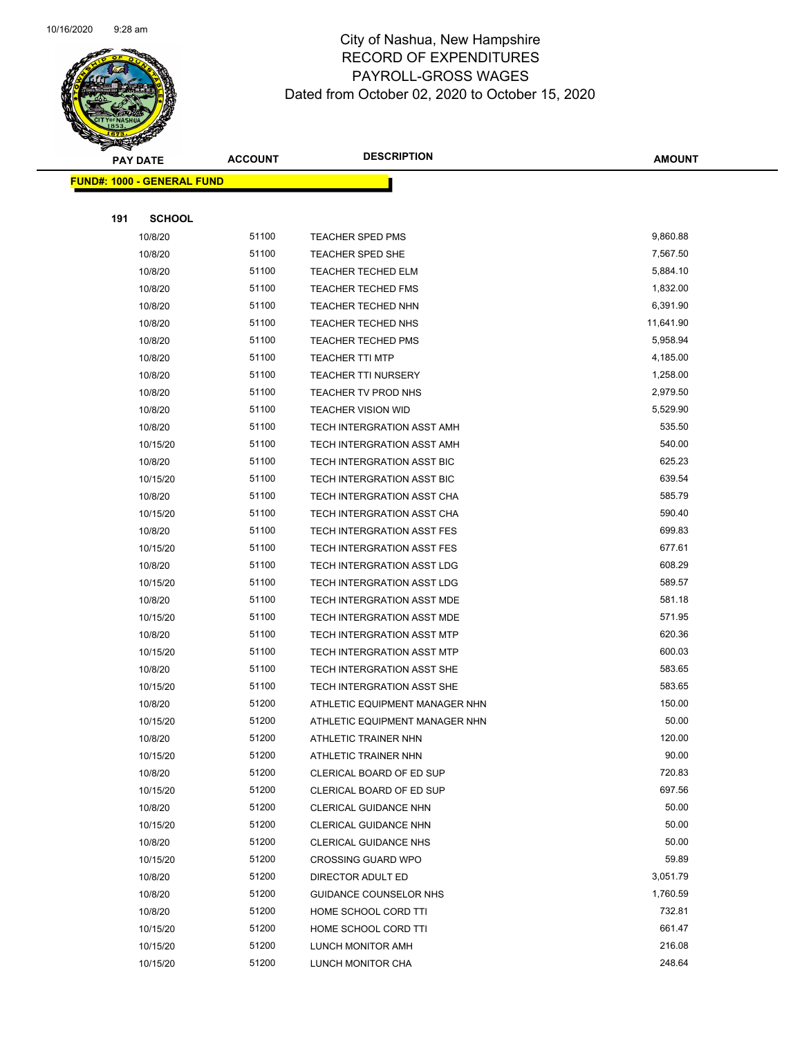

|     | <b>PAY DATE</b>                   | <b>ACCOUNT</b> | <b>DESCRIPTION</b>             | <b>AMOUNT</b> |
|-----|-----------------------------------|----------------|--------------------------------|---------------|
|     | <b>FUND#: 1000 - GENERAL FUND</b> |                |                                |               |
|     |                                   |                |                                |               |
| 191 | <b>SCHOOL</b>                     |                |                                |               |
|     | 10/8/20                           | 51100          | <b>TEACHER SPED PMS</b>        | 9,860.88      |
|     | 10/8/20                           | 51100          | TEACHER SPED SHE               | 7,567.50      |
|     | 10/8/20                           | 51100          | <b>TEACHER TECHED ELM</b>      | 5,884.10      |
|     | 10/8/20                           | 51100          | <b>TEACHER TECHED FMS</b>      | 1,832.00      |
|     | 10/8/20                           | 51100          | TEACHER TECHED NHN             | 6,391.90      |
|     | 10/8/20                           | 51100          | <b>TEACHER TECHED NHS</b>      | 11,641.90     |
|     | 10/8/20                           | 51100          | <b>TEACHER TECHED PMS</b>      | 5,958.94      |
|     | 10/8/20                           | 51100          | <b>TEACHER TTI MTP</b>         | 4,185.00      |
|     | 10/8/20                           | 51100          | <b>TEACHER TTI NURSERY</b>     | 1,258.00      |
|     | 10/8/20                           | 51100          | TEACHER TV PROD NHS            | 2,979.50      |
|     | 10/8/20                           | 51100          | <b>TEACHER VISION WID</b>      | 5,529.90      |
|     | 10/8/20                           | 51100          | TECH INTERGRATION ASST AMH     | 535.50        |
|     | 10/15/20                          | 51100          | TECH INTERGRATION ASST AMH     | 540.00        |
|     | 10/8/20                           | 51100          | TECH INTERGRATION ASST BIC     | 625.23        |
|     | 10/15/20                          | 51100          | TECH INTERGRATION ASST BIC     | 639.54        |
|     | 10/8/20                           | 51100          | TECH INTERGRATION ASST CHA     | 585.79        |
|     | 10/15/20                          | 51100          | TECH INTERGRATION ASST CHA     | 590.40        |
|     | 10/8/20                           | 51100          | TECH INTERGRATION ASST FES     | 699.83        |
|     | 10/15/20                          | 51100          | TECH INTERGRATION ASST FES     | 677.61        |
|     | 10/8/20                           | 51100          | TECH INTERGRATION ASST LDG     | 608.29        |
|     | 10/15/20                          | 51100          | TECH INTERGRATION ASST LDG     | 589.57        |
|     | 10/8/20                           | 51100          | TECH INTERGRATION ASST MDE     | 581.18        |
|     | 10/15/20                          | 51100          | TECH INTERGRATION ASST MDE     | 571.95        |
|     | 10/8/20                           | 51100          | TECH INTERGRATION ASST MTP     | 620.36        |
|     | 10/15/20                          | 51100          | TECH INTERGRATION ASST MTP     | 600.03        |
|     | 10/8/20                           | 51100          | TECH INTERGRATION ASST SHE     | 583.65        |
|     | 10/15/20                          | 51100          | TECH INTERGRATION ASST SHE     | 583.65        |
|     | 10/8/20                           | 51200          | ATHLETIC EQUIPMENT MANAGER NHN | 150.00        |
|     | 10/15/20                          | 51200          | ATHLETIC EQUIPMENT MANAGER NHN | 50.00         |
|     | 10/8/20                           | 51200          | ATHLETIC TRAINER NHN           | 120.00        |
|     | 10/15/20                          | 51200          | ATHLETIC TRAINER NHN           | 90.00         |
|     | 10/8/20                           | 51200          | CLERICAL BOARD OF ED SUP       | 720.83        |
|     | 10/15/20                          | 51200          | CLERICAL BOARD OF ED SUP       | 697.56        |
|     | 10/8/20                           | 51200          | CLERICAL GUIDANCE NHN          | 50.00         |
|     | 10/15/20                          | 51200          | CLERICAL GUIDANCE NHN          | 50.00         |
|     | 10/8/20                           | 51200          | <b>CLERICAL GUIDANCE NHS</b>   | 50.00         |
|     | 10/15/20                          | 51200          | <b>CROSSING GUARD WPO</b>      | 59.89         |
|     | 10/8/20                           | 51200          | DIRECTOR ADULT ED              | 3,051.79      |
|     | 10/8/20                           | 51200          | GUIDANCE COUNSELOR NHS         | 1,760.59      |
|     | 10/8/20                           | 51200          | HOME SCHOOL CORD TTI           | 732.81        |
|     | 10/15/20                          | 51200          | HOME SCHOOL CORD TTI           | 661.47        |
|     | 10/15/20                          | 51200          | LUNCH MONITOR AMH              | 216.08        |
|     | 10/15/20                          | 51200          | LUNCH MONITOR CHA              | 248.64        |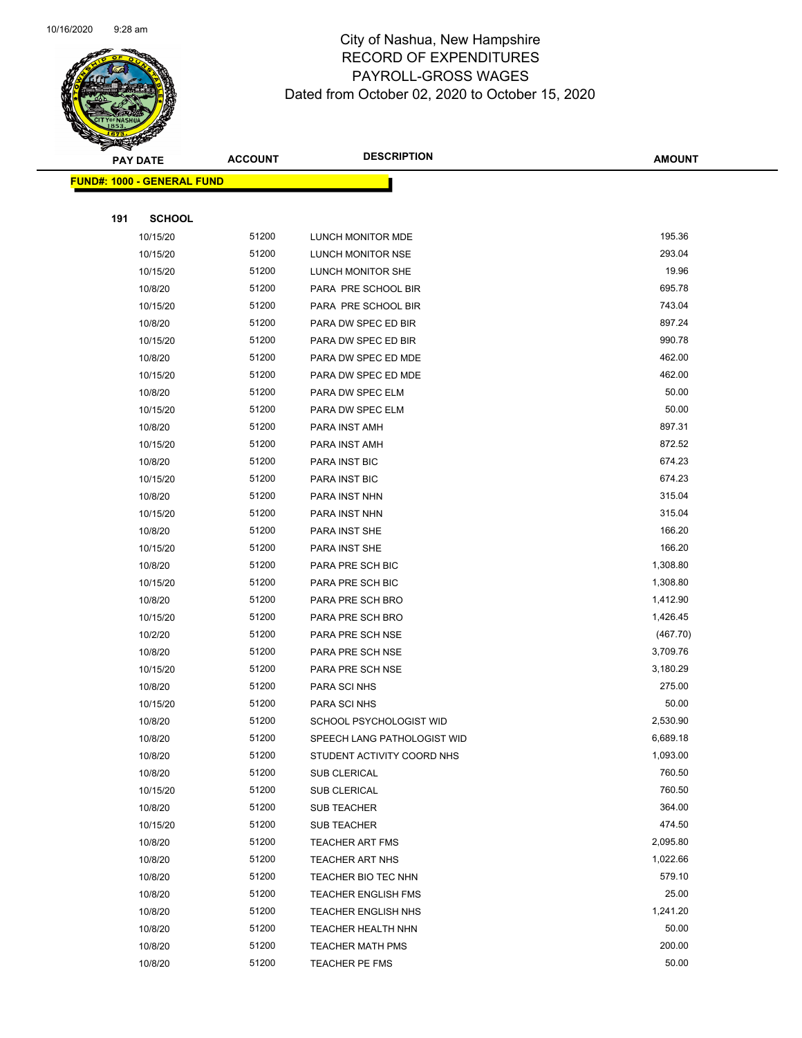

|     | <b>PAY DATE</b>                    | <b>ACCOUNT</b> | <b>DESCRIPTION</b>          | <b>AMOUNT</b> |
|-----|------------------------------------|----------------|-----------------------------|---------------|
|     | <u> FUND#: 1000 - GENERAL FUND</u> |                |                             |               |
|     |                                    |                |                             |               |
| 191 | <b>SCHOOL</b>                      |                |                             |               |
|     | 10/15/20                           | 51200          | LUNCH MONITOR MDE           | 195.36        |
|     | 10/15/20                           | 51200          | LUNCH MONITOR NSE           | 293.04        |
|     | 10/15/20                           | 51200          | LUNCH MONITOR SHE           | 19.96         |
|     | 10/8/20                            | 51200          | PARA PRE SCHOOL BIR         | 695.78        |
|     | 10/15/20                           | 51200          | PARA PRE SCHOOL BIR         | 743.04        |
|     | 10/8/20                            | 51200          | PARA DW SPEC ED BIR         | 897.24        |
|     | 10/15/20                           | 51200          | PARA DW SPEC ED BIR         | 990.78        |
|     | 10/8/20                            | 51200          | PARA DW SPEC ED MDE         | 462.00        |
|     | 10/15/20                           | 51200          | PARA DW SPEC ED MDE         | 462.00        |
|     | 10/8/20                            | 51200          | PARA DW SPEC ELM            | 50.00         |
|     | 10/15/20                           | 51200          | PARA DW SPEC ELM            | 50.00         |
|     | 10/8/20                            | 51200          | PARA INST AMH               | 897.31        |
|     | 10/15/20                           | 51200          | PARA INST AMH               | 872.52        |
|     | 10/8/20                            | 51200          | PARA INST BIC               | 674.23        |
|     | 10/15/20                           | 51200          | PARA INST BIC               | 674.23        |
|     | 10/8/20                            | 51200          | PARA INST NHN               | 315.04        |
|     | 10/15/20                           | 51200          | PARA INST NHN               | 315.04        |
|     | 10/8/20                            | 51200          | PARA INST SHE               | 166.20        |
|     | 10/15/20                           | 51200          | PARA INST SHE               | 166.20        |
|     | 10/8/20                            | 51200          | PARA PRE SCH BIC            | 1,308.80      |
|     | 10/15/20                           | 51200          | PARA PRE SCH BIC            | 1,308.80      |
|     | 10/8/20                            | 51200          | PARA PRE SCH BRO            | 1,412.90      |
|     | 10/15/20                           | 51200          | PARA PRE SCH BRO            | 1,426.45      |
|     | 10/2/20                            | 51200          | PARA PRE SCH NSE            | (467.70)      |
|     | 10/8/20                            | 51200          | PARA PRE SCH NSE            | 3,709.76      |
|     | 10/15/20                           | 51200          | PARA PRE SCH NSE            | 3,180.29      |
|     | 10/8/20                            | 51200          | PARA SCI NHS                | 275.00        |
|     | 10/15/20                           | 51200          | PARA SCI NHS                | 50.00         |
|     | 10/8/20                            | 51200          | SCHOOL PSYCHOLOGIST WID     | 2,530.90      |
|     | 10/8/20                            | 51200          | SPEECH LANG PATHOLOGIST WID | 6,689.18      |
|     | 10/8/20                            | 51200          | STUDENT ACTIVITY COORD NHS  | 1,093.00      |
|     | 10/8/20                            | 51200          | SUB CLERICAL                | 760.50        |
|     | 10/15/20                           | 51200          | SUB CLERICAL                | 760.50        |
|     | 10/8/20                            | 51200          | <b>SUB TEACHER</b>          | 364.00        |
|     | 10/15/20                           | 51200          | <b>SUB TEACHER</b>          | 474.50        |
|     | 10/8/20                            | 51200          | <b>TEACHER ART FMS</b>      | 2,095.80      |
|     | 10/8/20                            | 51200          | <b>TEACHER ART NHS</b>      | 1,022.66      |
|     | 10/8/20                            | 51200          | TEACHER BIO TEC NHN         | 579.10        |
|     | 10/8/20                            | 51200          | <b>TEACHER ENGLISH FMS</b>  | 25.00         |
|     | 10/8/20                            | 51200          | <b>TEACHER ENGLISH NHS</b>  | 1,241.20      |
|     | 10/8/20                            | 51200          | TEACHER HEALTH NHN          | 50.00         |
|     | 10/8/20                            | 51200          | <b>TEACHER MATH PMS</b>     | 200.00        |
|     | 10/8/20                            | 51200          | TEACHER PE FMS              | 50.00         |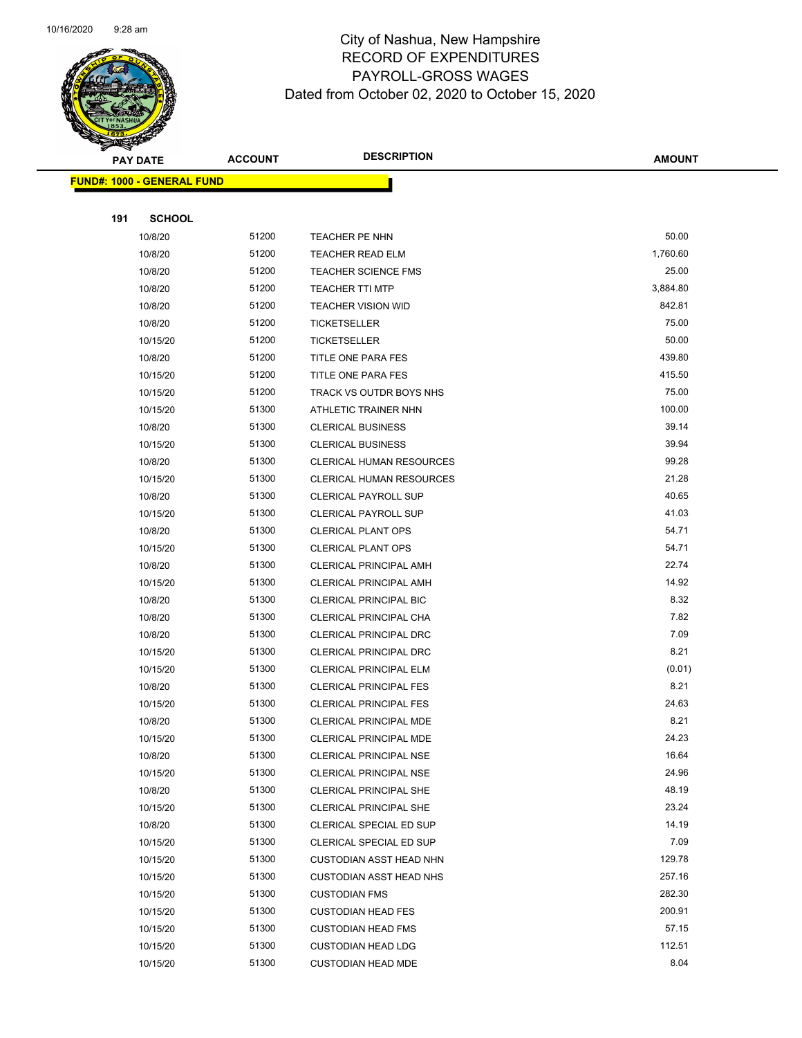

|     | <b>PAY DATE</b>                    | <b>ACCOUNT</b> | <b>DESCRIPTION</b>              | <b>AMOUNT</b>    |
|-----|------------------------------------|----------------|---------------------------------|------------------|
|     | <u> FUND#: 1000 - GENERAL FUND</u> |                |                                 |                  |
|     |                                    |                |                                 |                  |
| 191 | <b>SCHOOL</b>                      |                |                                 |                  |
|     | 10/8/20                            | 51200          | TEACHER PE NHN                  | 50.00            |
|     | 10/8/20                            | 51200          | <b>TEACHER READ ELM</b>         | 1,760.60         |
|     | 10/8/20                            | 51200          | <b>TEACHER SCIENCE FMS</b>      | 25.00            |
|     | 10/8/20                            | 51200          | <b>TEACHER TTI MTP</b>          | 3,884.80         |
|     | 10/8/20                            | 51200          | <b>TEACHER VISION WID</b>       | 842.81           |
|     | 10/8/20                            | 51200          | <b>TICKETSELLER</b>             | 75.00            |
|     | 10/15/20                           | 51200          | <b>TICKETSELLER</b>             | 50.00            |
|     | 10/8/20                            | 51200          | TITLE ONE PARA FES              | 439.80           |
|     | 10/15/20                           | 51200          | TITLE ONE PARA FES              | 415.50           |
|     | 10/15/20                           | 51200          | TRACK VS OUTDR BOYS NHS         | 75.00            |
|     | 10/15/20                           | 51300          | ATHLETIC TRAINER NHN            | 100.00           |
|     | 10/8/20                            | 51300          | <b>CLERICAL BUSINESS</b>        | 39.14            |
|     | 10/15/20                           | 51300          | <b>CLERICAL BUSINESS</b>        | 39.94            |
|     | 10/8/20                            | 51300          | <b>CLERICAL HUMAN RESOURCES</b> | 99.28            |
|     | 10/15/20                           | 51300          | CLERICAL HUMAN RESOURCES        | 21.28            |
|     | 10/8/20                            | 51300          | <b>CLERICAL PAYROLL SUP</b>     | 40.65            |
|     | 10/15/20                           | 51300          | <b>CLERICAL PAYROLL SUP</b>     | 41.03            |
|     | 10/8/20                            | 51300          | <b>CLERICAL PLANT OPS</b>       | 54.71            |
|     | 10/15/20                           | 51300          | <b>CLERICAL PLANT OPS</b>       | 54.71            |
|     | 10/8/20                            | 51300          | <b>CLERICAL PRINCIPAL AMH</b>   | 22.74            |
|     | 10/15/20                           | 51300          | <b>CLERICAL PRINCIPAL AMH</b>   | 14.92            |
|     | 10/8/20                            | 51300          | <b>CLERICAL PRINCIPAL BIC</b>   | 8.32             |
|     | 10/8/20                            | 51300          | CLERICAL PRINCIPAL CHA          | 7.82             |
|     | 10/8/20                            | 51300          | CLERICAL PRINCIPAL DRC          | 7.09             |
|     | 10/15/20                           | 51300          | CLERICAL PRINCIPAL DRC          | 8.21             |
|     | 10/15/20                           | 51300          | <b>CLERICAL PRINCIPAL ELM</b>   | (0.01)           |
|     | 10/8/20                            | 51300          | <b>CLERICAL PRINCIPAL FES</b>   | 8.21             |
|     | 10/15/20                           | 51300          | CLERICAL PRINCIPAL FES          | 24.63            |
|     | 10/8/20                            | 51300          | CLERICAL PRINCIPAL MDE          | 8.21             |
|     | 10/15/20                           | 51300          | CLERICAL PRINCIPAL MDE          | 24.23            |
|     | 10/8/20                            | 51300          | <b>CLERICAL PRINCIPAL NSE</b>   | 16.64            |
|     | 10/15/20                           | 51300          | <b>CLERICAL PRINCIPAL NSE</b>   | 24.96            |
|     | 10/8/20                            | 51300          | CLERICAL PRINCIPAL SHE          | 48.19            |
|     | 10/15/20                           | 51300          | CLERICAL PRINCIPAL SHE          | 23.24            |
|     | 10/8/20                            | 51300          | CLERICAL SPECIAL ED SUP         | 14.19            |
|     | 10/15/20                           | 51300          | CLERICAL SPECIAL ED SUP         | 7.09             |
|     | 10/15/20                           | 51300          | <b>CUSTODIAN ASST HEAD NHN</b>  | 129.78<br>257.16 |
|     | 10/15/20                           | 51300          | <b>CUSTODIAN ASST HEAD NHS</b>  |                  |
|     | 10/15/20                           | 51300<br>51300 | <b>CUSTODIAN FMS</b>            | 282.30<br>200.91 |
|     | 10/15/20                           | 51300          | <b>CUSTODIAN HEAD FES</b>       | 57.15            |
|     | 10/15/20                           | 51300          | <b>CUSTODIAN HEAD FMS</b>       | 112.51           |
|     | 10/15/20                           |                | <b>CUSTODIAN HEAD LDG</b>       |                  |
|     | 10/15/20                           | 51300          | <b>CUSTODIAN HEAD MDE</b>       | 8.04             |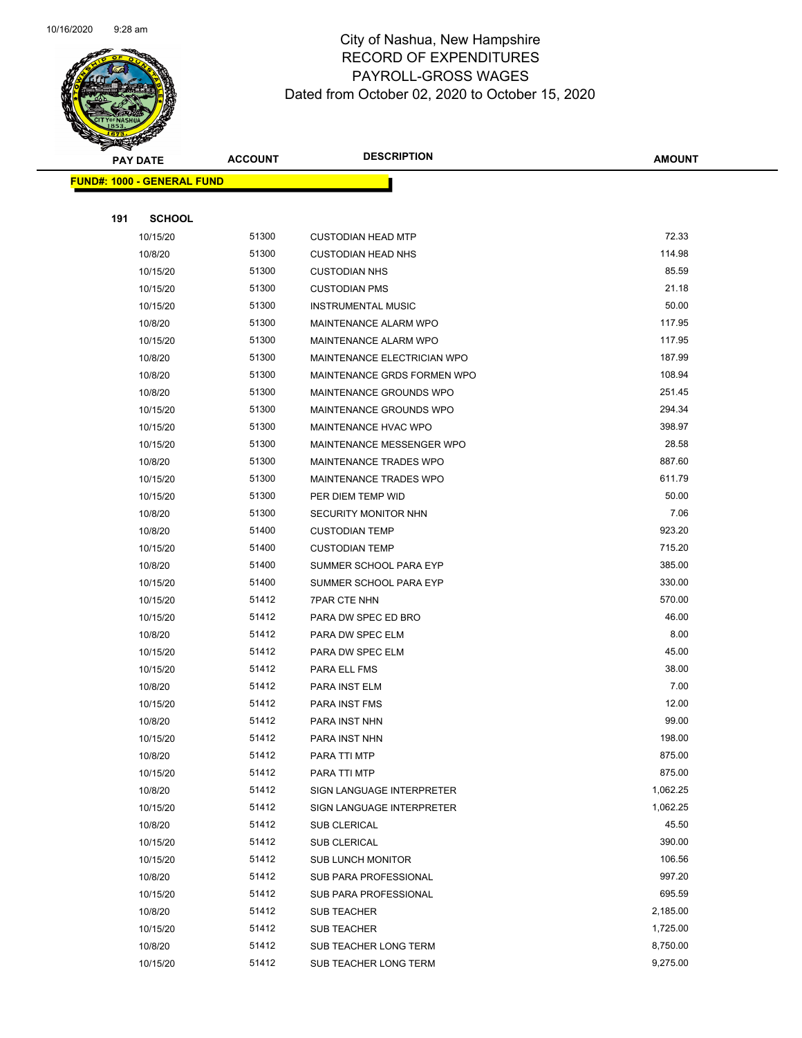

|     | <b>PAY DATE</b>                    | <b>ACCOUNT</b> | <b>DESCRIPTION</b>            | <b>AMOUNT</b>      |
|-----|------------------------------------|----------------|-------------------------------|--------------------|
|     | <u> FUND#: 1000 - GENERAL FUND</u> |                |                               |                    |
|     |                                    |                |                               |                    |
| 191 | <b>SCHOOL</b>                      |                |                               |                    |
|     | 10/15/20                           | 51300          | <b>CUSTODIAN HEAD MTP</b>     | 72.33              |
|     | 10/8/20                            | 51300          | <b>CUSTODIAN HEAD NHS</b>     | 114.98             |
|     | 10/15/20                           | 51300          | <b>CUSTODIAN NHS</b>          | 85.59              |
|     | 10/15/20                           | 51300          | <b>CUSTODIAN PMS</b>          | 21.18              |
|     | 10/15/20                           | 51300          | <b>INSTRUMENTAL MUSIC</b>     | 50.00              |
|     | 10/8/20                            | 51300          | MAINTENANCE ALARM WPO         | 117.95             |
|     | 10/15/20                           | 51300          | MAINTENANCE ALARM WPO         | 117.95             |
|     | 10/8/20                            | 51300          | MAINTENANCE ELECTRICIAN WPO   | 187.99             |
|     | 10/8/20                            | 51300          | MAINTENANCE GRDS FORMEN WPO   | 108.94             |
|     | 10/8/20                            | 51300          | MAINTENANCE GROUNDS WPO       | 251.45             |
|     | 10/15/20                           | 51300          | MAINTENANCE GROUNDS WPO       | 294.34             |
|     | 10/15/20                           | 51300          | MAINTENANCE HVAC WPO          | 398.97             |
|     | 10/15/20                           | 51300          | MAINTENANCE MESSENGER WPO     | 28.58              |
|     | 10/8/20                            | 51300          | <b>MAINTENANCE TRADES WPO</b> | 887.60             |
|     | 10/15/20                           | 51300          | MAINTENANCE TRADES WPO        | 611.79             |
|     | 10/15/20                           | 51300          | PER DIEM TEMP WID             | 50.00              |
|     | 10/8/20                            | 51300          | SECURITY MONITOR NHN          | 7.06               |
|     | 10/8/20                            | 51400          | <b>CUSTODIAN TEMP</b>         | 923.20             |
|     | 10/15/20                           | 51400          | <b>CUSTODIAN TEMP</b>         | 715.20             |
|     | 10/8/20                            | 51400          | SUMMER SCHOOL PARA EYP        | 385.00             |
|     | 10/15/20                           | 51400          | SUMMER SCHOOL PARA EYP        | 330.00             |
|     | 10/15/20                           | 51412          | <b>7PAR CTE NHN</b>           | 570.00             |
|     | 10/15/20                           | 51412          | PARA DW SPEC ED BRO           | 46.00              |
|     | 10/8/20                            | 51412          | PARA DW SPEC ELM              | 8.00               |
|     | 10/15/20                           | 51412          | PARA DW SPEC ELM              | 45.00              |
|     | 10/15/20                           | 51412          | PARA ELL FMS                  | 38.00              |
|     | 10/8/20                            | 51412          | PARA INST ELM                 | 7.00               |
|     | 10/15/20                           | 51412          | <b>PARA INST FMS</b>          | 12.00              |
|     | 10/8/20                            | 51412          | PARA INST NHN                 | 99.00              |
|     | 10/15/20                           | 51412          | PARA INST NHN                 | 198.00             |
|     | 10/8/20                            | 51412          | PARA TTI MTP                  | 875.00             |
|     | 10/15/20                           | 51412          | PARA TTI MTP                  | 875.00             |
|     | 10/8/20                            | 51412          | SIGN LANGUAGE INTERPRETER     | 1,062.25           |
|     | 10/15/20                           | 51412          | SIGN LANGUAGE INTERPRETER     | 1,062.25           |
|     | 10/8/20                            | 51412          | <b>SUB CLERICAL</b>           | 45.50              |
|     | 10/15/20                           | 51412          | SUB CLERICAL                  | 390.00             |
|     | 10/15/20                           | 51412          | <b>SUB LUNCH MONITOR</b>      | 106.56             |
|     | 10/8/20                            | 51412          | SUB PARA PROFESSIONAL         | 997.20             |
|     | 10/15/20                           | 51412          | SUB PARA PROFESSIONAL         | 695.59<br>2,185.00 |
|     | 10/8/20                            | 51412<br>51412 | SUB TEACHER                   | 1,725.00           |
|     | 10/15/20                           | 51412          | SUB TEACHER                   | 8,750.00           |
|     | 10/8/20                            | 51412          | SUB TEACHER LONG TERM         | 9,275.00           |
|     | 10/15/20                           |                | SUB TEACHER LONG TERM         |                    |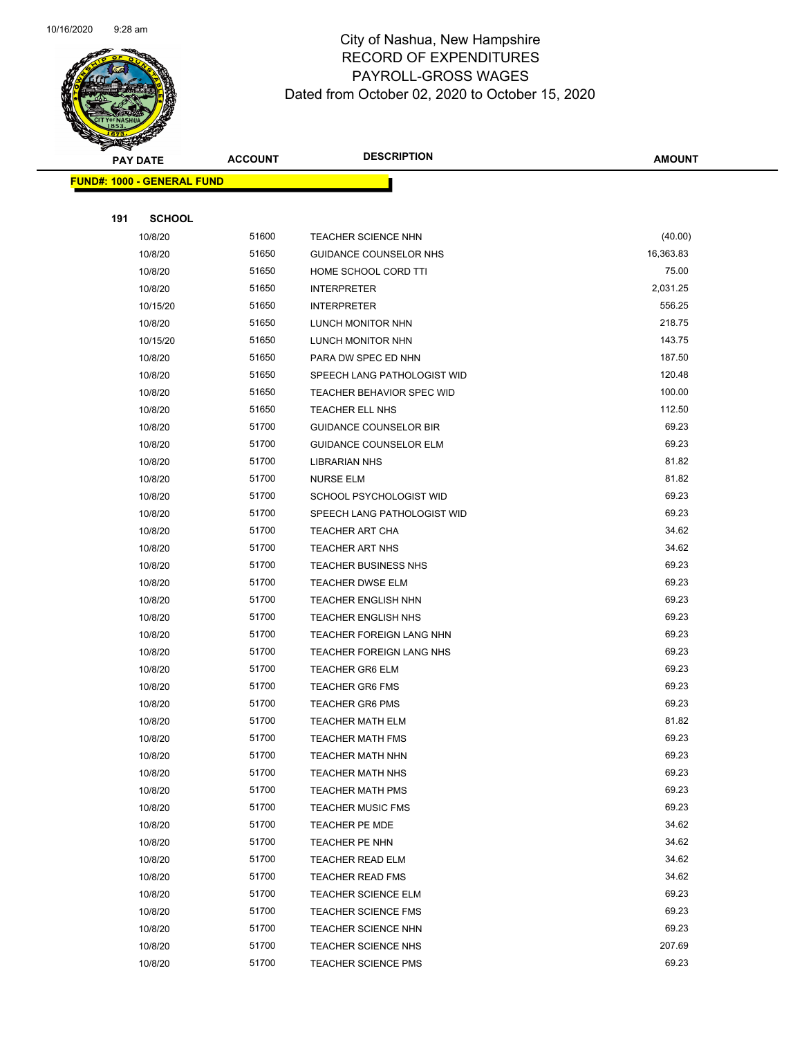

Page 88 of 104

|     | <b>PAY DATE</b>                    | <b>ACCOUNT</b> | <b>DESCRIPTION</b>                                             | AMOUNT          |
|-----|------------------------------------|----------------|----------------------------------------------------------------|-----------------|
|     | <u> FUND#: 1000 - GENERAL FUND</u> |                |                                                                |                 |
|     |                                    |                |                                                                |                 |
| 191 | <b>SCHOOL</b>                      |                |                                                                |                 |
|     | 10/8/20                            | 51600          | TEACHER SCIENCE NHN                                            | (40.00)         |
|     | 10/8/20                            | 51650          | GUIDANCE COUNSELOR NHS                                         | 16,363.83       |
|     | 10/8/20                            | 51650          | HOME SCHOOL CORD TTI                                           | 75.00           |
|     | 10/8/20                            | 51650          | <b>INTERPRETER</b>                                             | 2,031.25        |
|     | 10/15/20                           | 51650          | <b>INTERPRETER</b>                                             | 556.25          |
|     | 10/8/20                            | 51650          | <b>LUNCH MONITOR NHN</b>                                       | 218.75          |
|     | 10/15/20                           | 51650          | LUNCH MONITOR NHN                                              | 143.75          |
|     | 10/8/20                            | 51650          | PARA DW SPEC ED NHN                                            | 187.50          |
|     | 10/8/20                            | 51650          | SPEECH LANG PATHOLOGIST WID                                    | 120.48          |
|     | 10/8/20                            | 51650          | <b>TEACHER BEHAVIOR SPEC WID</b>                               | 100.00          |
|     | 10/8/20<br>10/8/20                 | 51650<br>51700 | <b>TEACHER ELL NHS</b>                                         | 112.50<br>69.23 |
|     | 10/8/20                            | 51700          | <b>GUIDANCE COUNSELOR BIR</b><br><b>GUIDANCE COUNSELOR ELM</b> | 69.23           |
|     | 10/8/20                            | 51700          | <b>LIBRARIAN NHS</b>                                           | 81.82           |
|     | 10/8/20                            | 51700          | <b>NURSE ELM</b>                                               | 81.82           |
|     | 10/8/20                            | 51700          | SCHOOL PSYCHOLOGIST WID                                        | 69.23           |
|     | 10/8/20                            | 51700          | SPEECH LANG PATHOLOGIST WID                                    | 69.23           |
|     | 10/8/20                            | 51700          | <b>TEACHER ART CHA</b>                                         | 34.62           |
|     | 10/8/20                            | 51700          | <b>TEACHER ART NHS</b>                                         | 34.62           |
|     | 10/8/20                            | 51700          | <b>TEACHER BUSINESS NHS</b>                                    | 69.23           |
|     | 10/8/20                            | 51700          | <b>TEACHER DWSE ELM</b>                                        | 69.23           |
|     | 10/8/20                            | 51700          | <b>TEACHER ENGLISH NHN</b>                                     | 69.23           |
|     | 10/8/20                            | 51700          | <b>TEACHER ENGLISH NHS</b>                                     | 69.23           |
|     | 10/8/20                            | 51700          | TEACHER FOREIGN LANG NHN                                       | 69.23           |
|     | 10/8/20                            | 51700          | <b>TEACHER FOREIGN LANG NHS</b>                                | 69.23           |
|     | 10/8/20                            | 51700          | <b>TEACHER GR6 ELM</b>                                         | 69.23           |
|     | 10/8/20                            | 51700          | <b>TEACHER GR6 FMS</b>                                         | 69.23           |
|     | 10/8/20                            | 51700          | <b>TEACHER GR6 PMS</b>                                         | 69.23           |
|     | 10/8/20                            | 51700          | <b>TEACHER MATH ELM</b>                                        | 81.82           |
|     | 10/8/20                            | 51700          | TEACHER MATH FMS                                               | 69.23           |
|     | 10/8/20                            | 51700          | <b>TEACHER MATH NHN</b>                                        | 69.23           |
|     | 10/8/20                            | 51700          | <b>TEACHER MATH NHS</b>                                        | 69.23           |
|     | 10/8/20                            | 51700          | <b>TEACHER MATH PMS</b>                                        | 69.23           |
|     | 10/8/20                            | 51700<br>51700 | <b>TEACHER MUSIC FMS</b>                                       | 69.23<br>34.62  |
|     | 10/8/20<br>10/8/20                 | 51700          | <b>TEACHER PE MDE</b><br>TEACHER PE NHN                        | 34.62           |
|     | 10/8/20                            | 51700          | <b>TEACHER READ ELM</b>                                        | 34.62           |
|     | 10/8/20                            | 51700          | <b>TEACHER READ FMS</b>                                        | 34.62           |
|     | 10/8/20                            | 51700          | <b>TEACHER SCIENCE ELM</b>                                     | 69.23           |
|     | 10/8/20                            | 51700          | <b>TEACHER SCIENCE FMS</b>                                     | 69.23           |
|     | 10/8/20                            | 51700          | <b>TEACHER SCIENCE NHN</b>                                     | 69.23           |
|     | 10/8/20                            | 51700          | TEACHER SCIENCE NHS                                            | 207.69          |
|     | 10/8/20                            | 51700          | <b>TEACHER SCIENCE PMS</b>                                     | 69.23           |
|     |                                    |                |                                                                |                 |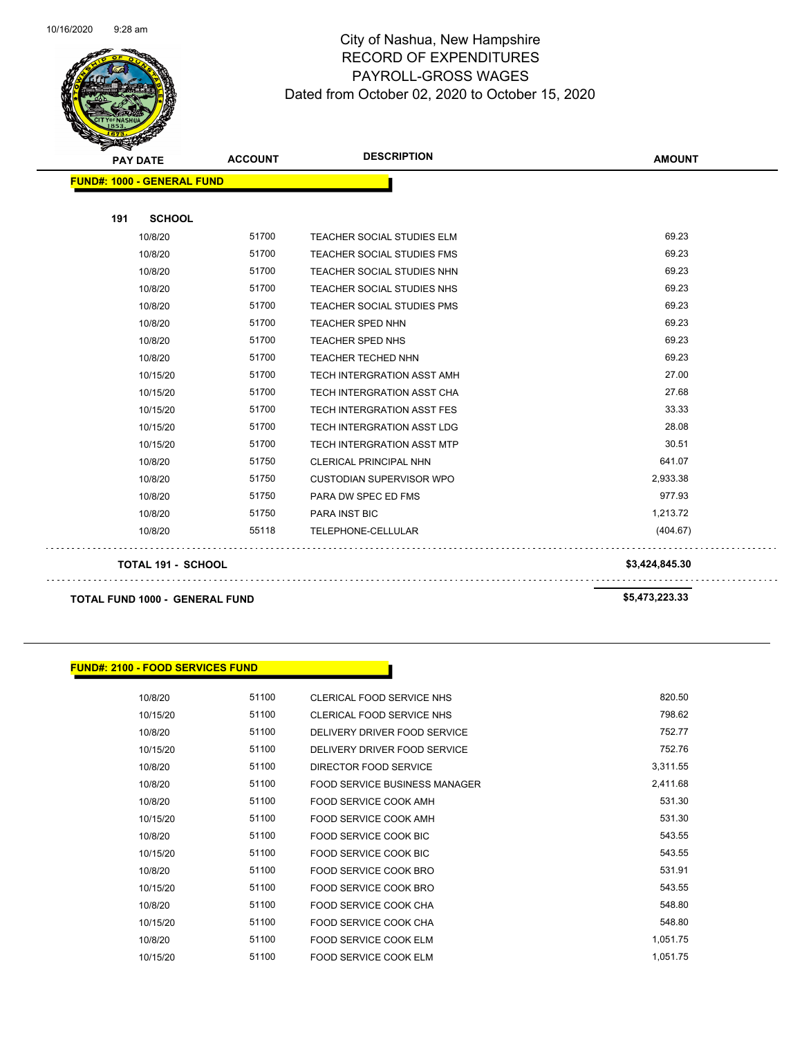

Page 89 of 104

|     | <b>PAY DATE</b>                   | <b>ACCOUNT</b> | <b>DESCRIPTION</b>                | <b>AMOUNT</b>  |
|-----|-----------------------------------|----------------|-----------------------------------|----------------|
|     | <b>FUND#: 1000 - GENERAL FUND</b> |                |                                   |                |
|     |                                   |                |                                   |                |
| 191 | <b>SCHOOL</b>                     |                |                                   |                |
|     | 10/8/20                           | 51700          | <b>TEACHER SOCIAL STUDIES ELM</b> | 69.23          |
|     | 10/8/20                           | 51700          | <b>TEACHER SOCIAL STUDIES FMS</b> | 69.23          |
|     | 10/8/20                           | 51700          | TEACHER SOCIAL STUDIES NHN        | 69.23          |
|     | 10/8/20                           | 51700          | TEACHER SOCIAL STUDIES NHS        | 69.23          |
|     | 10/8/20                           | 51700          | TEACHER SOCIAL STUDIES PMS        | 69.23          |
|     | 10/8/20                           | 51700          | TEACHER SPED NHN                  | 69.23          |
|     | 10/8/20                           | 51700          | TEACHER SPED NHS                  | 69.23          |
|     | 10/8/20                           | 51700          | TEACHER TECHED NHN                | 69.23          |
|     | 10/15/20                          | 51700          | TECH INTERGRATION ASST AMH        | 27.00          |
|     | 10/15/20                          | 51700          | TECH INTERGRATION ASST CHA        | 27.68          |
|     | 10/15/20                          | 51700          | TECH INTERGRATION ASST FES        | 33.33          |
|     | 10/15/20                          | 51700          | TECH INTERGRATION ASST LDG        | 28.08          |
|     | 10/15/20                          | 51700          | <b>TECH INTERGRATION ASST MTP</b> | 30.51          |
|     | 10/8/20                           | 51750          | <b>CLERICAL PRINCIPAL NHN</b>     | 641.07         |
|     | 10/8/20                           | 51750          | <b>CUSTODIAN SUPERVISOR WPO</b>   | 2,933.38       |
|     | 10/8/20                           | 51750          | PARA DW SPEC ED FMS               | 977.93         |
|     | 10/8/20                           | 51750          | <b>PARA INST BIC</b>              | 1,213.72       |
|     | 10/8/20                           | 55118          | TELEPHONE-CELLULAR                | (404.67)       |
|     | <b>TOTAL 191 - SCHOOL</b>         |                |                                   | \$3,424,845.30 |
|     |                                   |                |                                   |                |

**TOTAL FUND 1000 - GENERAL FUND \$5,473,223.33** 

 $\sim$  .

. . . . . . . . .

#### **FUND#: 2100 - FOOD SERVICES FUND**

| 10/8/20  | 51100 | CLERICAL FOOD SERVICE NHS            | 820.50   |
|----------|-------|--------------------------------------|----------|
| 10/15/20 | 51100 | <b>CLERICAL FOOD SERVICE NHS</b>     | 798.62   |
| 10/8/20  | 51100 | DELIVERY DRIVER FOOD SERVICE         | 752.77   |
| 10/15/20 | 51100 | DELIVERY DRIVER FOOD SERVICE         | 752.76   |
| 10/8/20  | 51100 | DIRECTOR FOOD SERVICE                | 3,311.55 |
| 10/8/20  | 51100 | <b>FOOD SERVICE BUSINESS MANAGER</b> | 2,411.68 |
| 10/8/20  | 51100 | FOOD SERVICE COOK AMH                | 531.30   |
| 10/15/20 | 51100 | FOOD SERVICE COOK AMH                | 531.30   |
| 10/8/20  | 51100 | <b>FOOD SERVICE COOK BIC</b>         | 543.55   |
| 10/15/20 | 51100 | FOOD SERVICE COOK BIC                | 543.55   |
| 10/8/20  | 51100 | FOOD SERVICE COOK BRO                | 531.91   |
| 10/15/20 | 51100 | FOOD SERVICE COOK BRO                | 543.55   |
| 10/8/20  | 51100 | <b>FOOD SERVICE COOK CHA</b>         | 548.80   |
| 10/15/20 | 51100 | FOOD SERVICE COOK CHA                | 548.80   |
| 10/8/20  | 51100 | <b>FOOD SERVICE COOK ELM</b>         | 1,051.75 |
| 10/15/20 | 51100 | FOOD SERVICE COOK ELM                | 1,051.75 |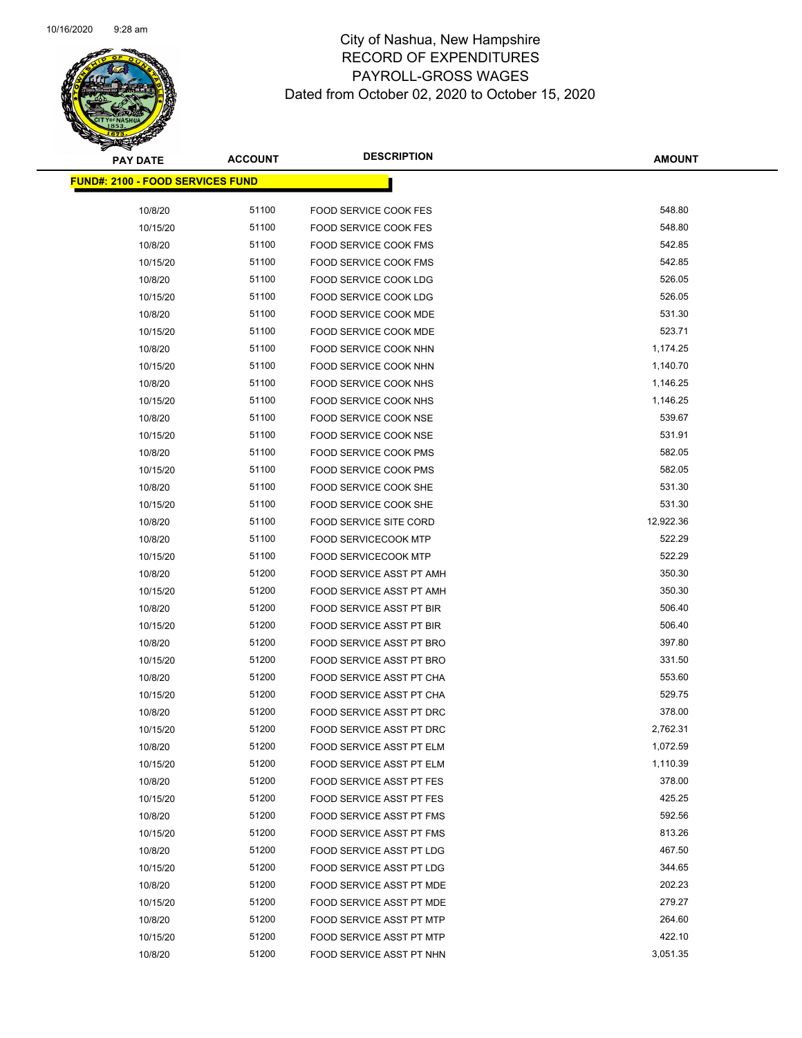

| <b>PAY DATE</b>                         | <b>ACCOUNT</b> | <b>DESCRIPTION</b>                                           | <b>AMOUNT</b> |
|-----------------------------------------|----------------|--------------------------------------------------------------|---------------|
| <b>FUND#: 2100 - FOOD SERVICES FUND</b> |                |                                                              |               |
|                                         | 51100          |                                                              | 548.80        |
| 10/8/20<br>10/15/20                     | 51100          | <b>FOOD SERVICE COOK FES</b><br><b>FOOD SERVICE COOK FES</b> | 548.80        |
| 10/8/20                                 | 51100          | FOOD SERVICE COOK FMS                                        | 542.85        |
| 10/15/20                                | 51100          | FOOD SERVICE COOK FMS                                        | 542.85        |
| 10/8/20                                 | 51100          | FOOD SERVICE COOK LDG                                        | 526.05        |
| 10/15/20                                | 51100          | FOOD SERVICE COOK LDG                                        | 526.05        |
| 10/8/20                                 | 51100          | FOOD SERVICE COOK MDE                                        | 531.30        |
| 10/15/20                                | 51100          | FOOD SERVICE COOK MDE                                        | 523.71        |
| 10/8/20                                 | 51100          | FOOD SERVICE COOK NHN                                        | 1,174.25      |
| 10/15/20                                | 51100          | FOOD SERVICE COOK NHN                                        | 1,140.70      |
| 10/8/20                                 | 51100          | FOOD SERVICE COOK NHS                                        | 1,146.25      |
| 10/15/20                                | 51100          | FOOD SERVICE COOK NHS                                        | 1,146.25      |
| 10/8/20                                 | 51100          | FOOD SERVICE COOK NSE                                        | 539.67        |
| 10/15/20                                | 51100          | FOOD SERVICE COOK NSE                                        | 531.91        |
| 10/8/20                                 | 51100          | <b>FOOD SERVICE COOK PMS</b>                                 | 582.05        |
| 10/15/20                                | 51100          | FOOD SERVICE COOK PMS                                        | 582.05        |
| 10/8/20                                 | 51100          | FOOD SERVICE COOK SHE                                        | 531.30        |
| 10/15/20                                | 51100          | FOOD SERVICE COOK SHE                                        | 531.30        |
| 10/8/20                                 | 51100          | <b>FOOD SERVICE SITE CORD</b>                                | 12,922.36     |
| 10/8/20                                 | 51100          | <b>FOOD SERVICECOOK MTP</b>                                  | 522.29        |
| 10/15/20                                | 51100          | <b>FOOD SERVICECOOK MTP</b>                                  | 522.29        |
| 10/8/20                                 | 51200          | FOOD SERVICE ASST PT AMH                                     | 350.30        |
| 10/15/20                                | 51200          | FOOD SERVICE ASST PT AMH                                     | 350.30        |
| 10/8/20                                 | 51200          | FOOD SERVICE ASST PT BIR                                     | 506.40        |
| 10/15/20                                | 51200          | FOOD SERVICE ASST PT BIR                                     | 506.40        |
| 10/8/20                                 | 51200          | FOOD SERVICE ASST PT BRO                                     | 397.80        |
| 10/15/20                                | 51200          | FOOD SERVICE ASST PT BRO                                     | 331.50        |
| 10/8/20                                 | 51200          | FOOD SERVICE ASST PT CHA                                     | 553.60        |
| 10/15/20                                | 51200          | FOOD SERVICE ASST PT CHA                                     | 529.75        |
| 10/8/20                                 | 51200          | FOOD SERVICE ASST PT DRC                                     | 378.00        |
| 10/15/20                                | 51200          | <b>FOOD SERVICE ASST PT DRC</b>                              | 2,762.31      |
| 10/8/20                                 | 51200          | FOOD SERVICE ASST PT ELM                                     | 1,072.59      |
| 10/15/20                                | 51200          | FOOD SERVICE ASST PT ELM                                     | 1,110.39      |
| 10/8/20                                 | 51200          | <b>FOOD SERVICE ASST PT FES</b>                              | 378.00        |
| 10/15/20                                | 51200          | <b>FOOD SERVICE ASST PT FES</b>                              | 425.25        |
| 10/8/20                                 | 51200          | FOOD SERVICE ASST PT FMS                                     | 592.56        |
| 10/15/20                                | 51200          | FOOD SERVICE ASST PT FMS                                     | 813.26        |
| 10/8/20                                 | 51200          | <b>FOOD SERVICE ASST PT LDG</b>                              | 467.50        |
| 10/15/20                                | 51200          | FOOD SERVICE ASST PT LDG                                     | 344.65        |
| 10/8/20                                 | 51200          | FOOD SERVICE ASST PT MDE                                     | 202.23        |
| 10/15/20                                | 51200          | FOOD SERVICE ASST PT MDE                                     | 279.27        |
| 10/8/20                                 | 51200          | FOOD SERVICE ASST PT MTP                                     | 264.60        |
| 10/15/20                                | 51200          | FOOD SERVICE ASST PT MTP                                     | 422.10        |
| 10/8/20                                 | 51200          | FOOD SERVICE ASST PT NHN                                     | 3,051.35      |
|                                         |                |                                                              |               |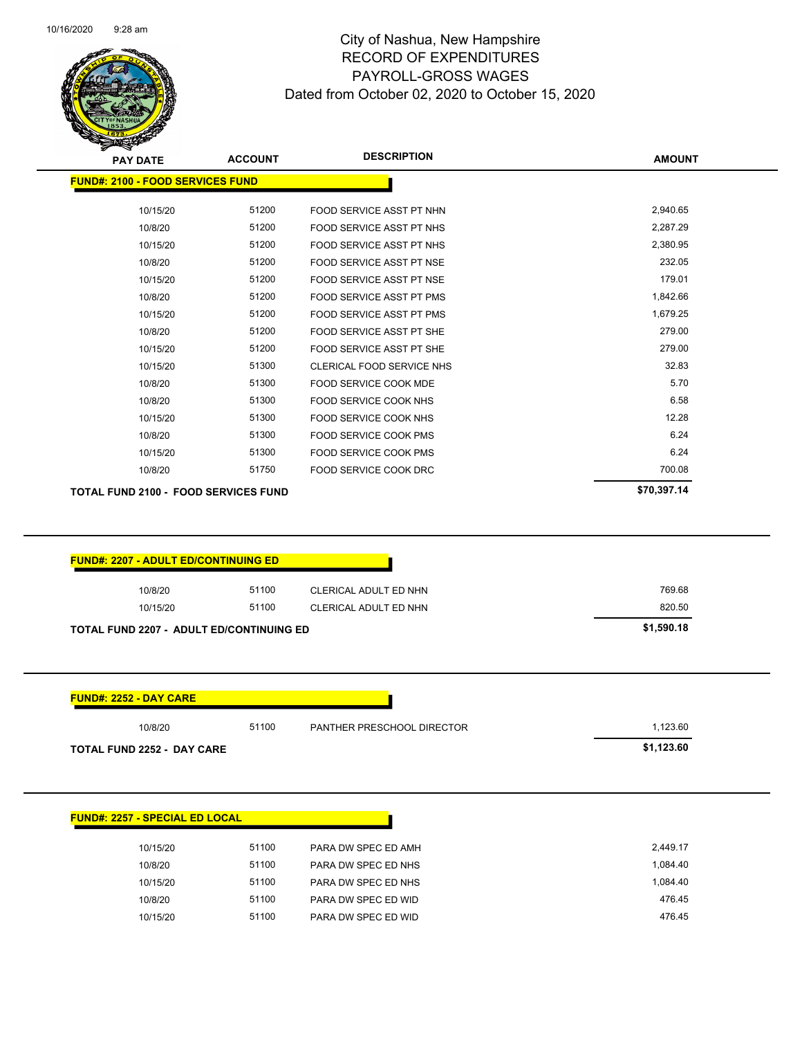

| <b>PAY DATE</b>                             | <b>ACCOUNT</b> | <b>DESCRIPTION</b>              | <b>AMOUNT</b> |
|---------------------------------------------|----------------|---------------------------------|---------------|
| <b>FUND#: 2100 - FOOD SERVICES FUND</b>     |                |                                 |               |
|                                             |                |                                 |               |
| 10/15/20                                    | 51200          | FOOD SERVICE ASST PT NHN        | 2,940.65      |
| 10/8/20                                     | 51200          | <b>FOOD SERVICE ASST PT NHS</b> | 2,287.29      |
| 10/15/20                                    | 51200          | FOOD SERVICE ASST PT NHS        | 2,380.95      |
| 10/8/20                                     | 51200          | <b>FOOD SERVICE ASST PT NSE</b> | 232.05        |
| 10/15/20                                    | 51200          | FOOD SERVICE ASST PT NSE        | 179.01        |
| 10/8/20                                     | 51200          | <b>FOOD SERVICE ASST PT PMS</b> | 1,842.66      |
| 10/15/20                                    | 51200          | <b>FOOD SERVICE ASST PT PMS</b> | 1,679.25      |
| 10/8/20                                     | 51200          | FOOD SERVICE ASST PT SHE        | 279.00        |
| 10/15/20                                    | 51200          | FOOD SERVICE ASST PT SHE        | 279.00        |
| 10/15/20                                    | 51300          | CLERICAL FOOD SERVICE NHS       | 32.83         |
| 10/8/20                                     | 51300          | <b>FOOD SERVICE COOK MDE</b>    | 5.70          |
| 10/8/20                                     | 51300          | <b>FOOD SERVICE COOK NHS</b>    | 6.58          |
| 10/15/20                                    | 51300          | <b>FOOD SERVICE COOK NHS</b>    | 12.28         |
| 10/8/20                                     | 51300          | <b>FOOD SERVICE COOK PMS</b>    | 6.24          |
| 10/15/20                                    | 51300          | FOOD SERVICE COOK PMS           | 6.24          |
| 10/8/20                                     | 51750          | FOOD SERVICE COOK DRC           | 700.08        |
| <b>TOTAL FUND 2100 - FOOD SERVICES FUND</b> |                |                                 | \$70,397.14   |
|                                             |                |                                 |               |
|                                             |                |                                 |               |

| 10/8/20  | 51100 | CLERICAL ADULT ED NHN | 769.68 |
|----------|-------|-----------------------|--------|
| 10/15/20 | 51100 | CLERICAL ADULT ED NHN | 820.50 |

| <b>FUND#: 2252 - DAY CARE</b>     |       |                            |            |
|-----------------------------------|-------|----------------------------|------------|
| 10/8/20                           | 51100 | PANTHER PRESCHOOL DIRECTOR | 1.123.60   |
| <b>TOTAL FUND 2252 - DAY CARE</b> |       |                            | \$1,123.60 |

| <b>FUND#: 2257 - SPECIAL ED LOCAL</b>    |
|------------------------------------------|
| 51100<br>10/15/20<br>PARA DW SPEC ED AMH |
| 51100<br>10/8/20<br>PARA DW SPEC ED NHS  |
| 51100<br>10/15/20<br>PARA DW SPEC ED NHS |
| 51100<br>10/8/20<br>PARA DW SPEC ED WID  |
| 51100<br>PARA DW SPEC ED WID<br>10/15/20 |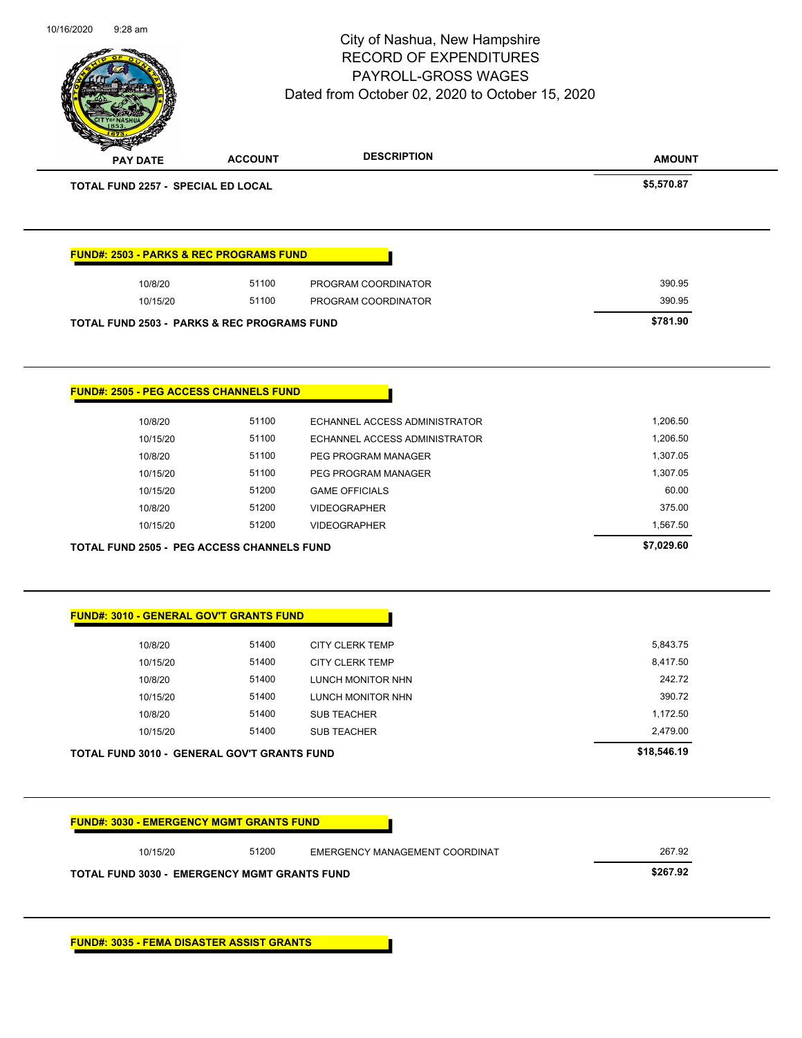|                                    |                                                        | City of Nashua, New Hampshire<br><b>RECORD OF EXPENDITURES</b><br>PAYROLL-GROSS WAGES<br>Dated from October 02, 2020 to October 15, 2020 | Page 92 of 104 |
|------------------------------------|--------------------------------------------------------|------------------------------------------------------------------------------------------------------------------------------------------|----------------|
| <b>PAY DATE</b>                    | <b>ACCOUNT</b>                                         | <b>DESCRIPTION</b>                                                                                                                       | <b>AMOUNT</b>  |
| TOTAL FUND 2257 - SPECIAL ED LOCAL |                                                        |                                                                                                                                          | \$5,570.87     |
|                                    | <b>FUND#: 2503 - PARKS &amp; REC PROGRAMS FUND</b>     |                                                                                                                                          |                |
| 10/8/20                            | 51100                                                  | PROGRAM COORDINATOR                                                                                                                      | 390.95         |
| 10/15/20                           | 51100                                                  | PROGRAM COORDINATOR                                                                                                                      | 390.95         |
|                                    | <b>TOTAL FUND 2503 - PARKS &amp; REC PROGRAMS FUND</b> |                                                                                                                                          | \$781.90       |
|                                    | <b>FUND#: 2505 - PEG ACCESS CHANNELS FUND</b>          |                                                                                                                                          |                |
| 10/8/20                            | 51100                                                  | ECHANNEL ACCESS ADMINISTRATOR                                                                                                            | 1,206.50       |
| 10/15/20                           | 51100                                                  | ECHANNEL ACCESS ADMINISTRATOR                                                                                                            | 1,206.50       |
| 10/8/20                            | 51100                                                  | PEG PROGRAM MANAGER                                                                                                                      | 1,307.05       |
| 10/15/20                           | 51100                                                  | PEG PROGRAM MANAGER                                                                                                                      | 1,307.05       |
| 10/15/20                           | 51200                                                  | <b>GAME OFFICIALS</b>                                                                                                                    | 60.00          |
| 10/8/20                            | 51200                                                  | <b>VIDEOGRAPHER</b>                                                                                                                      | 375.00         |
| 10/15/20                           | 51200                                                  | <b>VIDEOGRAPHER</b>                                                                                                                      | 1,567.50       |
|                                    | <b>TOTAL FUND 2505 - PEG ACCESS CHANNELS FUND</b>      |                                                                                                                                          | \$7,029.60     |
|                                    | <b>FUND#: 3010 - GENERAL GOV'T GRANTS FUND</b>         |                                                                                                                                          |                |
| 10/8/20                            | 51400                                                  | <b>CITY CLERK TEMP</b>                                                                                                                   | 5,843.75       |
| 10/15/20                           | 51400                                                  | <b>CITY CLERK TEMP</b>                                                                                                                   | 8,417.50       |
| 10/8/20                            | 51400                                                  | LUNCH MONITOR NHN                                                                                                                        | 242.72         |
| 10/15/20                           | 51400                                                  | LUNCH MONITOR NHN                                                                                                                        | 390.72         |
| 10/8/20                            | 51400                                                  | <b>SUB TEACHER</b>                                                                                                                       | 1,172.50       |
| 10/15/20                           | 51400                                                  | <b>SUB TEACHER</b>                                                                                                                       | 2,479.00       |
|                                    | <b>TOTAL FUND 3010 - GENERAL GOV'T GRANTS FUND</b>     |                                                                                                                                          | \$18,546.19    |
|                                    | <b>FUND#: 3030 - EMERGENCY MGMT GRANTS FUND</b>        |                                                                                                                                          |                |
| 10/15/20                           | 51200                                                  | EMERGENCY MANAGEMENT COORDINAT                                                                                                           | 267.92         |
|                                    | <b>TOTAL FUND 3030 - EMERGENCY MGMT GRANTS FUND</b>    |                                                                                                                                          | \$267.92       |
|                                    |                                                        |                                                                                                                                          |                |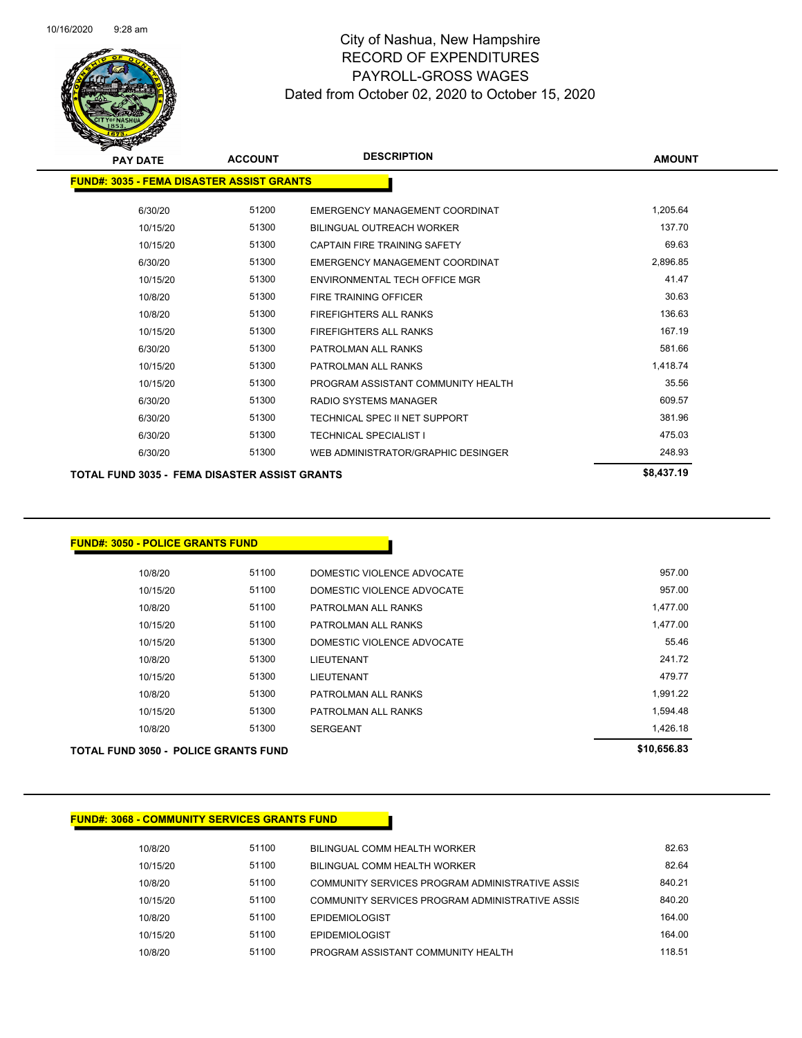

| <b>PAY DATE</b>                                  | <b>ACCOUNT</b> | <b>DESCRIPTION</b>                 | <b>AMOUNT</b> |
|--------------------------------------------------|----------------|------------------------------------|---------------|
| <b>FUND#: 3035 - FEMA DISASTER ASSIST GRANTS</b> |                |                                    |               |
|                                                  |                |                                    |               |
| 6/30/20                                          | 51200          | EMERGENCY MANAGEMENT COORDINAT     | 1.205.64      |
| 10/15/20                                         | 51300          | <b>BILINGUAL OUTREACH WORKER</b>   | 137.70        |
| 10/15/20                                         | 51300          | CAPTAIN FIRE TRAINING SAFETY       | 69.63         |
| 6/30/20                                          | 51300          | EMERGENCY MANAGEMENT COORDINAT     | 2,896.85      |
| 10/15/20                                         | 51300          | ENVIRONMENTAL TECH OFFICE MGR      | 41.47         |
| 10/8/20                                          | 51300          | <b>FIRE TRAINING OFFICER</b>       | 30.63         |
| 10/8/20                                          | 51300          | <b>FIREFIGHTERS ALL RANKS</b>      | 136.63        |
| 10/15/20                                         | 51300          | <b>FIREFIGHTERS ALL RANKS</b>      | 167.19        |
| 6/30/20                                          | 51300          | PATROLMAN ALL RANKS                | 581.66        |
| 10/15/20                                         | 51300          | PATROLMAN ALL RANKS                | 1,418.74      |
| 10/15/20                                         | 51300          | PROGRAM ASSISTANT COMMUNITY HEALTH | 35.56         |
| 6/30/20                                          | 51300          | <b>RADIO SYSTEMS MANAGER</b>       | 609.57        |
| 6/30/20                                          | 51300          | TECHNICAL SPEC II NET SUPPORT      | 381.96        |
| 6/30/20                                          | 51300          | <b>TECHNICAL SPECIALIST I</b>      | 475.03        |
| 6/30/20                                          | 51300          | WEB ADMINISTRATOR/GRAPHIC DESINGER | 248.93        |
| TOTAL FUND 3035 - FEMA DISASTER ASSIST GRANTS    |                |                                    | \$8,437.19    |

#### **FUND#: 3050 - POLICE GRANTS FUND**

| TOTAL FUND 3050 - POLICE GRANTS FUND |       |                            | \$10,656.83 |
|--------------------------------------|-------|----------------------------|-------------|
| 10/8/20                              | 51300 | <b>SERGEANT</b>            | 1,426.18    |
| 10/15/20                             | 51300 | PATROLMAN ALL RANKS        | 1.594.48    |
| 10/8/20                              | 51300 | PATROLMAN ALL RANKS        | 1.991.22    |
| 10/15/20                             | 51300 | <b>LIEUTENANT</b>          | 479.77      |
| 10/8/20                              | 51300 | LIEUTENANT                 | 241.72      |
| 10/15/20                             | 51300 | DOMESTIC VIOLENCE ADVOCATE | 55.46       |
| 10/15/20                             | 51100 | PATROLMAN ALL RANKS        | 1,477.00    |
| 10/8/20                              | 51100 | PATROLMAN ALL RANKS        | 1,477.00    |
| 10/15/20                             | 51100 | DOMESTIC VIOLENCE ADVOCATE | 957.00      |
| 10/8/20                              | 51100 | DOMESTIC VIOLENCE ADVOCATE | 957.00      |
|                                      |       |                            |             |

#### **FUND#: 3068 - COMMUNITY SERVICES GRANTS FUND**

| 10/8/20  | 51100 | BILINGUAL COMM HEALTH WORKER                    | 82.63  |
|----------|-------|-------------------------------------------------|--------|
| 10/15/20 | 51100 | <b>BILINGUAL COMM HEALTH WORKER</b>             | 82.64  |
| 10/8/20  | 51100 | COMMUNITY SERVICES PROGRAM ADMINISTRATIVE ASSIS | 840.21 |
| 10/15/20 | 51100 | COMMUNITY SERVICES PROGRAM ADMINISTRATIVE ASSIS | 840.20 |
| 10/8/20  | 51100 | <b>EPIDEMIOLOGIST</b>                           | 164.00 |
| 10/15/20 | 51100 | <b>EPIDEMIOLOGIST</b>                           | 164.00 |
| 10/8/20  | 51100 | PROGRAM ASSISTANT COMMUNITY HEALTH              | 118.51 |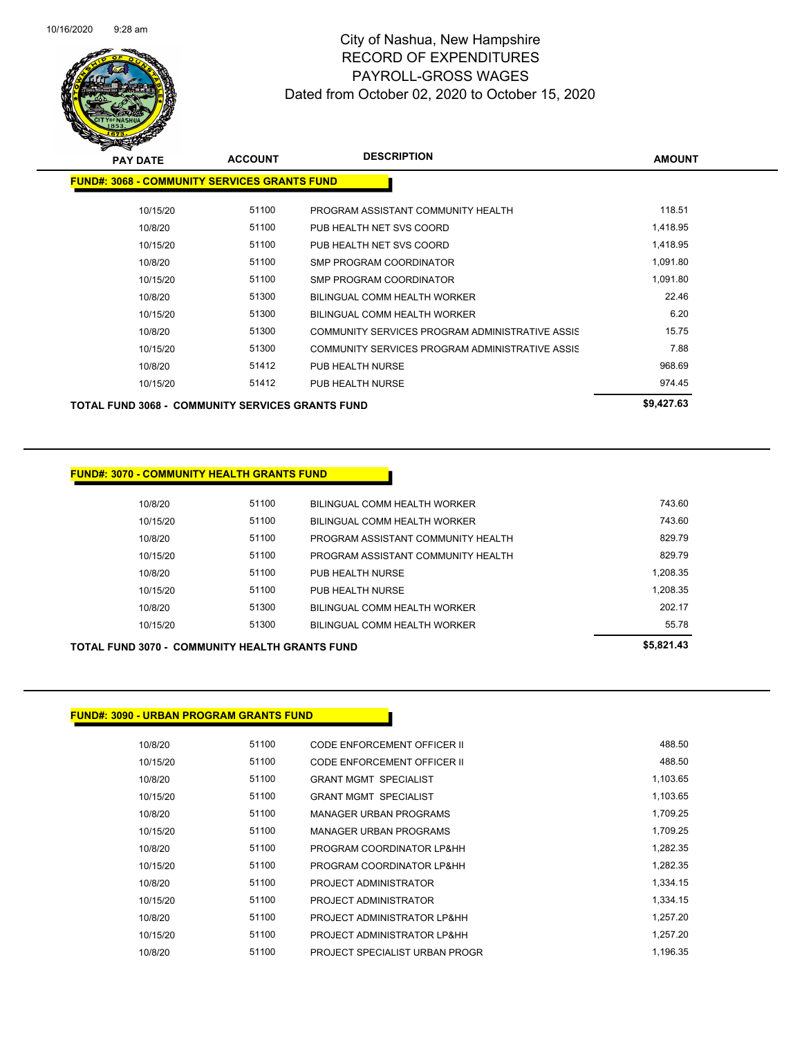

| <b>PAY DATE</b>                                         | <b>ACCOUNT</b> | <b>DESCRIPTION</b>                              | <b>AMOUNT</b> |
|---------------------------------------------------------|----------------|-------------------------------------------------|---------------|
| <b>FUND#: 3068 - COMMUNITY SERVICES GRANTS FUND</b>     |                |                                                 |               |
|                                                         |                |                                                 |               |
| 10/15/20                                                | 51100          | PROGRAM ASSISTANT COMMUNITY HEALTH              | 118.51        |
| 10/8/20                                                 | 51100          | PUB HEALTH NET SVS COORD                        | 1,418.95      |
| 10/15/20                                                | 51100          | PUB HEALTH NET SVS COORD                        | 1,418.95      |
| 10/8/20                                                 | 51100          | SMP PROGRAM COORDINATOR                         | 1,091.80      |
| 10/15/20                                                | 51100          | SMP PROGRAM COORDINATOR                         | 1,091.80      |
| 10/8/20                                                 | 51300          | BILINGUAL COMM HEALTH WORKER                    | 22.46         |
| 10/15/20                                                | 51300          | BILINGUAL COMM HEALTH WORKER                    | 6.20          |
| 10/8/20                                                 | 51300          | COMMUNITY SERVICES PROGRAM ADMINISTRATIVE ASSIS | 15.75         |
| 10/15/20                                                | 51300          | COMMUNITY SERVICES PROGRAM ADMINISTRATIVE ASSIS | 7.88          |
| 10/8/20                                                 | 51412          | PUB HEALTH NURSE                                | 968.69        |
| 10/15/20                                                | 51412          | PUB HEALTH NURSE                                | 974.45        |
| <b>TOTAL FUND 3068 - COMMUNITY SERVICES GRANTS FUND</b> |                |                                                 | \$9,427.63    |

#### **FUND#: 3070 - COMMUNITY HEALTH GRANTS FUND**

| <b>TOTAL FUND 3070 - COMMUNITY HEALTH GRANTS FUND</b> |       |                                    | \$5,821.43 |
|-------------------------------------------------------|-------|------------------------------------|------------|
| 10/15/20                                              | 51300 | BILINGUAL COMM HEALTH WORKER       | 55.78      |
| 10/8/20                                               | 51300 | BILINGUAL COMM HEALTH WORKER       | 202.17     |
| 10/15/20                                              | 51100 | PUB HEALTH NURSE                   | 1.208.35   |
| 10/8/20                                               | 51100 | PUB HEALTH NURSE                   | 1.208.35   |
| 10/15/20                                              | 51100 | PROGRAM ASSISTANT COMMUNITY HEALTH | 829.79     |
| 10/8/20                                               | 51100 | PROGRAM ASSISTANT COMMUNITY HEALTH | 829.79     |
| 10/15/20                                              | 51100 | BILINGUAL COMM HEALTH WORKER       | 743.60     |
| 10/8/20                                               | 51100 | BILINGUAL COMM HEALTH WORKER       | 743.60     |
|                                                       |       |                                    |            |

#### **FUND#: 3090 - URBAN PROGRAM GRANTS FUND**

| 10/8/20  | 51100 | CODE ENFORCEMENT OFFICER II    | 488.50   |
|----------|-------|--------------------------------|----------|
| 10/15/20 | 51100 | CODE ENFORCEMENT OFFICER II    | 488.50   |
| 10/8/20  | 51100 | <b>GRANT MGMT SPECIALIST</b>   | 1,103.65 |
| 10/15/20 | 51100 | <b>GRANT MGMT SPECIALIST</b>   | 1,103.65 |
| 10/8/20  | 51100 | <b>MANAGER URBAN PROGRAMS</b>  | 1,709.25 |
| 10/15/20 | 51100 | <b>MANAGER URBAN PROGRAMS</b>  | 1,709.25 |
| 10/8/20  | 51100 | PROGRAM COORDINATOR LP&HH      | 1.282.35 |
| 10/15/20 | 51100 | PROGRAM COORDINATOR LP&HH      | 1.282.35 |
| 10/8/20  | 51100 | PROJECT ADMINISTRATOR          | 1,334.15 |
| 10/15/20 | 51100 | PROJECT ADMINISTRATOR          | 1,334.15 |
| 10/8/20  | 51100 | PROJECT ADMINISTRATOR LP&HH    | 1.257.20 |
| 10/15/20 | 51100 | PROJECT ADMINISTRATOR LP&HH    | 1,257.20 |
| 10/8/20  | 51100 | PROJECT SPECIALIST URBAN PROGR | 1.196.35 |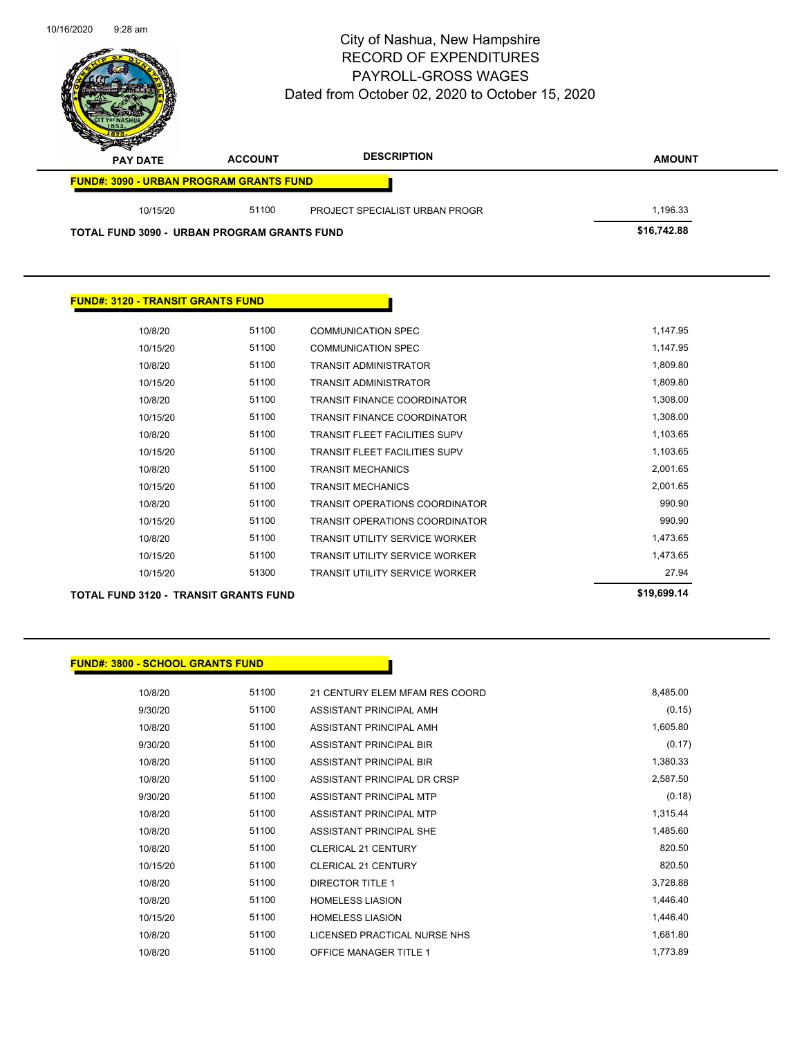| 10/16/2020<br>$9:28$ am                        |                | City of Nashua, New Hampshire<br><b>RECORD OF EXPENDITURES</b><br><b>PAYROLL-GROSS WAGES</b><br>Dated from October 02, 2020 to October 15, 2020 | Page 95 of 104 |
|------------------------------------------------|----------------|-------------------------------------------------------------------------------------------------------------------------------------------------|----------------|
| <b>PAY DATE</b>                                | <b>ACCOUNT</b> | <b>DESCRIPTION</b>                                                                                                                              | <b>AMOUNT</b>  |
| <b>FUND#: 3090 - URBAN PROGRAM GRANTS FUND</b> |                |                                                                                                                                                 |                |
| 10/15/20                                       | 51100          | PROJECT SPECIALIST URBAN PROGR                                                                                                                  | 1,196.33       |
| TOTAL FUND 3090 - URBAN PROGRAM GRANTS FUND    |                |                                                                                                                                                 | \$16,742.88    |
|                                                |                |                                                                                                                                                 |                |

| <b>FUND#: 3120 - TRANSIT GRANTS FUND</b> |       |                                       |             |
|------------------------------------------|-------|---------------------------------------|-------------|
| 10/8/20                                  | 51100 | <b>COMMUNICATION SPEC</b>             | 1,147.95    |
| 10/15/20                                 | 51100 | <b>COMMUNICATION SPEC</b>             | 1,147.95    |
| 10/8/20                                  | 51100 | <b>TRANSIT ADMINISTRATOR</b>          | 1,809.80    |
| 10/15/20                                 | 51100 | <b>TRANSIT ADMINISTRATOR</b>          | 1,809.80    |
| 10/8/20                                  | 51100 | <b>TRANSIT FINANCE COORDINATOR</b>    | 1,308.00    |
| 10/15/20                                 | 51100 | <b>TRANSIT FINANCE COORDINATOR</b>    | 1,308.00    |
| 10/8/20                                  | 51100 | <b>TRANSIT FLEET FACILITIES SUPV</b>  | 1,103.65    |
| 10/15/20                                 | 51100 | <b>TRANSIT FLEET FACILITIES SUPV</b>  | 1,103.65    |
| 10/8/20                                  | 51100 | <b>TRANSIT MECHANICS</b>              | 2,001.65    |
| 10/15/20                                 | 51100 | <b>TRANSIT MECHANICS</b>              | 2,001.65    |
| 10/8/20                                  | 51100 | <b>TRANSIT OPERATIONS COORDINATOR</b> | 990.90      |
| 10/15/20                                 | 51100 | <b>TRANSIT OPERATIONS COORDINATOR</b> | 990.90      |
| 10/8/20                                  | 51100 | <b>TRANSIT UTILITY SERVICE WORKER</b> | 1,473.65    |
| 10/15/20                                 | 51100 | <b>TRANSIT UTILITY SERVICE WORKER</b> | 1,473.65    |
| 10/15/20                                 | 51300 | <b>TRANSIT UTILITY SERVICE WORKER</b> | 27.94       |
| TOTAL FUND 3120 - TRANSIT GRANTS FUND    |       |                                       | \$19,699.14 |

#### **FUND#: 3800 - SCHOOL GRANTS FUND**

| 10/8/20  | 51100 | 21 CENTURY ELEM MFAM RES COORD | 8,485.00 |
|----------|-------|--------------------------------|----------|
| 9/30/20  | 51100 | ASSISTANT PRINCIPAL AMH        | (0.15)   |
| 10/8/20  | 51100 | ASSISTANT PRINCIPAL AMH        | 1,605.80 |
| 9/30/20  | 51100 | ASSISTANT PRINCIPAL BIR        | (0.17)   |
| 10/8/20  | 51100 | ASSISTANT PRINCIPAL BIR        | 1,380.33 |
| 10/8/20  | 51100 | ASSISTANT PRINCIPAL DR CRSP    | 2,587.50 |
| 9/30/20  | 51100 | ASSISTANT PRINCIPAL MTP        | (0.18)   |
| 10/8/20  | 51100 | ASSISTANT PRINCIPAL MTP        | 1,315.44 |
| 10/8/20  | 51100 | ASSISTANT PRINCIPAL SHE        | 1,485.60 |
| 10/8/20  | 51100 | CLERICAL 21 CENTURY            | 820.50   |
| 10/15/20 | 51100 | <b>CLERICAL 21 CENTURY</b>     | 820.50   |
| 10/8/20  | 51100 | <b>DIRECTOR TITLE 1</b>        | 3,728.88 |
| 10/8/20  | 51100 | <b>HOMELESS LIASION</b>        | 1,446.40 |
| 10/15/20 | 51100 | <b>HOMELESS LIASION</b>        | 1,446.40 |
| 10/8/20  | 51100 | LICENSED PRACTICAL NURSE NHS   | 1,681.80 |
| 10/8/20  | 51100 | <b>OFFICE MANAGER TITLE 1</b>  | 1,773.89 |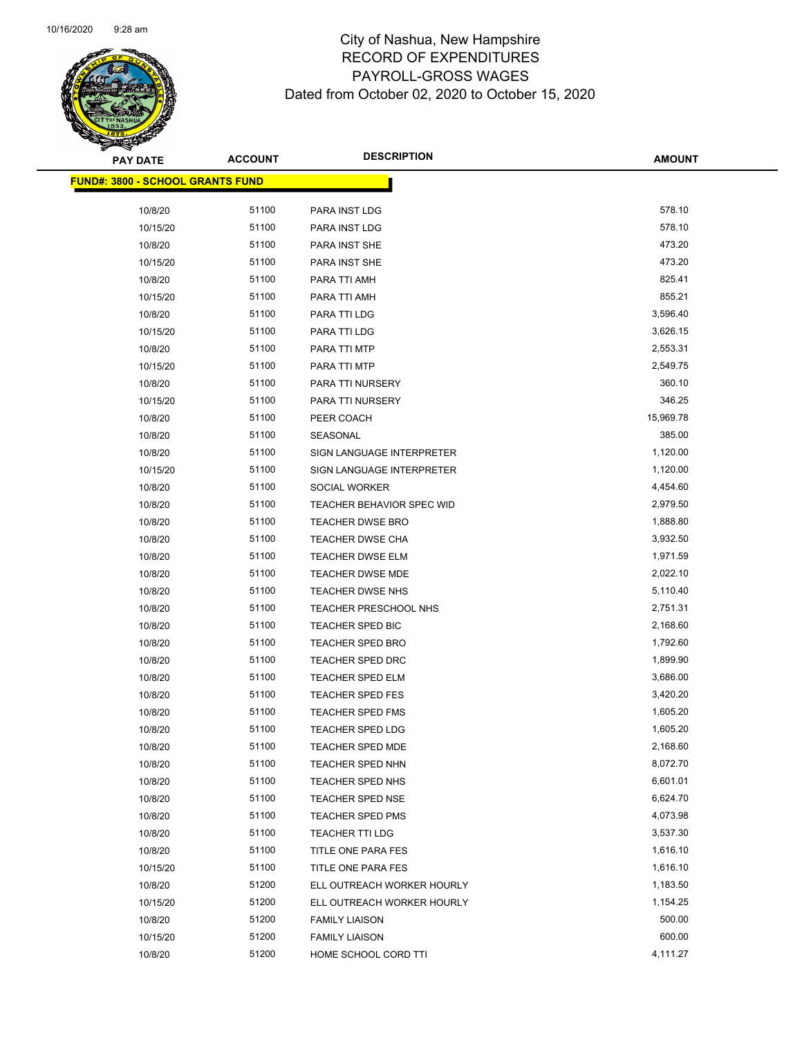

| <b>PAY DATE</b>                         | <b>ACCOUNT</b> | <b>DESCRIPTION</b>         | <b>AMOUNT</b> |
|-----------------------------------------|----------------|----------------------------|---------------|
| <b>FUND#: 3800 - SCHOOL GRANTS FUND</b> |                |                            |               |
| 10/8/20                                 | 51100          | PARA INST LDG              | 578.10        |
| 10/15/20                                | 51100          | PARA INST LDG              | 578.10        |
| 10/8/20                                 | 51100          | PARA INST SHE              | 473.20        |
| 10/15/20                                | 51100          | PARA INST SHE              | 473.20        |
| 10/8/20                                 | 51100          | PARA TTI AMH               | 825.41        |
| 10/15/20                                | 51100          | PARA TTI AMH               | 855.21        |
| 10/8/20                                 | 51100          | PARA TTI LDG               | 3,596.40      |
| 10/15/20                                | 51100          | PARA TTI LDG               | 3,626.15      |
| 10/8/20                                 | 51100          | PARA TTI MTP               | 2,553.31      |
| 10/15/20                                | 51100          | PARA TTI MTP               | 2,549.75      |
| 10/8/20                                 | 51100          | PARA TTI NURSERY           | 360.10        |
| 10/15/20                                | 51100          | PARA TTI NURSERY           | 346.25        |
| 10/8/20                                 | 51100          | PEER COACH                 | 15,969.78     |
| 10/8/20                                 | 51100          | SEASONAL                   | 385.00        |
| 10/8/20                                 | 51100          | SIGN LANGUAGE INTERPRETER  | 1,120.00      |
| 10/15/20                                | 51100          | SIGN LANGUAGE INTERPRETER  | 1,120.00      |
| 10/8/20                                 | 51100          | SOCIAL WORKER              | 4,454.60      |
| 10/8/20                                 | 51100          | TEACHER BEHAVIOR SPEC WID  | 2,979.50      |
| 10/8/20                                 | 51100          | <b>TEACHER DWSE BRO</b>    | 1,888.80      |
| 10/8/20                                 | 51100          | <b>TEACHER DWSE CHA</b>    | 3,932.50      |
| 10/8/20                                 | 51100          | <b>TEACHER DWSE ELM</b>    | 1,971.59      |
| 10/8/20                                 | 51100          | <b>TEACHER DWSE MDE</b>    | 2,022.10      |
| 10/8/20                                 | 51100          | TEACHER DWSE NHS           | 5,110.40      |
| 10/8/20                                 | 51100          | TEACHER PRESCHOOL NHS      | 2,751.31      |
| 10/8/20                                 | 51100          | TEACHER SPED BIC           | 2,168.60      |
| 10/8/20                                 | 51100          | <b>TEACHER SPED BRO</b>    | 1,792.60      |
| 10/8/20                                 | 51100          | <b>TEACHER SPED DRC</b>    | 1,899.90      |
| 10/8/20                                 | 51100          | TEACHER SPED ELM           | 3,686.00      |
| 10/8/20                                 | 51100          | TEACHER SPED FES           | 3,420.20      |
| 10/8/20                                 | 51100          | <b>TEACHER SPED FMS</b>    | 1,605.20      |
| 10/8/20                                 | 51100          | <b>TEACHER SPED LDG</b>    | 1,605.20      |
| 10/8/20                                 | 51100          | <b>TEACHER SPED MDE</b>    | 2,168.60      |
| 10/8/20                                 | 51100          | TEACHER SPED NHN           | 8,072.70      |
| 10/8/20                                 | 51100          | TEACHER SPED NHS           | 6,601.01      |
| 10/8/20                                 | 51100          | <b>TEACHER SPED NSE</b>    | 6,624.70      |
| 10/8/20                                 | 51100          | <b>TEACHER SPED PMS</b>    | 4,073.98      |
| 10/8/20                                 | 51100          | <b>TEACHER TTI LDG</b>     | 3,537.30      |
| 10/8/20                                 | 51100          | TITLE ONE PARA FES         | 1,616.10      |
| 10/15/20                                | 51100          | TITLE ONE PARA FES         | 1,616.10      |
| 10/8/20                                 | 51200          | ELL OUTREACH WORKER HOURLY | 1,183.50      |
| 10/15/20                                | 51200          | ELL OUTREACH WORKER HOURLY | 1,154.25      |
| 10/8/20                                 | 51200          | <b>FAMILY LIAISON</b>      | 500.00        |
| 10/15/20                                | 51200          | <b>FAMILY LIAISON</b>      | 600.00        |
| 10/8/20                                 | 51200          | HOME SCHOOL CORD TTI       | 4,111.27      |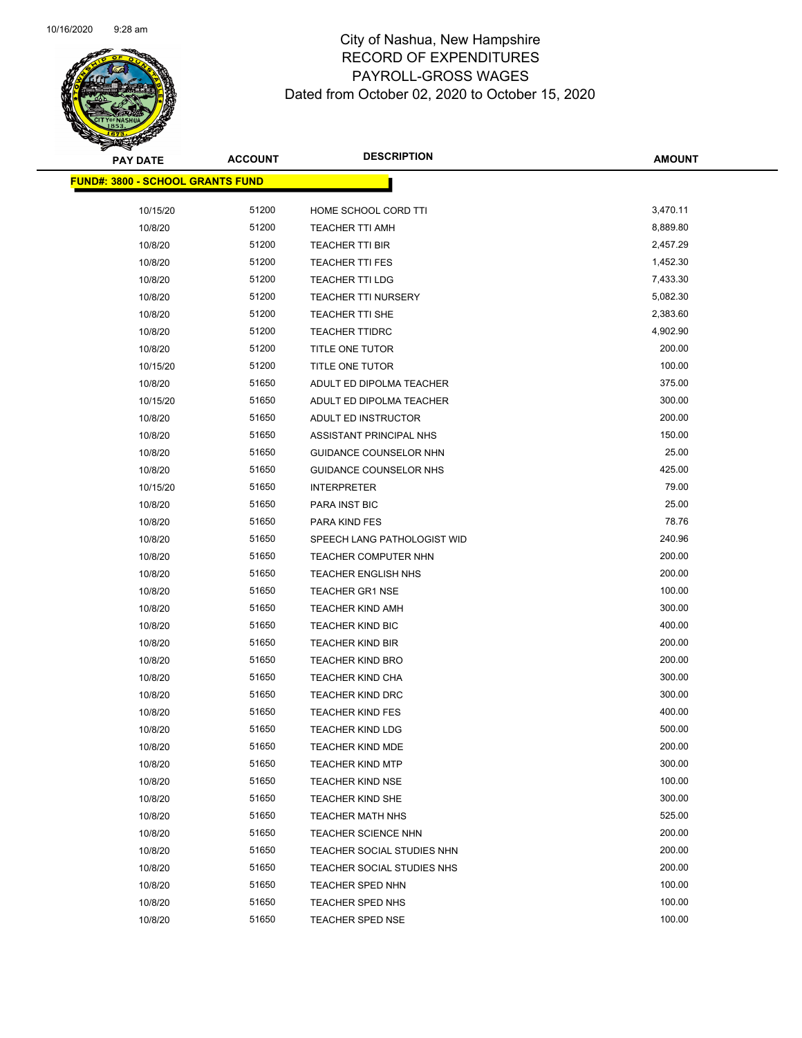

| <b>PAY DATE</b>                         | <b>ACCOUNT</b> | <b>DESCRIPTION</b>            | AMOUNT   |
|-----------------------------------------|----------------|-------------------------------|----------|
| <b>FUND#: 3800 - SCHOOL GRANTS FUND</b> |                |                               |          |
| 10/15/20                                | 51200          | HOME SCHOOL CORD TTI          | 3,470.11 |
| 10/8/20                                 | 51200          | <b>TEACHER TTI AMH</b>        | 8,889.80 |
| 10/8/20                                 | 51200          | <b>TEACHER TTI BIR</b>        | 2,457.29 |
| 10/8/20                                 | 51200          | <b>TEACHER TTI FES</b>        | 1,452.30 |
| 10/8/20                                 | 51200          | <b>TEACHER TTI LDG</b>        | 7,433.30 |
| 10/8/20                                 | 51200          | <b>TEACHER TTI NURSERY</b>    | 5,082.30 |
| 10/8/20                                 | 51200          | TEACHER TTI SHE               | 2,383.60 |
| 10/8/20                                 | 51200          | <b>TEACHER TTIDRC</b>         | 4,902.90 |
| 10/8/20                                 | 51200          | TITLE ONE TUTOR               | 200.00   |
| 10/15/20                                | 51200          | TITLE ONE TUTOR               | 100.00   |
| 10/8/20                                 | 51650          | ADULT ED DIPOLMA TEACHER      | 375.00   |
| 10/15/20                                | 51650          | ADULT ED DIPOLMA TEACHER      | 300.00   |
| 10/8/20                                 | 51650          | ADULT ED INSTRUCTOR           | 200.00   |
| 10/8/20                                 | 51650          | ASSISTANT PRINCIPAL NHS       | 150.00   |
| 10/8/20                                 | 51650          | GUIDANCE COUNSELOR NHN        | 25.00    |
| 10/8/20                                 | 51650          | <b>GUIDANCE COUNSELOR NHS</b> | 425.00   |
| 10/15/20                                | 51650          | <b>INTERPRETER</b>            | 79.00    |
| 10/8/20                                 | 51650          | <b>PARA INST BIC</b>          | 25.00    |
| 10/8/20                                 | 51650          | PARA KIND FES                 | 78.76    |
| 10/8/20                                 | 51650          | SPEECH LANG PATHOLOGIST WID   | 240.96   |
| 10/8/20                                 | 51650          | <b>TEACHER COMPUTER NHN</b>   | 200.00   |
| 10/8/20                                 | 51650          | <b>TEACHER ENGLISH NHS</b>    | 200.00   |
| 10/8/20                                 | 51650          | <b>TEACHER GR1 NSE</b>        | 100.00   |
| 10/8/20                                 | 51650          | <b>TEACHER KIND AMH</b>       | 300.00   |
| 10/8/20                                 | 51650          | <b>TEACHER KIND BIC</b>       | 400.00   |
| 10/8/20                                 | 51650          | <b>TEACHER KIND BIR</b>       | 200.00   |
| 10/8/20                                 | 51650          | <b>TEACHER KIND BRO</b>       | 200.00   |
| 10/8/20                                 | 51650          | <b>TEACHER KIND CHA</b>       | 300.00   |
| 10/8/20                                 | 51650          | <b>TEACHER KIND DRC</b>       | 300.00   |
| 10/8/20                                 | 51650          | <b>TEACHER KIND FES</b>       | 400.00   |
| 10/8/20                                 | 51650          | <b>TEACHER KIND LDG</b>       | 500.00   |
| 10/8/20                                 | 51650          | <b>TEACHER KIND MDE</b>       | 200.00   |
| 10/8/20                                 | 51650          | <b>TEACHER KIND MTP</b>       | 300.00   |
| 10/8/20                                 | 51650          | <b>TEACHER KIND NSE</b>       | 100.00   |
| 10/8/20                                 | 51650          | TEACHER KIND SHE              | 300.00   |
| 10/8/20                                 | 51650          | <b>TEACHER MATH NHS</b>       | 525.00   |
| 10/8/20                                 | 51650          | <b>TEACHER SCIENCE NHN</b>    | 200.00   |
| 10/8/20                                 | 51650          | TEACHER SOCIAL STUDIES NHN    | 200.00   |
| 10/8/20                                 | 51650          | TEACHER SOCIAL STUDIES NHS    | 200.00   |
| 10/8/20                                 | 51650          | TEACHER SPED NHN              | 100.00   |
| 10/8/20                                 | 51650          | TEACHER SPED NHS              | 100.00   |
| 10/8/20                                 | 51650          | <b>TEACHER SPED NSE</b>       | 100.00   |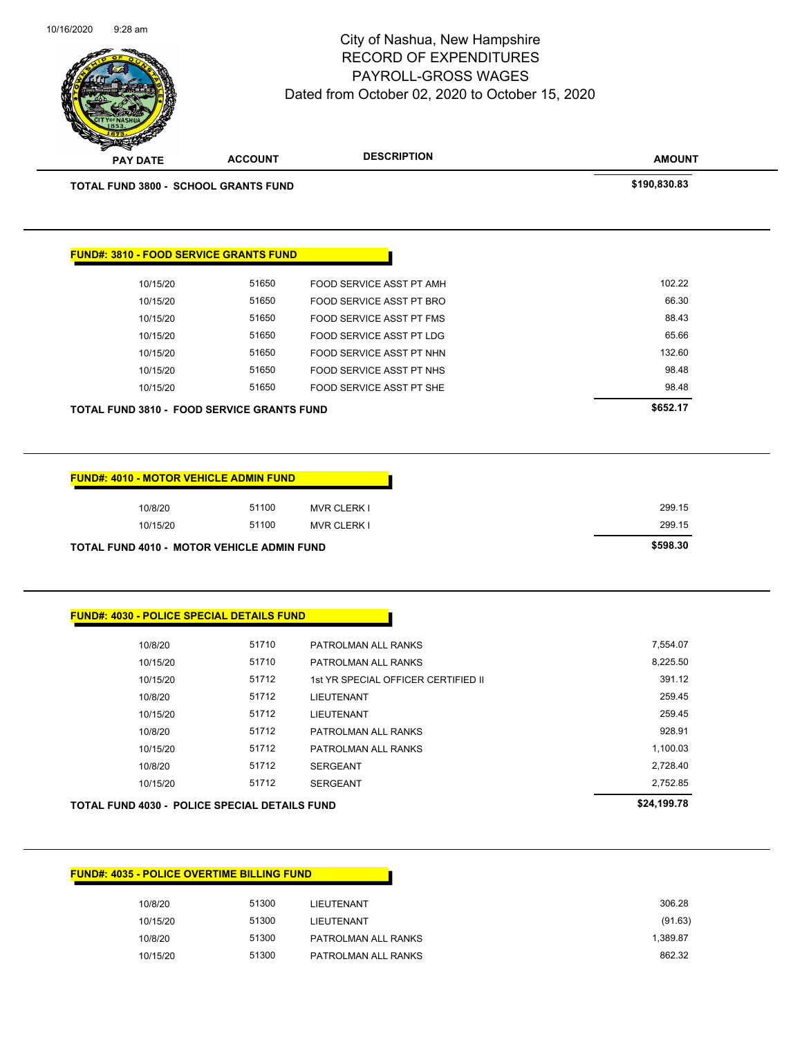| 10/8/20  | 51300<br>LIEUTENANT          |
|----------|------------------------------|
| 10/15/20 | 51300<br>LIEUTENANT          |
| 10/8/20  | 51300<br>PATROLMAN ALL RANKS |
| 10/15/20 | 51300<br>PATROLMAN ALL RANKS |

#### **FUND#: 4035 - POLICE OVERTIME BILLING FUND**

| TOTAL FUND 4030 - POLICE SPECIAL DETAILS FUND | \$24.199.78 |                                     |          |
|-----------------------------------------------|-------------|-------------------------------------|----------|
| 10/15/20                                      | 51712       | <b>SERGEANT</b>                     | 2,752.85 |
| 10/8/20                                       | 51712       | <b>SERGEANT</b>                     | 2,728.40 |
| 10/15/20                                      | 51712       | PATROLMAN ALL RANKS                 | 1,100.03 |
| 10/8/20                                       | 51712       | PATROLMAN ALL RANKS                 | 928.91   |
| 10/15/20                                      | 51712       | <b>LIEUTENANT</b>                   | 259.45   |
| 10/8/20                                       | 51712       | <b>LIEUTENANT</b>                   | 259.45   |
| 10/15/20                                      | 51712       | 1st YR SPECIAL OFFICER CERTIFIED II | 391.12   |
| 10/15/20                                      | 51710       | PATROLMAN ALL RANKS                 | 8,225.50 |
| 10/8/20                                       | 51710       | PATROLMAN ALL RANKS                 | 7,554.07 |
|                                               |             |                                     |          |

| <b>TOTAL FUND 4010 - MOTOR VEHICLE ADMIN FUND</b> |          |       |                    | \$598.30 |
|---------------------------------------------------|----------|-------|--------------------|----------|
|                                                   | 10/15/20 | 51100 | <b>MVR CLERK I</b> | 299.15   |
|                                                   | 10/8/20  | 51100 | <b>MVR CLERK I</b> | 299.15   |

**FUND#: 4010 - MOTOR VEHICLE ADMIN FUND**

**FUND#: 4030 - POLICE SPECIAL DETAILS FUND**

| <b>FOTAL FUND 3810 - FOOD SERVICE GRANTS FUND</b> |       |                          | \$652.17 |
|---------------------------------------------------|-------|--------------------------|----------|
| 10/15/20                                          | 51650 | FOOD SERVICE ASST PT SHE | 98.48    |
| 10/15/20                                          | 51650 | FOOD SERVICE ASST PT NHS | 98.48    |
| 10/15/20                                          | 51650 | FOOD SERVICE ASST PT NHN | 132.60   |
| 10/15/20                                          | 51650 | FOOD SERVICE ASST PT LDG | 65.66    |
| 10/15/20                                          | 51650 | FOOD SERVICE ASST PT FMS | 88.43    |
| 10/15/20                                          | 51650 | FOOD SERVICE ASST PT BRO | 66.30    |
| 10/15/20                                          | 51650 | FOOD SERVICE ASST PT AMH | 102.22   |
|                                                   |       |                          |          |

**TOTAL FUND 3800 - SCHOOL GRANTS FUND \$190,830.83** 

**FUND#: 3810 - FOOD SERVICE GRANTS FUND**

**PAY DATE ACCOUNT DESCRIPTION**

10/16/2020 9:28 am

#### City of Nashua, New Hampshire RECORD OF EXPENDITURES PAYROLL-GROSS WAGES Dated from October 02, 2020 to October 15, 2020

Page 98 of 104

**AMOUNT**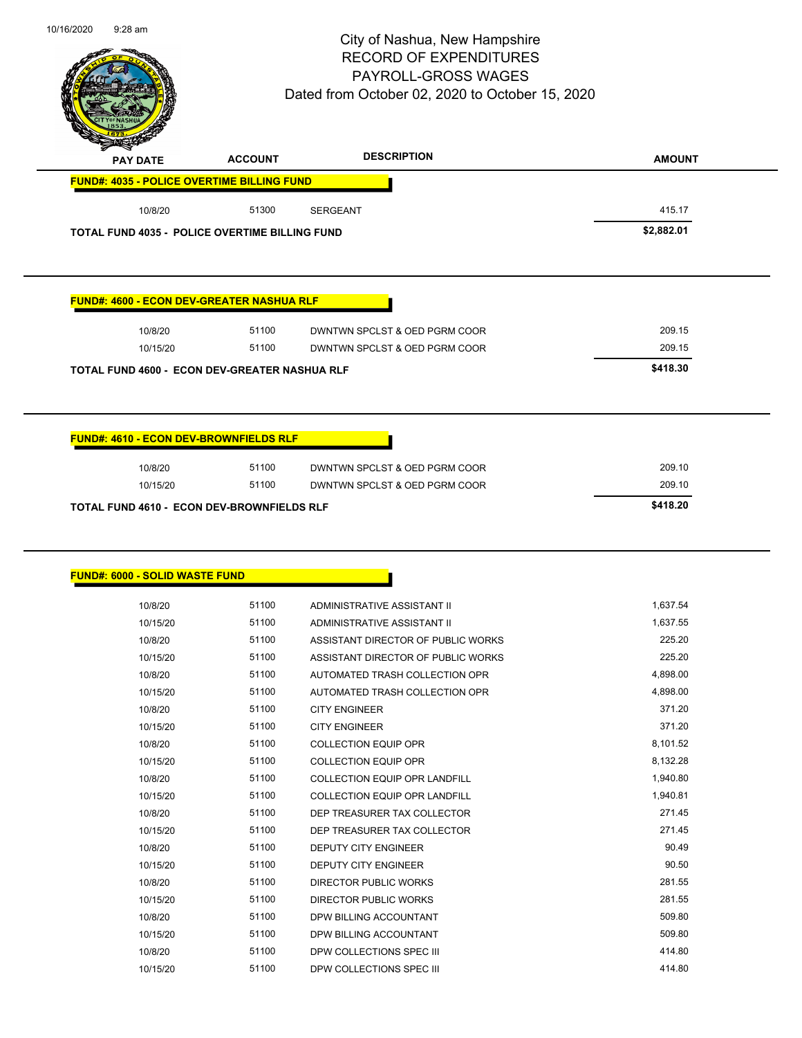

| ₩<br><b>PAY DATE</b>                              | <b>ACCOUNT</b> | <b>DESCRIPTION</b> | <b>AMOUNT</b> |
|---------------------------------------------------|----------------|--------------------|---------------|
| <b>FUND#: 4035 - POLICE OVERTIME BILLING FUND</b> |                |                    |               |
| 10/8/20                                           | 51300          | <b>SERGEANT</b>    | 415.17        |
|                                                   |                |                    | $\cdots$      |

**TOTAL FUND 4035 - POLICE OVERTIME BILLING FUND \$2,882.01** 

#### **FUND#: 4600 - ECON DEV-GREATER NASHUA RLF**

| 10/8/20                                              | 51100    | DWNTWN SPCLST & OED PGRM COOR | 209.15 |
|------------------------------------------------------|----------|-------------------------------|--------|
| 10/15/20                                             | 51100    | DWNTWN SPCLST & OED PGRM COOR | 209.15 |
| <b>TOTAL FUND 4600 - ECON DEV-GREATER NASHUA RLF</b> | \$418.30 |                               |        |

**FUND#: 4610 - ECON DEV-BROWNFIELDS RLF**

|          |       |                               | \$418.20                                   |
|----------|-------|-------------------------------|--------------------------------------------|
| 10/15/20 | 51100 | DWNTWN SPCLST & OED PGRM COOR | 209.10                                     |
| 10/8/20  | 51100 | DWNTWN SPCLST & OED PGRM COOR | 209.10                                     |
|          |       |                               | TOTAL FUND 4610 - ECON DEV-BROWNFIELDS RLF |

#### **FUND#: 6000 - SOLID WASTE FUND**

| 10/8/20  | 51100 | ADMINISTRATIVE ASSISTANT II          | 1,637.54 |
|----------|-------|--------------------------------------|----------|
| 10/15/20 | 51100 | ADMINISTRATIVE ASSISTANT II          | 1,637.55 |
| 10/8/20  | 51100 | ASSISTANT DIRECTOR OF PUBLIC WORKS   | 225.20   |
| 10/15/20 | 51100 | ASSISTANT DIRECTOR OF PUBLIC WORKS   | 225.20   |
| 10/8/20  | 51100 | AUTOMATED TRASH COLLECTION OPR       | 4,898.00 |
| 10/15/20 | 51100 | AUTOMATED TRASH COLLECTION OPR       | 4,898.00 |
| 10/8/20  | 51100 | <b>CITY ENGINEER</b>                 | 371.20   |
| 10/15/20 | 51100 | <b>CITY ENGINEER</b>                 | 371.20   |
| 10/8/20  | 51100 | <b>COLLECTION EQUIP OPR</b>          | 8,101.52 |
| 10/15/20 | 51100 | <b>COLLECTION EQUIP OPR</b>          | 8,132.28 |
| 10/8/20  | 51100 | <b>COLLECTION EQUIP OPR LANDFILL</b> | 1,940.80 |
| 10/15/20 | 51100 | COLLECTION EQUIP OPR LANDFILL        | 1,940.81 |
| 10/8/20  | 51100 | DEP TREASURER TAX COLLECTOR          | 271.45   |
| 10/15/20 | 51100 | DEP TREASURER TAX COLLECTOR          | 271.45   |
| 10/8/20  | 51100 | <b>DEPUTY CITY ENGINEER</b>          | 90.49    |
| 10/15/20 | 51100 | <b>DEPUTY CITY ENGINEER</b>          | 90.50    |
| 10/8/20  | 51100 | DIRECTOR PUBLIC WORKS                | 281.55   |
| 10/15/20 | 51100 | DIRECTOR PUBLIC WORKS                | 281.55   |
| 10/8/20  | 51100 | DPW BILLING ACCOUNTANT               | 509.80   |
| 10/15/20 | 51100 | DPW BILLING ACCOUNTANT               | 509.80   |
| 10/8/20  | 51100 | DPW COLLECTIONS SPEC III             | 414.80   |
| 10/15/20 | 51100 | DPW COLLECTIONS SPEC III             | 414.80   |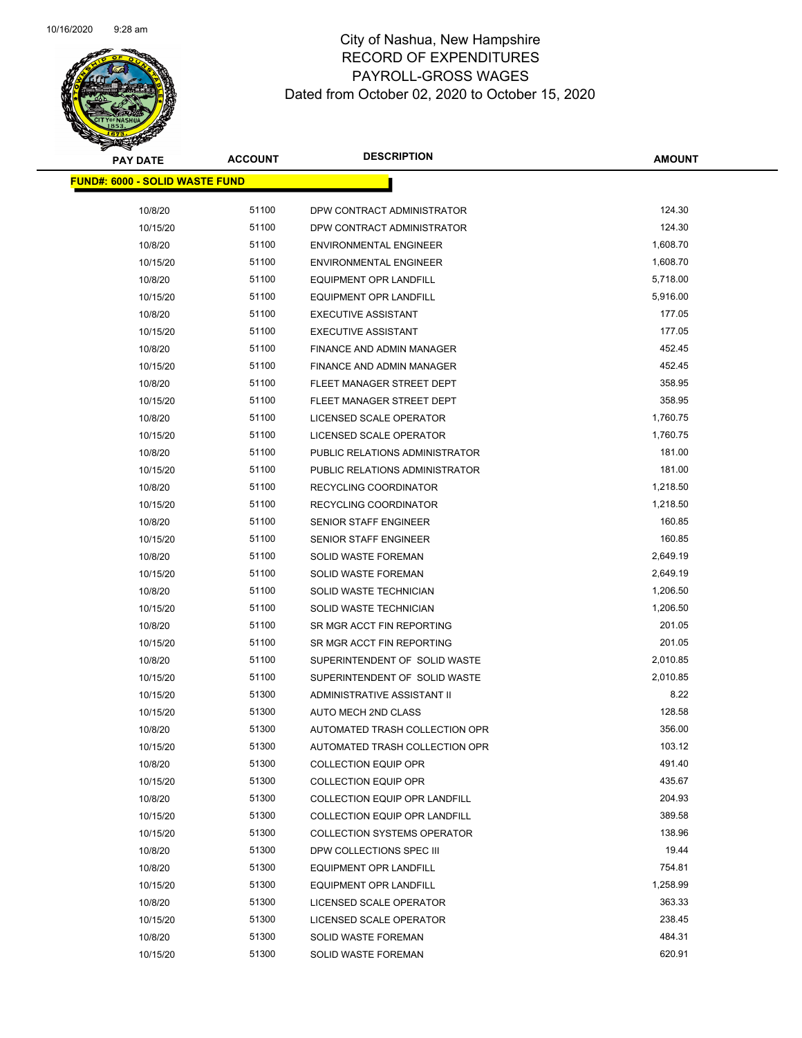

| <b>PAY DATE</b>                       | <b>ACCOUNT</b> | <b>DESCRIPTION</b>                   | <b>AMOUNT</b> |
|---------------------------------------|----------------|--------------------------------------|---------------|
| <b>FUND#: 6000 - SOLID WASTE FUND</b> |                |                                      |               |
| 10/8/20                               | 51100          | DPW CONTRACT ADMINISTRATOR           | 124.30        |
| 10/15/20                              | 51100          | DPW CONTRACT ADMINISTRATOR           | 124.30        |
| 10/8/20                               | 51100          | <b>ENVIRONMENTAL ENGINEER</b>        | 1,608.70      |
| 10/15/20                              | 51100          | <b>ENVIRONMENTAL ENGINEER</b>        | 1,608.70      |
| 10/8/20                               | 51100          | <b>EQUIPMENT OPR LANDFILL</b>        | 5,718.00      |
| 10/15/20                              | 51100          | <b>EQUIPMENT OPR LANDFILL</b>        | 5,916.00      |
| 10/8/20                               | 51100          | <b>EXECUTIVE ASSISTANT</b>           | 177.05        |
| 10/15/20                              | 51100          | <b>EXECUTIVE ASSISTANT</b>           | 177.05        |
| 10/8/20                               | 51100          | FINANCE AND ADMIN MANAGER            | 452.45        |
| 10/15/20                              | 51100          | FINANCE AND ADMIN MANAGER            | 452.45        |
| 10/8/20                               | 51100          | FLEET MANAGER STREET DEPT            | 358.95        |
| 10/15/20                              | 51100          | FLEET MANAGER STREET DEPT            | 358.95        |
| 10/8/20                               | 51100          | LICENSED SCALE OPERATOR              | 1,760.75      |
| 10/15/20                              | 51100          | LICENSED SCALE OPERATOR              | 1,760.75      |
| 10/8/20                               | 51100          | PUBLIC RELATIONS ADMINISTRATOR       | 181.00        |
| 10/15/20                              | 51100          | PUBLIC RELATIONS ADMINISTRATOR       | 181.00        |
| 10/8/20                               | 51100          | RECYCLING COORDINATOR                | 1,218.50      |
| 10/15/20                              | 51100          | RECYCLING COORDINATOR                | 1,218.50      |
| 10/8/20                               | 51100          | SENIOR STAFF ENGINEER                | 160.85        |
| 10/15/20                              | 51100          | SENIOR STAFF ENGINEER                | 160.85        |
| 10/8/20                               | 51100          | <b>SOLID WASTE FOREMAN</b>           | 2,649.19      |
| 10/15/20                              | 51100          | <b>SOLID WASTE FOREMAN</b>           | 2,649.19      |
| 10/8/20                               | 51100          | SOLID WASTE TECHNICIAN               | 1,206.50      |
| 10/15/20                              | 51100          | SOLID WASTE TECHNICIAN               | 1,206.50      |
| 10/8/20                               | 51100          | SR MGR ACCT FIN REPORTING            | 201.05        |
| 10/15/20                              | 51100          | SR MGR ACCT FIN REPORTING            | 201.05        |
| 10/8/20                               | 51100          | SUPERINTENDENT OF SOLID WASTE        | 2,010.85      |
| 10/15/20                              | 51100          | SUPERINTENDENT OF SOLID WASTE        | 2,010.85      |
| 10/15/20                              | 51300          | ADMINISTRATIVE ASSISTANT II          | 8.22          |
| 10/15/20                              | 51300          | AUTO MECH 2ND CLASS                  | 128.58        |
| 10/8/20                               | 51300          | AUTOMATED TRASH COLLECTION OPR       | 356.00        |
| 10/15/20                              | 51300          | AUTOMATED TRASH COLLECTION OPR       | 103.12        |
| 10/8/20                               | 51300          | <b>COLLECTION EQUIP OPR</b>          | 491.40        |
| 10/15/20                              | 51300          | <b>COLLECTION EQUIP OPR</b>          | 435.67        |
| 10/8/20                               | 51300          | <b>COLLECTION EQUIP OPR LANDFILL</b> | 204.93        |
| 10/15/20                              | 51300          | <b>COLLECTION EQUIP OPR LANDFILL</b> | 389.58        |
| 10/15/20                              | 51300          | <b>COLLECTION SYSTEMS OPERATOR</b>   | 138.96        |
| 10/8/20                               | 51300          | DPW COLLECTIONS SPEC III             | 19.44         |
| 10/8/20                               | 51300          | <b>EQUIPMENT OPR LANDFILL</b>        | 754.81        |
| 10/15/20                              | 51300          | <b>EQUIPMENT OPR LANDFILL</b>        | 1,258.99      |
| 10/8/20                               | 51300          | LICENSED SCALE OPERATOR              | 363.33        |
| 10/15/20                              | 51300          | LICENSED SCALE OPERATOR              | 238.45        |
| 10/8/20                               | 51300          | SOLID WASTE FOREMAN                  | 484.31        |
| 10/15/20                              | 51300          | <b>SOLID WASTE FOREMAN</b>           | 620.91        |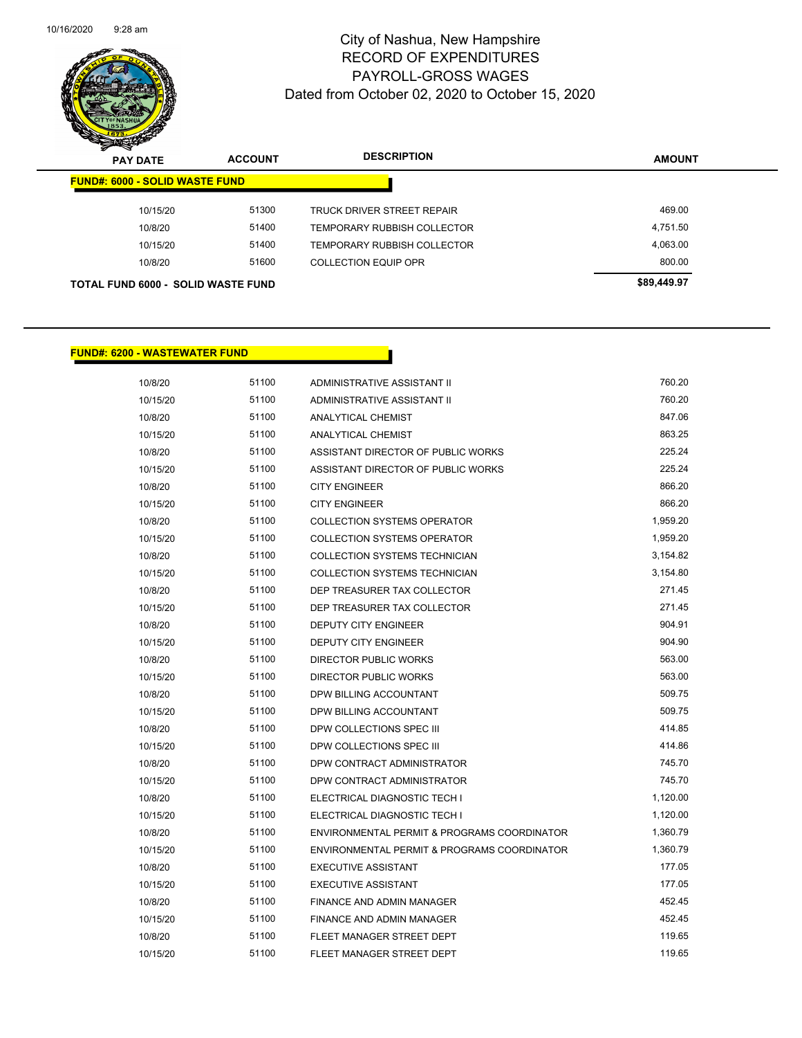

| $\boldsymbol{z}$<br>-<br><b>PAY DATE</b> | <b>ACCOUNT</b>                     | <b>DESCRIPTION</b>                 | <b>AMOUNT</b> |
|------------------------------------------|------------------------------------|------------------------------------|---------------|
| <b>FUND#: 6000 - SOLID WASTE FUND</b>    |                                    |                                    |               |
| 10/15/20                                 | 51300                              | TRUCK DRIVER STREET REPAIR         | 469.00        |
| 10/8/20                                  | 51400                              | TEMPORARY RUBBISH COLLECTOR        | 4,751.50      |
| 10/15/20                                 | 51400                              | <b>TEMPORARY RUBBISH COLLECTOR</b> | 4,063.00      |
| 10/8/20                                  | 51600                              | <b>COLLECTION EQUIP OPR</b>        | 800.00        |
|                                          | TOTAL FUND 6000 - SOLID WASTE FUND | \$89,449.97                        |               |

#### **FUND#: 6200 - WASTEWATER FUND**

| 10/8/20  | 51100 | ADMINISTRATIVE ASSISTANT II                 | 760.20   |
|----------|-------|---------------------------------------------|----------|
| 10/15/20 | 51100 | ADMINISTRATIVE ASSISTANT II                 | 760.20   |
| 10/8/20  | 51100 | <b>ANALYTICAL CHEMIST</b>                   | 847.06   |
| 10/15/20 | 51100 | <b>ANALYTICAL CHEMIST</b>                   | 863.25   |
| 10/8/20  | 51100 | ASSISTANT DIRECTOR OF PUBLIC WORKS          | 225.24   |
| 10/15/20 | 51100 | ASSISTANT DIRECTOR OF PUBLIC WORKS          | 225.24   |
| 10/8/20  | 51100 | <b>CITY ENGINEER</b>                        | 866.20   |
| 10/15/20 | 51100 | <b>CITY ENGINEER</b>                        | 866.20   |
| 10/8/20  | 51100 | <b>COLLECTION SYSTEMS OPERATOR</b>          | 1,959.20 |
| 10/15/20 | 51100 | <b>COLLECTION SYSTEMS OPERATOR</b>          | 1,959.20 |
| 10/8/20  | 51100 | <b>COLLECTION SYSTEMS TECHNICIAN</b>        | 3,154.82 |
| 10/15/20 | 51100 | <b>COLLECTION SYSTEMS TECHNICIAN</b>        | 3,154.80 |
| 10/8/20  | 51100 | DEP TREASURER TAX COLLECTOR                 | 271.45   |
| 10/15/20 | 51100 | DEP TREASURER TAX COLLECTOR                 | 271.45   |
| 10/8/20  | 51100 | <b>DEPUTY CITY ENGINEER</b>                 | 904.91   |
| 10/15/20 | 51100 | <b>DEPUTY CITY ENGINEER</b>                 | 904.90   |
| 10/8/20  | 51100 | <b>DIRECTOR PUBLIC WORKS</b>                | 563.00   |
| 10/15/20 | 51100 | DIRECTOR PUBLIC WORKS                       | 563.00   |
| 10/8/20  | 51100 | DPW BILLING ACCOUNTANT                      | 509.75   |
| 10/15/20 | 51100 | DPW BILLING ACCOUNTANT                      | 509.75   |
| 10/8/20  | 51100 | DPW COLLECTIONS SPEC III                    | 414.85   |
| 10/15/20 | 51100 | DPW COLLECTIONS SPEC III                    | 414.86   |
| 10/8/20  | 51100 | DPW CONTRACT ADMINISTRATOR                  | 745.70   |
| 10/15/20 | 51100 | DPW CONTRACT ADMINISTRATOR                  | 745.70   |
| 10/8/20  | 51100 | ELECTRICAL DIAGNOSTIC TECH I                | 1,120.00 |
| 10/15/20 | 51100 | ELECTRICAL DIAGNOSTIC TECH I                | 1,120.00 |
| 10/8/20  | 51100 | ENVIRONMENTAL PERMIT & PROGRAMS COORDINATOR | 1,360.79 |
| 10/15/20 | 51100 | ENVIRONMENTAL PERMIT & PROGRAMS COORDINATOR | 1,360.79 |
| 10/8/20  | 51100 | <b>EXECUTIVE ASSISTANT</b>                  | 177.05   |
| 10/15/20 | 51100 | <b>EXECUTIVE ASSISTANT</b>                  | 177.05   |
| 10/8/20  | 51100 | <b>FINANCE AND ADMIN MANAGER</b>            | 452.45   |
| 10/15/20 | 51100 | FINANCE AND ADMIN MANAGER                   | 452.45   |
| 10/8/20  | 51100 | FLEET MANAGER STREET DEPT                   | 119.65   |
| 10/15/20 | 51100 | FLEET MANAGER STREET DEPT                   | 119.65   |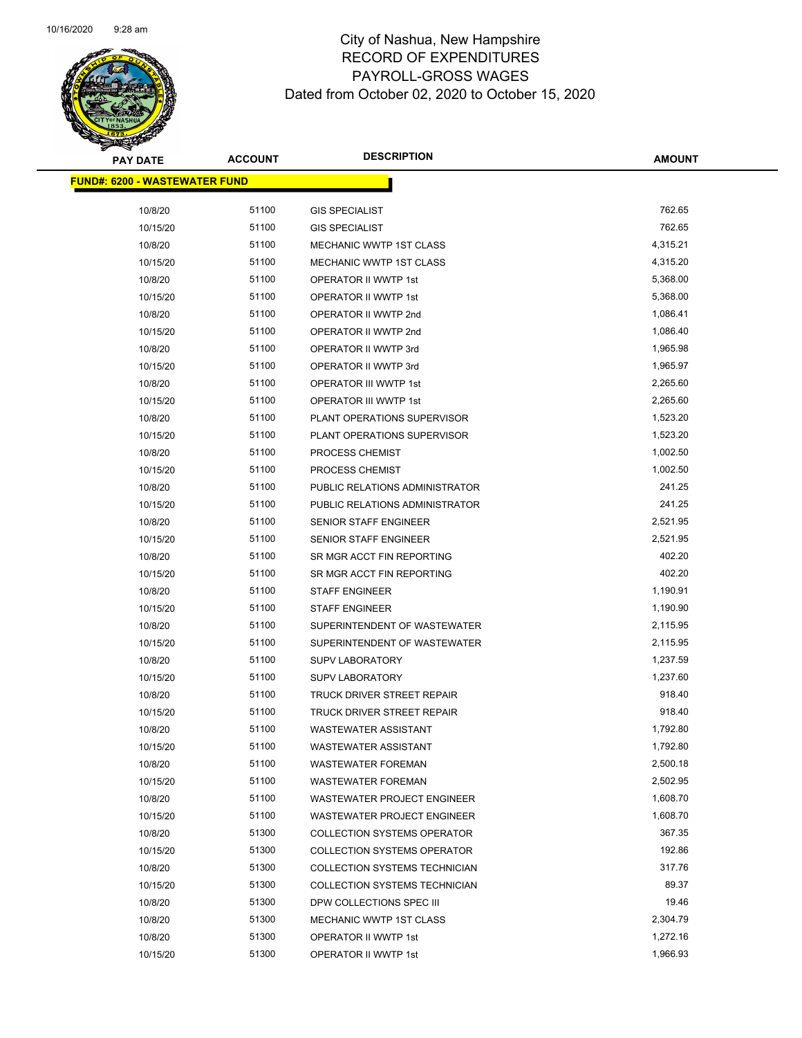

| <b>PAY DATE</b>                      | <b>ACCOUNT</b> | <b>DESCRIPTION</b>                 | <b>AMOUNT</b> |
|--------------------------------------|----------------|------------------------------------|---------------|
| <b>FUND#: 6200 - WASTEWATER FUND</b> |                |                                    |               |
| 10/8/20                              | 51100          | <b>GIS SPECIALIST</b>              | 762.65        |
| 10/15/20                             | 51100          | <b>GIS SPECIALIST</b>              | 762.65        |
| 10/8/20                              | 51100          | MECHANIC WWTP 1ST CLASS            | 4,315.21      |
| 10/15/20                             | 51100          | MECHANIC WWTP 1ST CLASS            | 4,315.20      |
| 10/8/20                              | 51100          | <b>OPERATOR II WWTP 1st</b>        | 5,368.00      |
| 10/15/20                             | 51100          | OPERATOR II WWTP 1st               | 5,368.00      |
| 10/8/20                              | 51100          | OPERATOR II WWTP 2nd               | 1,086.41      |
| 10/15/20                             | 51100          | OPERATOR II WWTP 2nd               | 1,086.40      |
| 10/8/20                              | 51100          | OPERATOR II WWTP 3rd               | 1,965.98      |
| 10/15/20                             | 51100          | OPERATOR II WWTP 3rd               | 1,965.97      |
| 10/8/20                              | 51100          | <b>OPERATOR III WWTP 1st</b>       | 2,265.60      |
| 10/15/20                             | 51100          | <b>OPERATOR III WWTP 1st</b>       | 2,265.60      |
| 10/8/20                              | 51100          | PLANT OPERATIONS SUPERVISOR        | 1,523.20      |
| 10/15/20                             | 51100          | PLANT OPERATIONS SUPERVISOR        | 1,523.20      |
| 10/8/20                              | 51100          | PROCESS CHEMIST                    | 1,002.50      |
| 10/15/20                             | 51100          | PROCESS CHEMIST                    | 1,002.50      |
| 10/8/20                              | 51100          | PUBLIC RELATIONS ADMINISTRATOR     | 241.25        |
| 10/15/20                             | 51100          | PUBLIC RELATIONS ADMINISTRATOR     | 241.25        |
| 10/8/20                              | 51100          | <b>SENIOR STAFF ENGINEER</b>       | 2,521.95      |
| 10/15/20                             | 51100          | SENIOR STAFF ENGINEER              | 2,521.95      |
| 10/8/20                              | 51100          | SR MGR ACCT FIN REPORTING          | 402.20        |
| 10/15/20                             | 51100          | SR MGR ACCT FIN REPORTING          | 402.20        |
| 10/8/20                              | 51100          | <b>STAFF ENGINEER</b>              | 1,190.91      |
| 10/15/20                             | 51100          | <b>STAFF ENGINEER</b>              | 1,190.90      |
| 10/8/20                              | 51100          | SUPERINTENDENT OF WASTEWATER       | 2,115.95      |
| 10/15/20                             | 51100          | SUPERINTENDENT OF WASTEWATER       | 2,115.95      |
| 10/8/20                              | 51100          | <b>SUPV LABORATORY</b>             | 1,237.59      |
| 10/15/20                             | 51100          | <b>SUPV LABORATORY</b>             | 1,237.60      |
| 10/8/20                              | 51100          | TRUCK DRIVER STREET REPAIR         | 918.40        |
| 10/15/20                             | 51100          | TRUCK DRIVER STREET REPAIR         | 918.40        |
| 10/8/20                              | 51100          | <b>WASTEWATER ASSISTANT</b>        | 1,792.80      |
| 10/15/20                             | 51100          | <b>WASTEWATER ASSISTANT</b>        | 1,792.80      |
| 10/8/20                              | 51100          | <b>WASTEWATER FOREMAN</b>          | 2,500.18      |
| 10/15/20                             | 51100          | <b>WASTEWATER FOREMAN</b>          | 2,502.95      |
| 10/8/20                              | 51100          | WASTEWATER PROJECT ENGINEER        | 1,608.70      |
| 10/15/20                             | 51100          | WASTEWATER PROJECT ENGINEER        | 1,608.70      |
| 10/8/20                              | 51300          | <b>COLLECTION SYSTEMS OPERATOR</b> | 367.35        |
| 10/15/20                             | 51300          | <b>COLLECTION SYSTEMS OPERATOR</b> | 192.86        |
| 10/8/20                              | 51300          | COLLECTION SYSTEMS TECHNICIAN      | 317.76        |
| 10/15/20                             | 51300          | COLLECTION SYSTEMS TECHNICIAN      | 89.37         |
| 10/8/20                              | 51300          | DPW COLLECTIONS SPEC III           | 19.46         |
| 10/8/20                              | 51300          | MECHANIC WWTP 1ST CLASS            | 2,304.79      |
| 10/8/20                              | 51300          | OPERATOR II WWTP 1st               | 1,272.16      |
| 10/15/20                             | 51300          | OPERATOR II WWTP 1st               | 1,966.93      |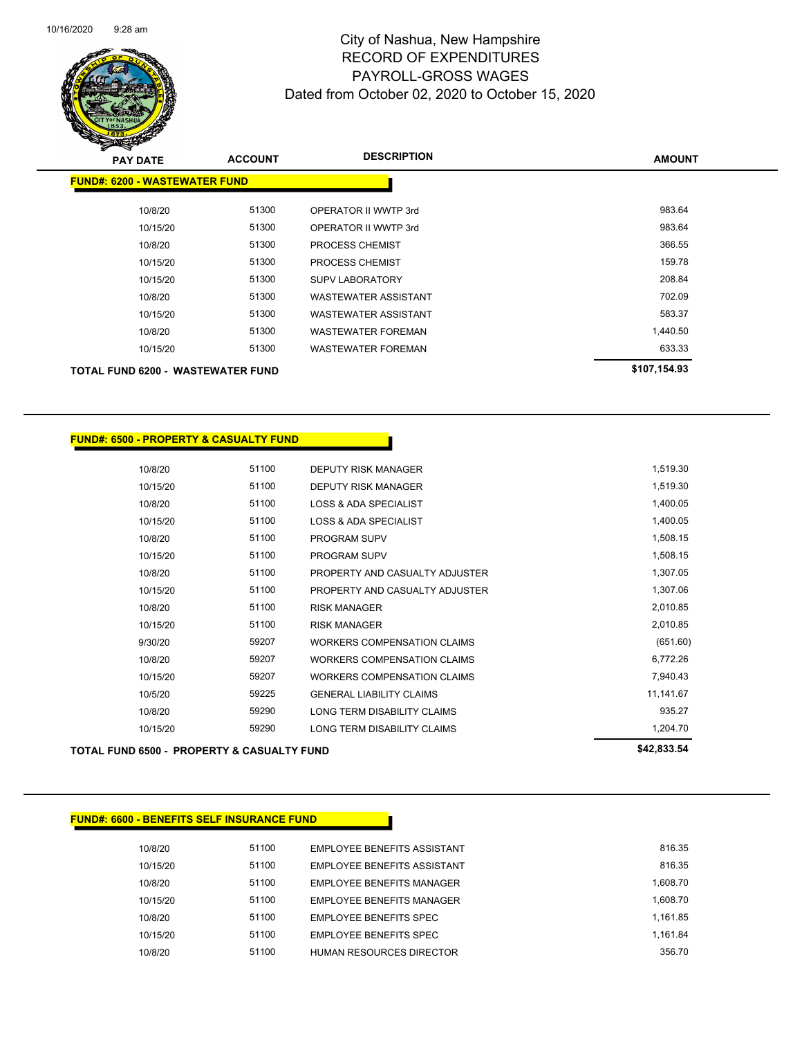

| <b>PAY DATE</b>                          | <b>ACCOUNT</b> | <b>DESCRIPTION</b>          | <b>AMOUNT</b> |
|------------------------------------------|----------------|-----------------------------|---------------|
| <b>FUND#: 6200 - WASTEWATER FUND</b>     |                |                             |               |
| 10/8/20                                  | 51300          | OPERATOR II WWTP 3rd        | 983.64        |
| 10/15/20                                 | 51300          | OPERATOR II WWTP 3rd        | 983.64        |
| 10/8/20                                  | 51300          | <b>PROCESS CHEMIST</b>      | 366.55        |
| 10/15/20                                 | 51300          | <b>PROCESS CHEMIST</b>      | 159.78        |
| 10/15/20                                 | 51300          | <b>SUPV LABORATORY</b>      | 208.84        |
| 10/8/20                                  | 51300          | <b>WASTEWATER ASSISTANT</b> | 702.09        |
| 10/15/20                                 | 51300          | <b>WASTEWATER ASSISTANT</b> | 583.37        |
| 10/8/20                                  | 51300          | <b>WASTEWATER FOREMAN</b>   | 1,440.50      |
| 10/15/20                                 | 51300          | <b>WASTEWATER FOREMAN</b>   | 633.33        |
| <b>TOTAL FUND 6200 - WASTEWATER FUND</b> |                |                             | \$107,154.93  |

| <b>FUND#: 6500 - PROPERTY &amp; CASUALTY FUND</b> |       |                                    |             |
|---------------------------------------------------|-------|------------------------------------|-------------|
|                                                   |       |                                    |             |
| 10/8/20                                           | 51100 | <b>DEPUTY RISK MANAGER</b>         | 1,519.30    |
| 10/15/20                                          | 51100 | <b>DEPUTY RISK MANAGER</b>         | 1,519.30    |
| 10/8/20                                           | 51100 | <b>LOSS &amp; ADA SPECIALIST</b>   | 1,400.05    |
| 10/15/20                                          | 51100 | <b>LOSS &amp; ADA SPECIALIST</b>   | 1,400.05    |
| 10/8/20                                           | 51100 | PROGRAM SUPV                       | 1,508.15    |
| 10/15/20                                          | 51100 | PROGRAM SUPV                       | 1,508.15    |
| 10/8/20                                           | 51100 | PROPERTY AND CASUALTY ADJUSTER     | 1,307.05    |
| 10/15/20                                          | 51100 | PROPERTY AND CASUALTY ADJUSTER     | 1,307.06    |
| 10/8/20                                           | 51100 | <b>RISK MANAGER</b>                | 2,010.85    |
| 10/15/20                                          | 51100 | <b>RISK MANAGER</b>                | 2,010.85    |
| 9/30/20                                           | 59207 | <b>WORKERS COMPENSATION CLAIMS</b> | (651.60)    |
| 10/8/20                                           | 59207 | <b>WORKERS COMPENSATION CLAIMS</b> | 6,772.26    |
| 10/15/20                                          | 59207 | <b>WORKERS COMPENSATION CLAIMS</b> | 7,940.43    |
| 10/5/20                                           | 59225 | <b>GENERAL LIABILITY CLAIMS</b>    | 11,141.67   |
| 10/8/20                                           | 59290 | LONG TERM DISABILITY CLAIMS        | 935.27      |
| 10/15/20                                          | 59290 | LONG TERM DISABILITY CLAIMS        | 1,204.70    |
| TOTAL FUND 6500 - PROPERTY & CASUALTY FUND        |       |                                    | \$42,833.54 |

#### **FUND#: 6600 - BENEFITS SELF INSURANCE FUND**

| 10/8/20  | 51100 | EMPLOYEE BENEFITS ASSISTANT        | 816.35   |
|----------|-------|------------------------------------|----------|
| 10/15/20 | 51100 | <b>FMPLOYEE BENEEITS ASSISTANT</b> | 816.35   |
| 10/8/20  | 51100 | <b>EMPLOYEE BENEFITS MANAGER</b>   | 1.608.70 |
| 10/15/20 | 51100 | EMPLOYEE BENEFITS MANAGER          | 1.608.70 |
| 10/8/20  | 51100 | <b>EMPLOYEE BENEFITS SPEC</b>      | 1.161.85 |
| 10/15/20 | 51100 | <b>EMPLOYEE BENEFITS SPEC</b>      | 1.161.84 |
| 10/8/20  | 51100 | <b>HUMAN RESOURCES DIRECTOR</b>    | 356.70   |
|          |       |                                    |          |